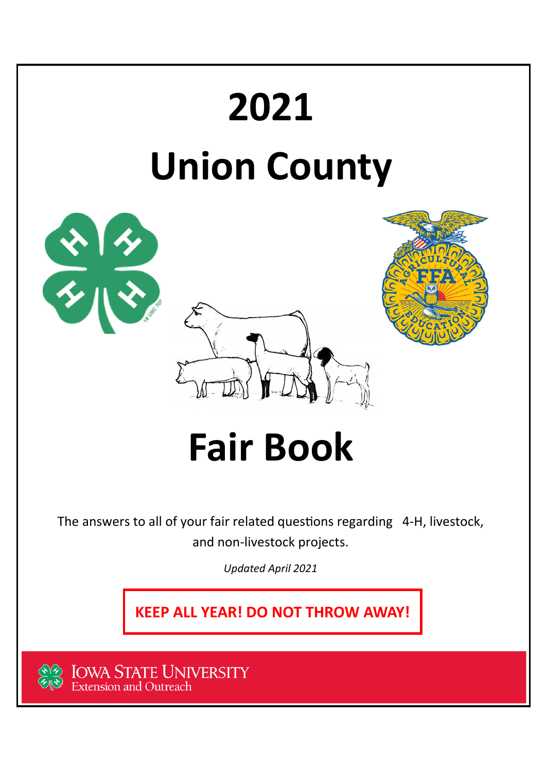

**IOWA STATE UNIVERSITY**<br>Extension and Outreach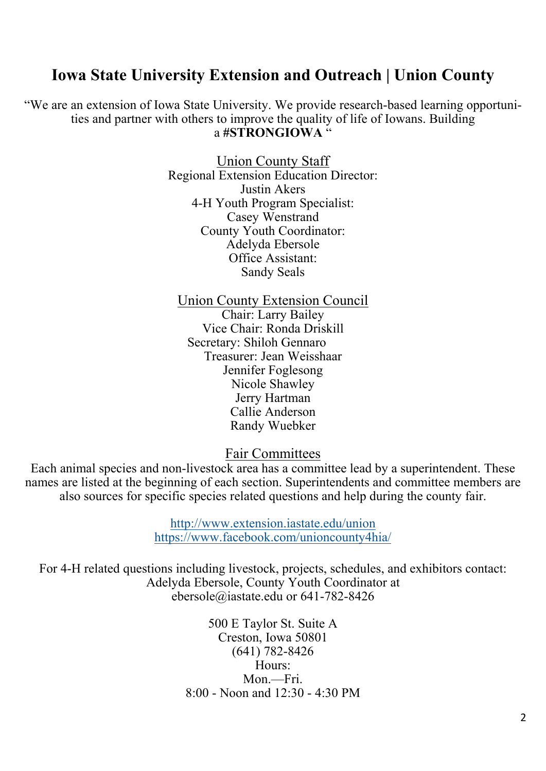### **Iowa State University Extension and Outreach | Union County**

"We are an extension of Iowa State University. We provide research-based learning opportunities and partner with others to improve the quality of life of Iowans. Building a **#STRONGIOWA** "

> Union County Staff Regional Extension Education Director: Justin Akers 4-H Youth Program Specialist: Casey Wenstrand County Youth Coordinator: Adelyda Ebersole Office Assistant: Sandy Seals

Union County Extension Council Chair: Larry Bailey Vice Chair: Ronda Driskill Secretary: Shiloh Gennaro Treasurer: Jean Weisshaar Jennifer Foglesong Nicole Shawley Jerry Hartman Callie Anderson Randy Wuebker

Fair Committees

Each animal species and non-livestock area has a committee lead by a superintendent. These names are listed at the beginning of each section. Superintendents and committee members are also sources for specific species related questions and help during the county fair.

> http://www.extension.iastate.edu/union https://www.facebook.com/unioncounty4hia/

For 4-H related questions including livestock, projects, schedules, and exhibitors contact: Adelyda Ebersole, County Youth Coordinator at ebersole@iastate.edu or 641-782-8426

> 500 E Taylor St. Suite A Creston, Iowa 50801 (641) 782-8426 Hours: Mon.—Fri. 8:00 - Noon and 12:30 - 4:30 PM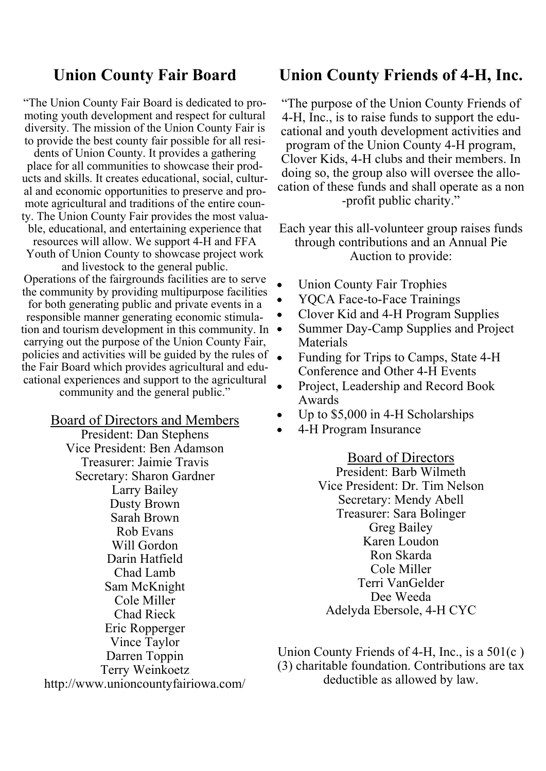### **Union County Fair Board**

"The Union County Fair Board is dedicated to promoting youth development and respect for cultural diversity. The mission of the Union County Fair is to provide the best county fair possible for all resi-

dents of Union County. It provides a gathering place for all communities to showcase their products and skills. It creates educational, social, cultural and economic opportunities to preserve and promote agricultural and traditions of the entire county. The Union County Fair provides the most valua-

ble, educational, and entertaining experience that resources will allow. We support 4-H and FFA Youth of Union County to showcase project work

and livestock to the general public. Operations of the fairgrounds facilities are to serve the community by providing multipurpose facilities

for both generating public and private events in a responsible manner generating economic stimulation and tourism development in this community. In  $\bullet$ carrying out the purpose of the Union County Fair, policies and activities will be guided by the rules of the Fair Board which provides agricultural and educational experiences and support to the agricultural community and the general public."

> Board of Directors and Members President: Dan Stephens Vice President: Ben Adamson

Treasurer: Jaimie Travis Secretary: Sharon Gardner Larry Bailey Dusty Brown Sarah Brown Rob Evans Will Gordon Darin Hatfield Chad Lamb Sam McKnight Cole Miller Chad Rieck Eric Ropperger Vince Taylor Darren Toppin Terry Weinkoetz http://www.unioncountyfairiowa.com/

#### **Union County Friends of 4-H, Inc.**

"The purpose of the Union County Friends of 4-H, Inc., is to raise funds to support the educational and youth development activities and program of the Union County 4-H program, Clover Kids, 4-H clubs and their members. In doing so, the group also will oversee the allocation of these funds and shall operate as a non -profit public charity."

Each year this all-volunteer group raises funds through contributions and an Annual Pie Auction to provide:

- Union County Fair Trophies
- YQCA Face-to-Face Trainings
- Clover Kid and 4-H Program Supplies
- Summer Day-Camp Supplies and Project Materials
- Funding for Trips to Camps, State 4-H Conference and Other 4-H Events
- Project, Leadership and Record Book Awards
- Up to \$5,000 in 4-H Scholarships
- 4-H Program Insurance

Board of Directors

President: Barb Wilmeth Vice President: Dr. Tim Nelson Secretary: Mendy Abell Treasurer: Sara Bolinger Greg Bailey Karen Loudon Ron Skarda Cole Miller Terri VanGelder Dee Weeda Adelyda Ebersole, 4-H CYC

Union County Friends of 4-H, Inc., is a 501(c ) (3) charitable foundation. Contributions are tax deductible as allowed by law.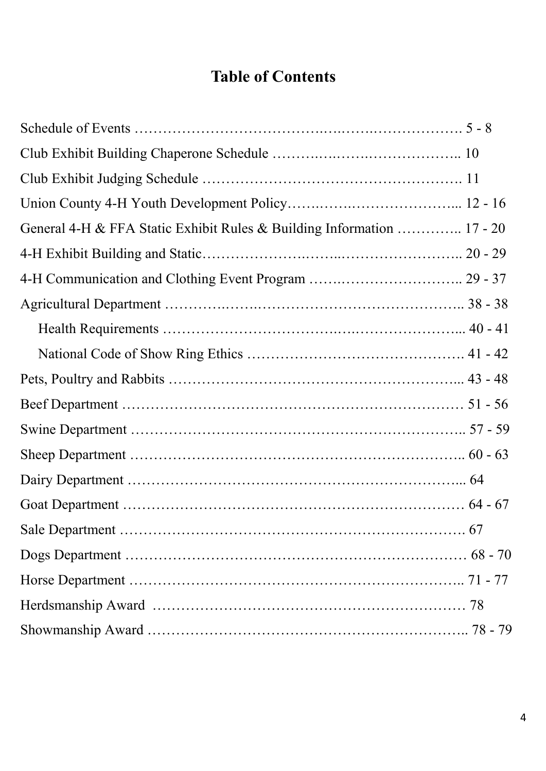# **Table of Contents**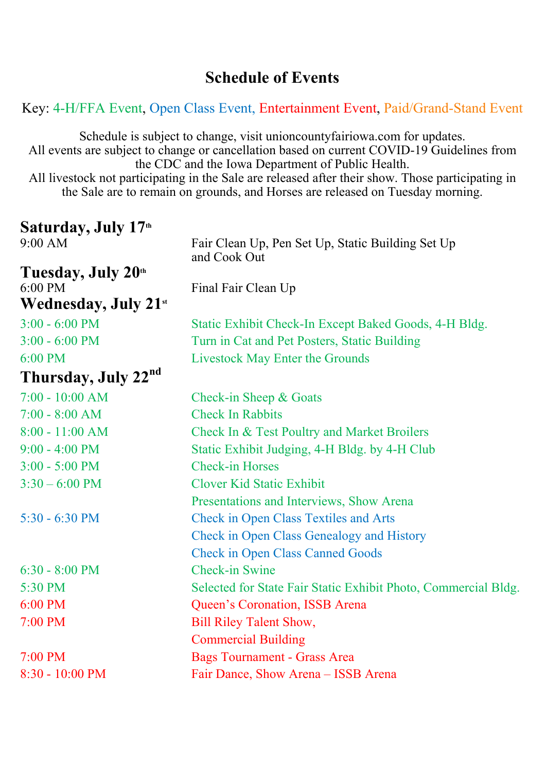### **Schedule of Events**

Key: 4-H/FFA Event, Open Class Event, Entertainment Event, Paid/Grand-Stand Event

Schedule is subject to change, visit unioncountyfairiowa.com for updates. All events are subject to change or cancellation based on current COVID-19 Guidelines from the CDC and the Iowa Department of Public Health. All livestock not participating in the Sale are released after their show. Those participating in the Sale are to remain on grounds, and Horses are released on Tuesday morning.

| Saturday, July 17th              |                                                                   |  |  |
|----------------------------------|-------------------------------------------------------------------|--|--|
| 9:00 AM                          | Fair Clean Up, Pen Set Up, Static Building Set Up<br>and Cook Out |  |  |
| Tuesday, July 20th               |                                                                   |  |  |
| 6:00 PM                          | Final Fair Clean Up                                               |  |  |
| Wednesday, July 21 <sup>st</sup> |                                                                   |  |  |
| $3:00 - 6:00$ PM                 | Static Exhibit Check-In Except Baked Goods, 4-H Bldg.             |  |  |
| $3:00 - 6:00$ PM                 | Turn in Cat and Pet Posters, Static Building                      |  |  |
| $6:00$ PM                        | Livestock May Enter the Grounds                                   |  |  |
| Thursday, July 22nd              |                                                                   |  |  |
| $7:00 - 10:00$ AM                | Check-in Sheep & Goats                                            |  |  |
| $7:00 - 8:00$ AM                 | <b>Check In Rabbits</b>                                           |  |  |
| $8:00 - 11:00$ AM                | Check In & Test Poultry and Market Broilers                       |  |  |
| $9:00 - 4:00$ PM                 | Static Exhibit Judging, 4-H Bldg. by 4-H Club                     |  |  |
| $3:00 - 5:00$ PM                 | <b>Check-in Horses</b>                                            |  |  |
| $3:30 - 6:00$ PM                 | Clover Kid Static Exhibit                                         |  |  |
|                                  | Presentations and Interviews, Show Arena                          |  |  |
| $5:30 - 6:30$ PM                 | <b>Check in Open Class Textiles and Arts</b>                      |  |  |
|                                  | Check in Open Class Genealogy and History                         |  |  |
|                                  | <b>Check in Open Class Canned Goods</b>                           |  |  |
| $6:30 - 8:00$ PM                 | <b>Check-in Swine</b>                                             |  |  |
| 5:30 PM                          | Selected for State Fair Static Exhibit Photo, Commercial Bldg.    |  |  |
| 6:00 PM                          | Queen's Coronation, ISSB Arena                                    |  |  |
| $7:00$ PM                        | <b>Bill Riley Talent Show,</b>                                    |  |  |
|                                  | <b>Commercial Building</b>                                        |  |  |
| $7:00 \text{ PM}$                | <b>Bags Tournament - Grass Area</b>                               |  |  |
| 8:30 - 10:00 PM                  | Fair Dance, Show Arena - ISSB Arena                               |  |  |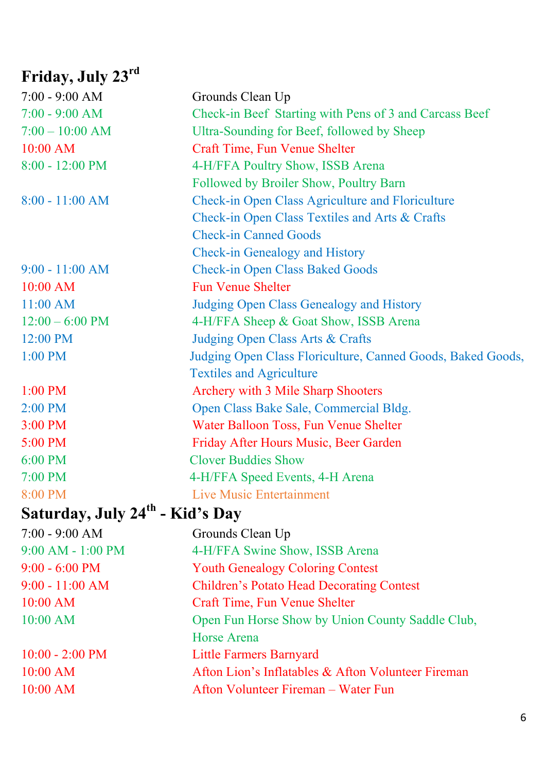# **Friday, July 23rd**

| $7:00 - 9:00 AM$  | Grounds Clean Up                                            |  |  |
|-------------------|-------------------------------------------------------------|--|--|
| $7:00 - 9:00 AM$  | Check-in Beef Starting with Pens of 3 and Carcass Beef      |  |  |
| $7:00 - 10:00$ AM | Ultra-Sounding for Beef, followed by Sheep                  |  |  |
| $10:00$ AM        | Craft Time, Fun Venue Shelter                               |  |  |
| $8:00 - 12:00$ PM | 4-H/FFA Poultry Show, ISSB Arena                            |  |  |
|                   | Followed by Broiler Show, Poultry Barn                      |  |  |
| $8:00 - 11:00$ AM | Check-in Open Class Agriculture and Floriculture            |  |  |
|                   | Check-in Open Class Textiles and Arts & Crafts              |  |  |
|                   | <b>Check-in Canned Goods</b>                                |  |  |
|                   | Check-in Genealogy and History                              |  |  |
| $9:00 - 11:00 AM$ | <b>Check-in Open Class Baked Goods</b>                      |  |  |
| 10:00 AM          | <b>Fun Venue Shelter</b>                                    |  |  |
| 11:00 AM          | Judging Open Class Genealogy and History                    |  |  |
| $12:00 - 6:00$ PM | 4-H/FFA Sheep & Goat Show, ISSB Arena                       |  |  |
| 12:00 PM          | Judging Open Class Arts & Crafts                            |  |  |
| 1:00 PM           | Judging Open Class Floriculture, Canned Goods, Baked Goods, |  |  |
|                   | <b>Textiles and Agriculture</b>                             |  |  |
| 1:00 PM           | Archery with 3 Mile Sharp Shooters                          |  |  |
| $2:00$ PM         | Open Class Bake Sale, Commercial Bldg.                      |  |  |
| 3:00 PM           | Water Balloon Toss, Fun Venue Shelter                       |  |  |
| 5:00 PM           | Friday After Hours Music, Beer Garden                       |  |  |
| 6:00 PM           | <b>Clover Buddies Show</b>                                  |  |  |
| 7:00 PM           | 4-H/FFA Speed Events, 4-H Arena                             |  |  |
| 8:00 PM           | <b>Live Music Entertainment</b>                             |  |  |
| . ⊿th             |                                                             |  |  |

# **Saturday, July 24th - Kid's Day**

| $7:00 - 9:00 AM$          | Grounds Clean Up                                   |  |  |
|---------------------------|----------------------------------------------------|--|--|
| $9:00$ AM - $1:00$ PM     | 4-H/FFA Swine Show, ISSB Arena                     |  |  |
| $9:00 - 6:00$ PM          | <b>Youth Genealogy Coloring Contest</b>            |  |  |
| $9:00 - 11:00 AM$         | <b>Children's Potato Head Decorating Contest</b>   |  |  |
| $10:00$ AM                | Craft Time, Fun Venue Shelter                      |  |  |
| $10:00$ AM                | Open Fun Horse Show by Union County Saddle Club,   |  |  |
|                           | Horse Arena                                        |  |  |
| $10:00 - 2:00 \text{ PM}$ | <b>Little Farmers Barnyard</b>                     |  |  |
| $10:00$ AM                | Afton Lion's Inflatables & Afton Volunteer Fireman |  |  |
| $10:00$ AM                | Afton Volunteer Fireman – Water Fun                |  |  |
|                           |                                                    |  |  |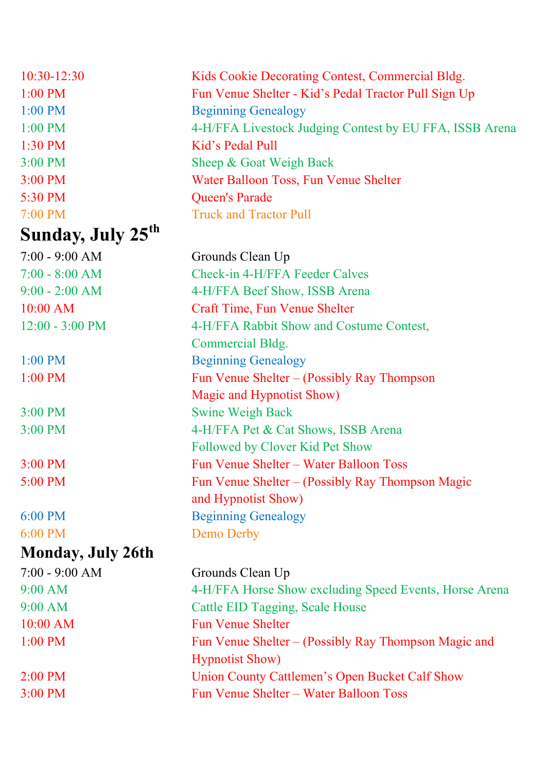| 10:30-12:30                   | Kids Cookie Decorating Contest, Commercial Bldg.        |  |  |
|-------------------------------|---------------------------------------------------------|--|--|
| 1:00 PM                       | Fun Venue Shelter - Kid's Pedal Tractor Pull Sign Up    |  |  |
| 1:00 PM                       | <b>Beginning Genealogy</b>                              |  |  |
| $1:00$ PM                     | 4-H/FFA Livestock Judging Contest by EU FFA, ISSB Arena |  |  |
| 1:30 PM                       | Kid's Pedal Pull                                        |  |  |
| $3:00$ PM                     | Sheep & Goat Weigh Back                                 |  |  |
| 3:00 PM                       | Water Balloon Toss, Fun Venue Shelter                   |  |  |
| 5:30 PM                       | <b>Queen's Parade</b>                                   |  |  |
| 7:00 PM                       | <b>Truck and Tractor Pull</b>                           |  |  |
| Sunday, July 25 <sup>th</sup> |                                                         |  |  |
| $7:00 - 9:00 AM$              | Grounds Clean Up                                        |  |  |
| $7:00 - 8:00$ AM              | Check-in 4-H/FFA Feeder Calves                          |  |  |
| $9:00 - 2:00$ AM              | 4-H/FFA Beef Show, ISSB Arena                           |  |  |
| $10:00$ AM                    | Craft Time, Fun Venue Shelter                           |  |  |
| $12:00 - 3:00$ PM             | 4-H/FFA Rabbit Show and Costume Contest,                |  |  |
|                               | Commercial Bldg.                                        |  |  |
| $1:00$ PM                     | <b>Beginning Genealogy</b>                              |  |  |
| 1:00 PM                       | Fun Venue Shelter - (Possibly Ray Thompson              |  |  |
|                               | Magic and Hypnotist Show)                               |  |  |
| 3:00 PM                       | <b>Swine Weigh Back</b>                                 |  |  |
| 3:00 PM                       | 4-H/FFA Pet & Cat Shows, ISSB Arena                     |  |  |
|                               | Followed by Clover Kid Pet Show                         |  |  |
| 3:00 PM                       | Fun Venue Shelter - Water Balloon Toss                  |  |  |
| 5:00 PM                       | Fun Venue Shelter – (Possibly Ray Thompson Magic        |  |  |
|                               | and Hypnotist Show)                                     |  |  |
| $6:00$ PM                     | <b>Beginning Genealogy</b>                              |  |  |
| 6:00 PM                       | <b>Demo Derby</b>                                       |  |  |
| <b>Monday, July 26th</b>      |                                                         |  |  |
| $7:00 - 9:00 AM$              | Grounds Clean Up                                        |  |  |
| 9:00 AM                       | 4-H/FFA Horse Show excluding Speed Events, Horse Arena  |  |  |
| 9:00 AM                       | Cattle EID Tagging, Scale House                         |  |  |
| 10:00 AM                      | <b>Fun Venue Shelter</b>                                |  |  |
| 1:00 PM                       | Fun Venue Shelter – (Possibly Ray Thompson Magic and    |  |  |
|                               | <b>Hypnotist Show</b> )                                 |  |  |
| 2:00 PM                       | Union County Cattlemen's Open Bucket Calf Show          |  |  |
| 3:00 PM                       | Fun Venue Shelter - Water Balloon Toss                  |  |  |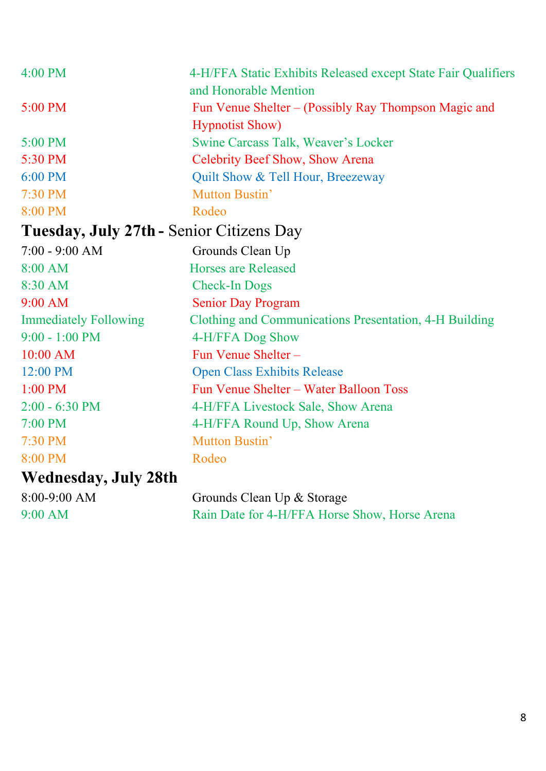| 4:00 PM                                  | 4-H/FFA Static Exhibits Released except State Fair Qualifiers<br>and Honorable Mention |  |  |
|------------------------------------------|----------------------------------------------------------------------------------------|--|--|
| 5:00 PM                                  | Fun Venue Shelter – (Possibly Ray Thompson Magic and                                   |  |  |
|                                          | <b>Hypnotist Show</b> )                                                                |  |  |
| 5:00 PM                                  | Swine Carcass Talk, Weaver's Locker                                                    |  |  |
| 5:30 PM                                  | Celebrity Beef Show, Show Arena                                                        |  |  |
| $6:00$ PM                                | Quilt Show & Tell Hour, Breezeway                                                      |  |  |
| 7:30 PM                                  | Mutton Bustin'                                                                         |  |  |
| 8:00 PM                                  | Rodeo                                                                                  |  |  |
| Tuesday, July 27th - Senior Citizens Day |                                                                                        |  |  |
| $7:00 - 9:00 AM$                         | Grounds Clean Up                                                                       |  |  |
| 8:00 AM                                  | <b>Horses are Released</b>                                                             |  |  |
| 8:30 AM                                  | <b>Check-In Dogs</b>                                                                   |  |  |
| $9:00$ AM                                | <b>Senior Day Program</b>                                                              |  |  |
| <b>Immediately Following</b>             | Clothing and Communications Presentation, 4-H Building                                 |  |  |
| $9:00 - 1:00$ PM                         | 4-H/FFA Dog Show                                                                       |  |  |
| $10:00$ AM                               | Fun Venue Shelter-                                                                     |  |  |
| 12:00 PM                                 | <b>Open Class Exhibits Release</b>                                                     |  |  |
| $1:00$ PM                                | Fun Venue Shelter - Water Balloon Toss                                                 |  |  |
| $2:00 - 6:30$ PM                         | 4-H/FFA Livestock Sale, Show Arena                                                     |  |  |
| 7:00 PM                                  | 4-H/FFA Round Up, Show Arena                                                           |  |  |
| 7:30 PM                                  | Mutton Bustin'                                                                         |  |  |
| 8:00 PM                                  | Rodeo                                                                                  |  |  |
| Wednesday, July 28th                     |                                                                                        |  |  |
| $8:00-9:00$ AM                           | Grounds Clean Up & Storage                                                             |  |  |
| $9:00$ AM                                | Rain Date for 4-H/FFA Horse Show, Horse Arena                                          |  |  |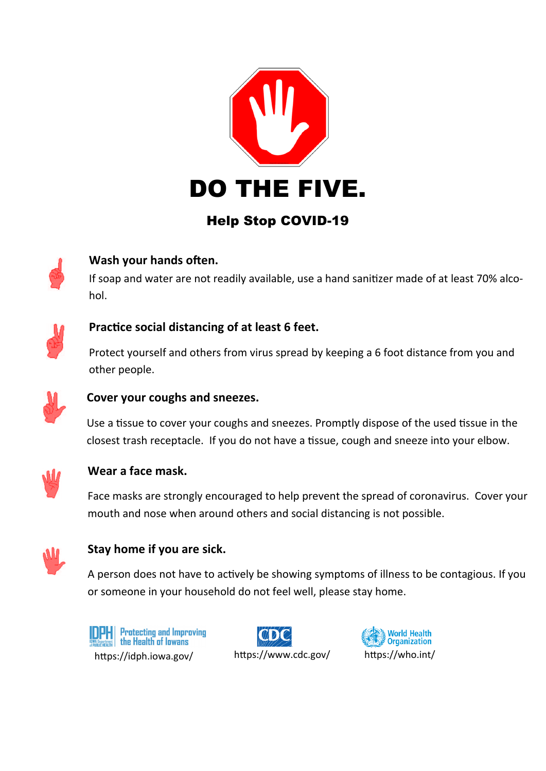

# Help Stop COVID-19



#### **Wash your hands often.**

If soap and water are not readily available, use a hand sanitizer made of at least 70% alcohol.



#### **PracƟce social distancing of at least 6 feet.**

Protect yourself and others from virus spread by keeping a 6 foot distance from you and other people.



#### **Cover your coughs and sneezes.**

Use a tissue to cover your coughs and sneezes. Promptly dispose of the used tissue in the closest trash receptacle. If you do not have a tissue, cough and sneeze into your elbow.



#### **Wear a face mask.**

Face masks are strongly encouraged to help prevent the spread of coronavirus. Cover your mouth and nose when around others and social distancing is not possible.



#### **Stay home if you are sick.**

A person does not have to actively be showing symptoms of illness to be contagious. If you or someone in your household do not feel well, please stay home.





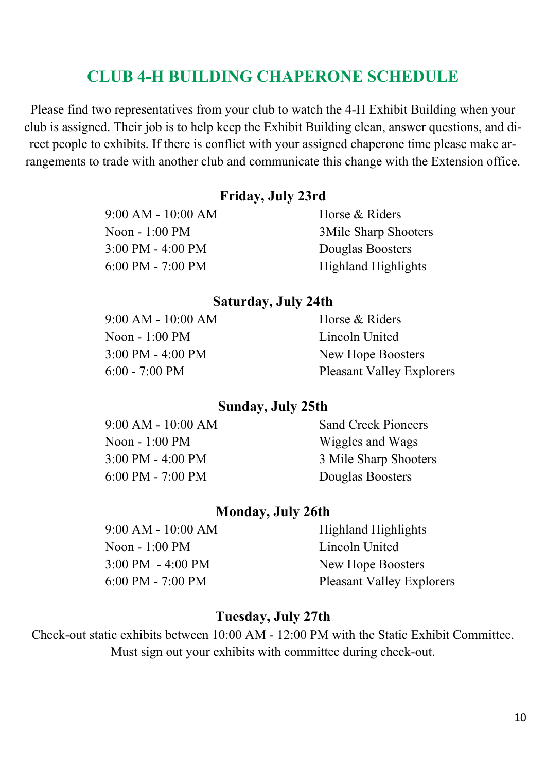# **CLUB 4-H BUILDING CHAPERONE SCHEDULE**

Please find two representatives from your club to watch the 4-H Exhibit Building when your club is assigned. Their job is to help keep the Exhibit Building clean, answer questions, and direct people to exhibits. If there is conflict with your assigned chaperone time please make arrangements to trade with another club and communicate this change with the Extension office.

#### **Friday, July 23rd**

9:00 AM - 10:00 AM Horse & Riders Noon - 1:00 PM 3Mile Sharp Shooters 3:00 PM - 4:00 PM Douglas Boosters 6:00 PM - 7:00 PM Highland Highlights

#### **Saturday, July 24th**

| $9:00 AM - 10:00 AM$                | Horse & Riders                   |
|-------------------------------------|----------------------------------|
| Noon $-1:00$ PM                     | Lincoln United                   |
| $3:00 \text{ PM} - 4:00 \text{ PM}$ | New Hope Boosters                |
| $6:00 - 7:00 \text{ PM}$            | <b>Pleasant Valley Explorers</b> |

#### **Sunday, July 25th**

9:00 AM - 10:00 AM Sand Creek Pioneers Noon - 1:00 PM Wiggles and Wags 6:00 PM - 7:00 PM Douglas Boosters

3:00 PM - 4:00 PM 3 Mile Sharp Shooters

#### **Monday, July 26th**

9:00 AM - 10:00 AM Highland Highlights Noon - 1:00 PM Lincoln United 3:00 PM - 4:00 PM New Hope Boosters 6:00 PM - 7:00 PM Pleasant Valley Explorers

### **Tuesday, July 27th**

Check-out static exhibits between 10:00 AM - 12:00 PM with the Static Exhibit Committee. Must sign out your exhibits with committee during check-out.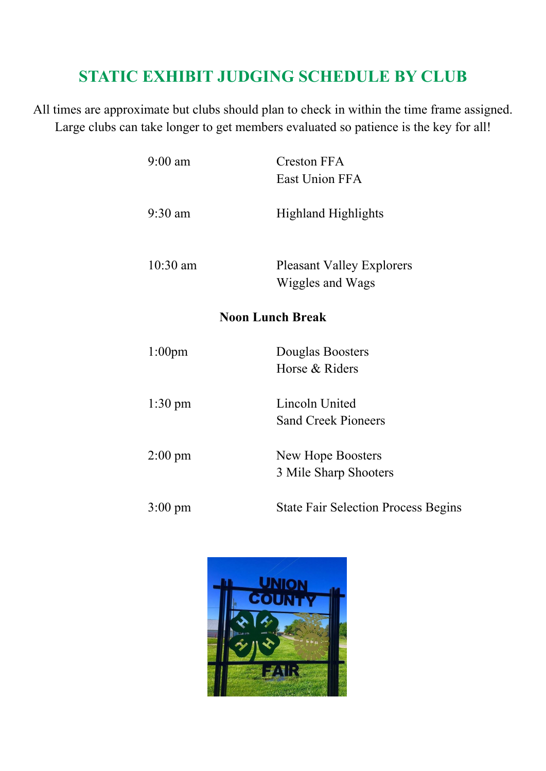# **STATIC EXHIBIT JUDGING SCHEDULE BY CLUB**

All times are approximate but clubs should plan to check in within the time frame assigned. Large clubs can take longer to get members evaluated so patience is the key for all!

| $9:00$ am         | <b>Creston FFA</b><br>East Union FFA                 |
|-------------------|------------------------------------------------------|
| 9:30 am           | <b>Highland Highlights</b>                           |
| 10:30 am          | <b>Pleasant Valley Explorers</b><br>Wiggles and Wags |
|                   | <b>Noon Lunch Break</b>                              |
| $1:00$ pm         | Douglas Boosters<br>Horse & Riders                   |
| $1:30$ pm         | Lincoln United<br><b>Sand Creek Pioneers</b>         |
| $2:00 \text{ pm}$ | New Hope Boosters<br>3 Mile Sharp Shooters           |
| $3:00 \text{ pm}$ | <b>State Fair Selection Process Begins</b>           |

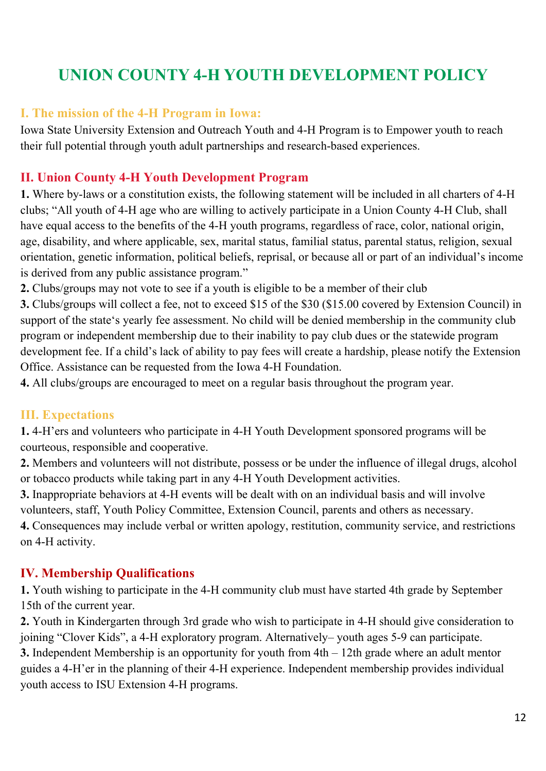# **UNION COUNTY 4-H YOUTH DEVELOPMENT POLICY**

#### **I. The mission of the 4-H Program in Iowa:**

Iowa State University Extension and Outreach Youth and 4-H Program is to Empower youth to reach their full potential through youth adult partnerships and research-based experiences.

#### **II. Union County 4-H Youth Development Program**

**1.** Where by-laws or a constitution exists, the following statement will be included in all charters of 4-H clubs; "All youth of 4-H age who are willing to actively participate in a Union County 4-H Club, shall have equal access to the benefits of the 4-H youth programs, regardless of race, color, national origin, age, disability, and where applicable, sex, marital status, familial status, parental status, religion, sexual orientation, genetic information, political beliefs, reprisal, or because all or part of an individual's income is derived from any public assistance program."

**2.** Clubs/groups may not vote to see if a youth is eligible to be a member of their club

**3.** Clubs/groups will collect a fee, not to exceed \$15 of the \$30 (\$15.00 covered by Extension Council) in support of the state's yearly fee assessment. No child will be denied membership in the community club program or independent membership due to their inability to pay club dues or the statewide program development fee. If a child's lack of ability to pay fees will create a hardship, please notify the Extension Office. Assistance can be requested from the Iowa 4-H Foundation.

**4.** All clubs/groups are encouraged to meet on a regular basis throughout the program year.

#### **III. Expectations**

**1.** 4-H'ers and volunteers who participate in 4-H Youth Development sponsored programs will be courteous, responsible and cooperative.

**2.** Members and volunteers will not distribute, possess or be under the influence of illegal drugs, alcohol or tobacco products while taking part in any 4-H Youth Development activities.

**3.** Inappropriate behaviors at 4-H events will be dealt with on an individual basis and will involve volunteers, staff, Youth Policy Committee, Extension Council, parents and others as necessary.

**4.** Consequences may include verbal or written apology, restitution, community service, and restrictions on 4-H activity.

#### **IV. Membership Qualifications**

**1.** Youth wishing to participate in the 4-H community club must have started 4th grade by September 15th of the current year.

**2.** Youth in Kindergarten through 3rd grade who wish to participate in 4-H should give consideration to joining "Clover Kids", a 4-H exploratory program. Alternatively– youth ages 5-9 can participate.

**3.** Independent Membership is an opportunity for youth from 4th – 12th grade where an adult mentor guides a 4-H'er in the planning of their 4-H experience. Independent membership provides individual youth access to ISU Extension 4-H programs.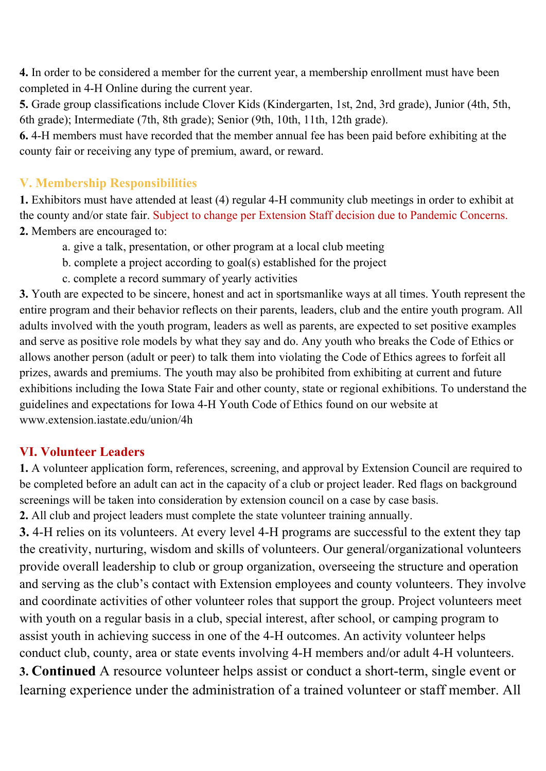**4.** In order to be considered a member for the current year, a membership enrollment must have been completed in 4-H Online during the current year.

**5.** Grade group classifications include Clover Kids (Kindergarten, 1st, 2nd, 3rd grade), Junior (4th, 5th, 6th grade); Intermediate (7th, 8th grade); Senior (9th, 10th, 11th, 12th grade).

**6.** 4-H members must have recorded that the member annual fee has been paid before exhibiting at the county fair or receiving any type of premium, award, or reward.

#### **V. Membership Responsibilities**

**1.** Exhibitors must have attended at least (4) regular 4-H community club meetings in order to exhibit at the county and/or state fair. Subject to change per Extension Staff decision due to Pandemic Concerns. **2.** Members are encouraged to:

- a. give a talk, presentation, or other program at a local club meeting
- b. complete a project according to goal(s) established for the project
- c. complete a record summary of yearly activities

**3.** Youth are expected to be sincere, honest and act in sportsmanlike ways at all times. Youth represent the entire program and their behavior reflects on their parents, leaders, club and the entire youth program. All adults involved with the youth program, leaders as well as parents, are expected to set positive examples and serve as positive role models by what they say and do. Any youth who breaks the Code of Ethics or allows another person (adult or peer) to talk them into violating the Code of Ethics agrees to forfeit all prizes, awards and premiums. The youth may also be prohibited from exhibiting at current and future exhibitions including the Iowa State Fair and other county, state or regional exhibitions. To understand the guidelines and expectations for Iowa 4-H Youth Code of Ethics found on our website at www.extension.iastate.edu/union/4h

#### **VI. Volunteer Leaders**

**1.** A volunteer application form, references, screening, and approval by Extension Council are required to be completed before an adult can act in the capacity of a club or project leader. Red flags on background screenings will be taken into consideration by extension council on a case by case basis.

**2.** All club and project leaders must complete the state volunteer training annually.

**3.** 4-H relies on its volunteers. At every level 4-H programs are successful to the extent they tap the creativity, nurturing, wisdom and skills of volunteers. Our general/organizational volunteers provide overall leadership to club or group organization, overseeing the structure and operation and serving as the club's contact with Extension employees and county volunteers. They involve and coordinate activities of other volunteer roles that support the group. Project volunteers meet with youth on a regular basis in a club, special interest, after school, or camping program to assist youth in achieving success in one of the 4-H outcomes. An activity volunteer helps conduct club, county, area or state events involving 4-H members and/or adult 4-H volunteers.

**3. Continued** A resource volunteer helps assist or conduct a short-term, single event or learning experience under the administration of a trained volunteer or staff member. All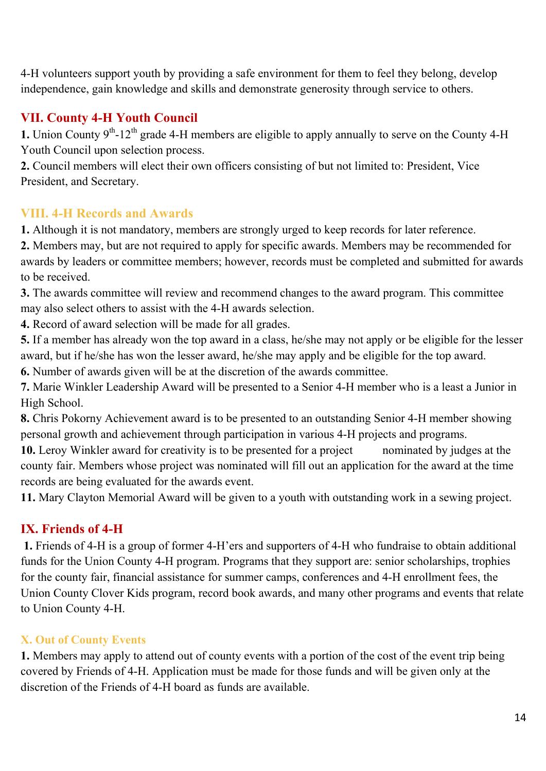4-H volunteers support youth by providing a safe environment for them to feel they belong, develop independence, gain knowledge and skills and demonstrate generosity through service to others.

#### **VII. County 4-H Youth Council**

**1.** Union County  $9<sup>th</sup>$ -12<sup>th</sup> grade 4-H members are eligible to apply annually to serve on the County 4-H Youth Council upon selection process.

**2.** Council members will elect their own officers consisting of but not limited to: President, Vice President, and Secretary.

#### **VIII. 4-H Records and Awards**

**1.** Although it is not mandatory, members are strongly urged to keep records for later reference.

**2.** Members may, but are not required to apply for specific awards. Members may be recommended for awards by leaders or committee members; however, records must be completed and submitted for awards to be received.

**3.** The awards committee will review and recommend changes to the award program. This committee may also select others to assist with the 4-H awards selection.

**4.** Record of award selection will be made for all grades.

**5.** If a member has already won the top award in a class, he/she may not apply or be eligible for the lesser award, but if he/she has won the lesser award, he/she may apply and be eligible for the top award.

**6.** Number of awards given will be at the discretion of the awards committee.

**7.** Marie Winkler Leadership Award will be presented to a Senior 4-H member who is a least a Junior in High School.

**8.** Chris Pokorny Achievement award is to be presented to an outstanding Senior 4-H member showing personal growth and achievement through participation in various 4-H projects and programs.

**10.** Leroy Winkler award for creativity is to be presented for a project nominated by judges at the county fair. Members whose project was nominated will fill out an application for the award at the time records are being evaluated for the awards event.

**11.** Mary Clayton Memorial Award will be given to a youth with outstanding work in a sewing project.

### **IX. Friends of 4-H**

 **1.** Friends of 4-H is a group of former 4-H'ers and supporters of 4-H who fundraise to obtain additional funds for the Union County 4-H program. Programs that they support are: senior scholarships, trophies for the county fair, financial assistance for summer camps, conferences and 4-H enrollment fees, the Union County Clover Kids program, record book awards, and many other programs and events that relate to Union County 4-H.

### **X. Out of County Events**

**1.** Members may apply to attend out of county events with a portion of the cost of the event trip being covered by Friends of 4-H. Application must be made for those funds and will be given only at the discretion of the Friends of 4-H board as funds are available.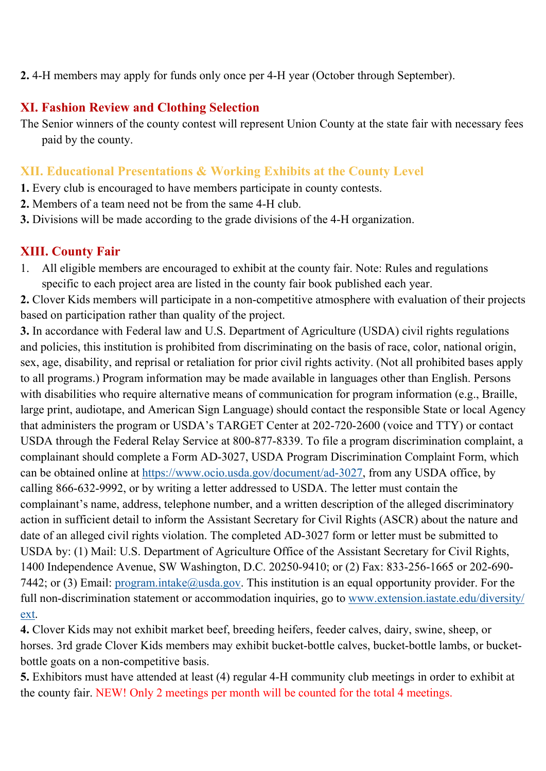#### **2.** 4-H members may apply for funds only once per 4-H year (October through September).

#### **XI. Fashion Review and Clothing Selection**

The Senior winners of the county contest will represent Union County at the state fair with necessary fees paid by the county.

#### **XII. Educational Presentations & Working Exhibits at the County Level**

- **1.** Every club is encouraged to have members participate in county contests.
- **2.** Members of a team need not be from the same 4-H club.
- **3.** Divisions will be made according to the grade divisions of the 4-H organization.

#### **XIII. County Fair**

1. All eligible members are encouraged to exhibit at the county fair. Note: Rules and regulations specific to each project area are listed in the county fair book published each year.

**2.** Clover Kids members will participate in a non-competitive atmosphere with evaluation of their projects based on participation rather than quality of the project.

**3.** In accordance with Federal law and U.S. Department of Agriculture (USDA) civil rights regulations and policies, this institution is prohibited from discriminating on the basis of race, color, national origin, sex, age, disability, and reprisal or retaliation for prior civil rights activity. (Not all prohibited bases apply to all programs.) Program information may be made available in languages other than English. Persons with disabilities who require alternative means of communication for program information (e.g., Braille, large print, audiotape, and American Sign Language) should contact the responsible State or local Agency that administers the program or USDA's TARGET Center at 202-720-2600 (voice and TTY) or contact USDA through the Federal Relay Service at 800-877-8339. To file a program discrimination complaint, a complainant should complete a Form AD-3027, USDA Program Discrimination Complaint Form, which can be obtained online at https://www.ocio.usda.gov/document/ad-3027, from any USDA office, by calling 866-632-9992, or by writing a letter addressed to USDA. The letter must contain the complainant's name, address, telephone number, and a written description of the alleged discriminatory action in sufficient detail to inform the Assistant Secretary for Civil Rights (ASCR) about the nature and date of an alleged civil rights violation. The completed AD-3027 form or letter must be submitted to USDA by: (1) Mail: U.S. Department of Agriculture Office of the Assistant Secretary for Civil Rights, 1400 Independence Avenue, SW Washington, D.C. 20250-9410; or (2) Fax: 833-256-1665 or 202-690- 7442; or (3) Email: program.intake@usda.gov. This institution is an equal opportunity provider. For the full non-discrimination statement or accommodation inquiries, go to www.extension.iastate.edu/diversity/ ext.

**4.** Clover Kids may not exhibit market beef, breeding heifers, feeder calves, dairy, swine, sheep, or horses. 3rd grade Clover Kids members may exhibit bucket-bottle calves, bucket-bottle lambs, or bucketbottle goats on a non-competitive basis.

**5.** Exhibitors must have attended at least (4) regular 4-H community club meetings in order to exhibit at the county fair. NEW! Only 2 meetings per month will be counted for the total 4 meetings.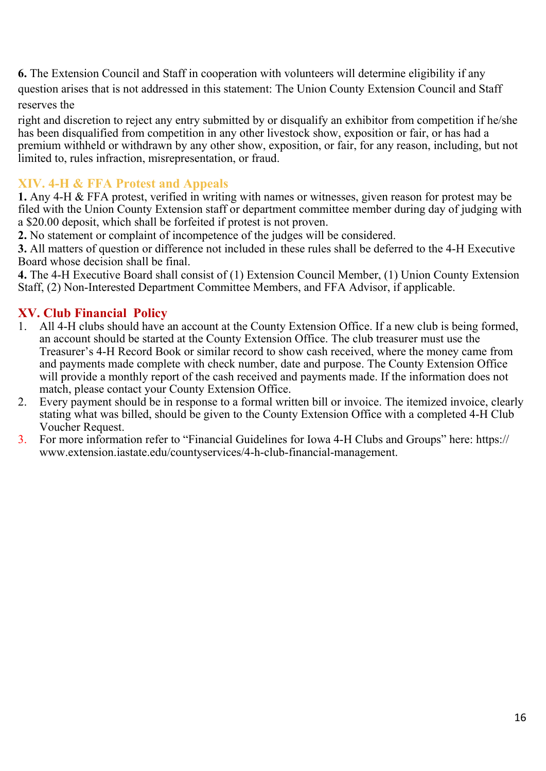**6.** The Extension Council and Staff in cooperation with volunteers will determine eligibility if any question arises that is not addressed in this statement: The Union County Extension Council and Staff reserves the

right and discretion to reject any entry submitted by or disqualify an exhibitor from competition if he/she has been disqualified from competition in any other livestock show, exposition or fair, or has had a premium withheld or withdrawn by any other show, exposition, or fair, for any reason, including, but not limited to, rules infraction, misrepresentation, or fraud.

#### **XIV. 4-H & FFA Protest and Appeals**

**1.** Any 4-H & FFA protest, verified in writing with names or witnesses, given reason for protest may be filed with the Union County Extension staff or department committee member during day of judging with a \$20.00 deposit, which shall be forfeited if protest is not proven.

**2.** No statement or complaint of incompetence of the judges will be considered.

**3.** All matters of question or difference not included in these rules shall be deferred to the 4-H Executive Board whose decision shall be final.

**4.** The 4-H Executive Board shall consist of (1) Extension Council Member, (1) Union County Extension Staff, (2) Non-Interested Department Committee Members, and FFA Advisor, if applicable.

### **XV. Club Financial Policy**

- 1. All 4-H clubs should have an account at the County Extension Office. If a new club is being formed, an account should be started at the County Extension Office. The club treasurer must use the Treasurer's 4-H Record Book or similar record to show cash received, where the money came from and payments made complete with check number, date and purpose. The County Extension Office will provide a monthly report of the cash received and payments made. If the information does not match, please contact your County Extension Office.
- 2. Every payment should be in response to a formal written bill or invoice. The itemized invoice, clearly stating what was billed, should be given to the County Extension Office with a completed 4-H Club Voucher Request.
- 3. For more information refer to "Financial Guidelines for Iowa 4-H Clubs and Groups" here: https:// www.extension.iastate.edu/countyservices/4-h-club-financial-management.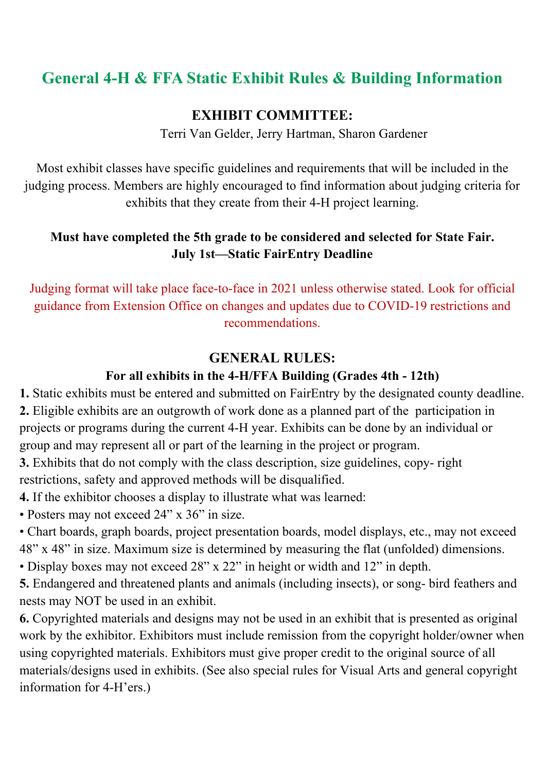# **General 4-H & FFA Static Exhibit Rules & Building Information**

### **EXHIBIT COMMITTEE:**

Terri Van Gelder, Jerry Hartman, Sharon Gardener

Most exhibit classes have specific guidelines and requirements that will be included in the judging process. Members are highly encouraged to find information about judging criteria for exhibits that they create from their 4-H project learning.

### **Must have completed the 5th grade to be considered and selected for State Fair. July 1st—Static FairEntry Deadline**

Judging format will take place face-to-face in 2021 unless otherwise stated. Look for official guidance from Extension Office on changes and updates due to COVID-19 restrictions and recommendations.

### **GENERAL RULES:**

### **For all exhibits in the 4-H/FFA Building (Grades 4th - 12th)**

**1.** Static exhibits must be entered and submitted on FairEntry by the designated county deadline. **2.** Eligible exhibits are an outgrowth of work done as a planned part of the participation in projects or programs during the current 4-H year. Exhibits can be done by an individual or group and may represent all or part of the learning in the project or program.

**3.** Exhibits that do not comply with the class description, size guidelines, copy- right restrictions, safety and approved methods will be disqualified.

**4.** If the exhibitor chooses a display to illustrate what was learned:

• Posters may not exceed 24" x 36" in size.

• Chart boards, graph boards, project presentation boards, model displays, etc., may not exceed 48" x 48" in size. Maximum size is determined by measuring the flat (unfolded) dimensions.

• Display boxes may not exceed 28" x 22" in height or width and 12" in depth.

**5.** Endangered and threatened plants and animals (including insects), or song- bird feathers and nests may NOT be used in an exhibit.

**6.** Copyrighted materials and designs may not be used in an exhibit that is presented as original work by the exhibitor. Exhibitors must include remission from the copyright holder/owner when using copyrighted materials. Exhibitors must give proper credit to the original source of all materials/designs used in exhibits. (See also special rules for Visual Arts and general copyright information for 4-H'ers.)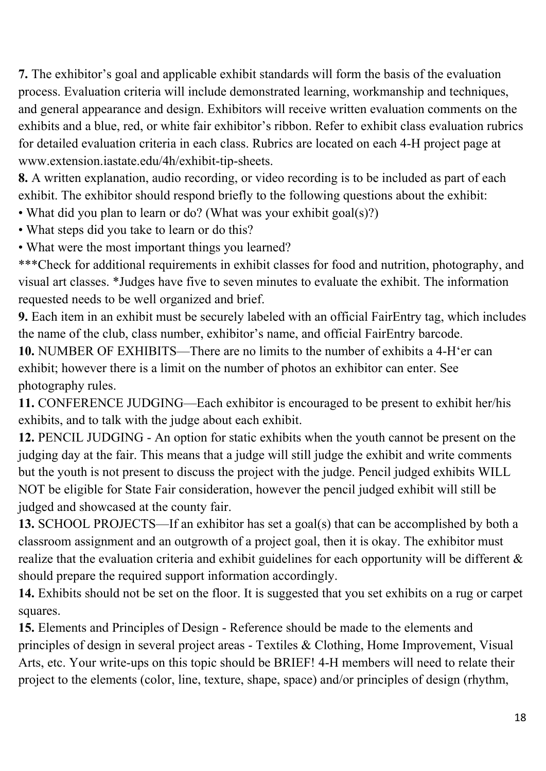**7.** The exhibitor's goal and applicable exhibit standards will form the basis of the evaluation process. Evaluation criteria will include demonstrated learning, workmanship and techniques, and general appearance and design. Exhibitors will receive written evaluation comments on the exhibits and a blue, red, or white fair exhibitor's ribbon. Refer to exhibit class evaluation rubrics for detailed evaluation criteria in each class. Rubrics are located on each 4-H project page at www.extension.iastate.edu/4h/exhibit-tip-sheets.

**8.** A written explanation, audio recording, or video recording is to be included as part of each exhibit. The exhibitor should respond briefly to the following questions about the exhibit:

• What did you plan to learn or do? (What was your exhibit goal(s)?)

• What steps did you take to learn or do this?

• What were the most important things you learned?

\*\*\*Check for additional requirements in exhibit classes for food and nutrition, photography, and visual art classes. \*Judges have five to seven minutes to evaluate the exhibit. The information requested needs to be well organized and brief.

**9.** Each item in an exhibit must be securely labeled with an official FairEntry tag, which includes the name of the club, class number, exhibitor's name, and official FairEntry barcode.

**10.** NUMBER OF EXHIBITS—There are no limits to the number of exhibits a 4-H'er can exhibit; however there is a limit on the number of photos an exhibitor can enter. See photography rules.

**11.** CONFERENCE JUDGING—Each exhibitor is encouraged to be present to exhibit her/his exhibits, and to talk with the judge about each exhibit.

**12.** PENCIL JUDGING - An option for static exhibits when the youth cannot be present on the judging day at the fair. This means that a judge will still judge the exhibit and write comments but the youth is not present to discuss the project with the judge. Pencil judged exhibits WILL NOT be eligible for State Fair consideration, however the pencil judged exhibit will still be judged and showcased at the county fair.

**13.** SCHOOL PROJECTS—If an exhibitor has set a goal(s) that can be accomplished by both a classroom assignment and an outgrowth of a project goal, then it is okay. The exhibitor must realize that the evaluation criteria and exhibit guidelines for each opportunity will be different  $\&$ should prepare the required support information accordingly.

**14.** Exhibits should not be set on the floor. It is suggested that you set exhibits on a rug or carpet squares.

**15.** Elements and Principles of Design - Reference should be made to the elements and principles of design in several project areas - Textiles & Clothing, Home Improvement, Visual Arts, etc. Your write-ups on this topic should be BRIEF! 4-H members will need to relate their project to the elements (color, line, texture, shape, space) and/or principles of design (rhythm,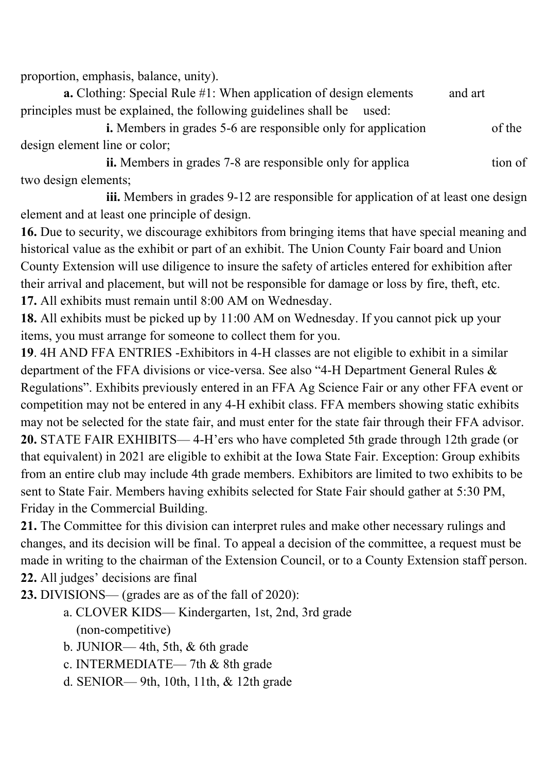proportion, emphasis, balance, unity).

**a.** Clothing: Special Rule #1: When application of design elements and art principles must be explained, the following guidelines shall be used:

**i.** Members in grades 5-6 are responsible only for application of the design element line or color;

**ii.** Members in grades 7-8 are responsible only for applica tion of two design elements;

 **iii.** Members in grades 9-12 are responsible for application of at least one design element and at least one principle of design.

**16.** Due to security, we discourage exhibitors from bringing items that have special meaning and historical value as the exhibit or part of an exhibit. The Union County Fair board and Union County Extension will use diligence to insure the safety of articles entered for exhibition after their arrival and placement, but will not be responsible for damage or loss by fire, theft, etc. **17.** All exhibits must remain until 8:00 AM on Wednesday.

**18.** All exhibits must be picked up by 11:00 AM on Wednesday. If you cannot pick up your items, you must arrange for someone to collect them for you.

**19**. 4H AND FFA ENTRIES -Exhibitors in 4-H classes are not eligible to exhibit in a similar department of the FFA divisions or vice-versa. See also "4-H Department General Rules & Regulations". Exhibits previously entered in an FFA Ag Science Fair or any other FFA event or competition may not be entered in any 4-H exhibit class. FFA members showing static exhibits may not be selected for the state fair, and must enter for the state fair through their FFA advisor. **20.** STATE FAIR EXHIBITS— 4-H'ers who have completed 5th grade through 12th grade (or that equivalent) in 2021 are eligible to exhibit at the Iowa State Fair. Exception: Group exhibits from an entire club may include 4th grade members. Exhibitors are limited to two exhibits to be sent to State Fair. Members having exhibits selected for State Fair should gather at 5:30 PM, Friday in the Commercial Building.

**21.** The Committee for this division can interpret rules and make other necessary rulings and changes, and its decision will be final. To appeal a decision of the committee, a request must be made in writing to the chairman of the Extension Council, or to a County Extension staff person. **22.** All judges' decisions are final

**23.** DIVISIONS— (grades are as of the fall of 2020):

- a. CLOVER KIDS— Kindergarten, 1st, 2nd, 3rd grade (non-competitive)
- b. JUNIOR— 4th, 5th, & 6th grade
- c. INTERMEDIATE— 7th & 8th grade
- d. SENIOR— 9th, 10th, 11th, & 12th grade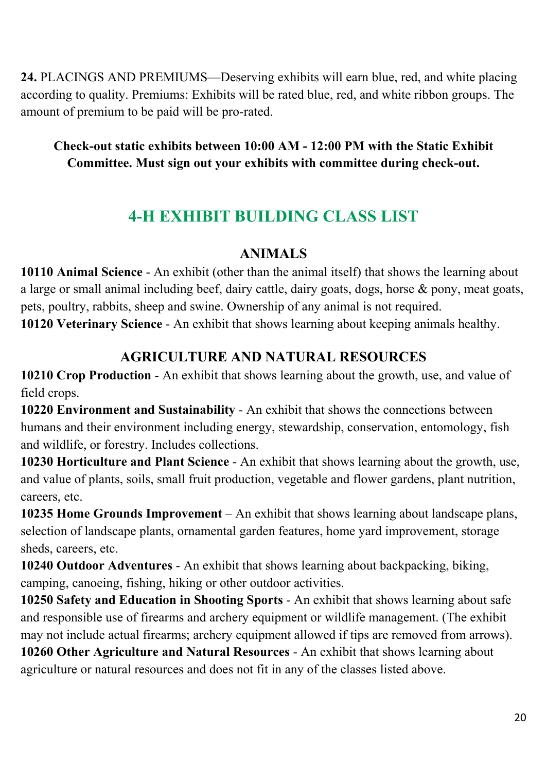**24.** PLACINGS AND PREMIUMS—Deserving exhibits will earn blue, red, and white placing according to quality. Premiums: Exhibits will be rated blue, red, and white ribbon groups. The amount of premium to be paid will be pro-rated.

### **Check-out static exhibits between 10:00 AM - 12:00 PM with the Static Exhibit Committee. Must sign out your exhibits with committee during check-out.**

# **4-H EXHIBIT BUILDING CLASS LIST**

### **ANIMALS**

**10110 Animal Science** - An exhibit (other than the animal itself) that shows the learning about a large or small animal including beef, dairy cattle, dairy goats, dogs, horse & pony, meat goats, pets, poultry, rabbits, sheep and swine. Ownership of any animal is not required. **10120 Veterinary Science** - An exhibit that shows learning about keeping animals healthy.

### **AGRICULTURE AND NATURAL RESOURCES**

**10210 Crop Production** - An exhibit that shows learning about the growth, use, and value of field crops.

**10220 Environment and Sustainability** - An exhibit that shows the connections between humans and their environment including energy, stewardship, conservation, entomology, fish and wildlife, or forestry. Includes collections.

**10230 Horticulture and Plant Science** - An exhibit that shows learning about the growth, use, and value of plants, soils, small fruit production, vegetable and flower gardens, plant nutrition, careers, etc.

**10235 Home Grounds Improvement** – An exhibit that shows learning about landscape plans, selection of landscape plants, ornamental garden features, home yard improvement, storage sheds, careers, etc.

**10240 Outdoor Adventures** - An exhibit that shows learning about backpacking, biking, camping, canoeing, fishing, hiking or other outdoor activities.

**10250 Safety and Education in Shooting Sports** - An exhibit that shows learning about safe and responsible use of firearms and archery equipment or wildlife management. (The exhibit may not include actual firearms; archery equipment allowed if tips are removed from arrows).

**10260 Other Agriculture and Natural Resources** - An exhibit that shows learning about agriculture or natural resources and does not fit in any of the classes listed above.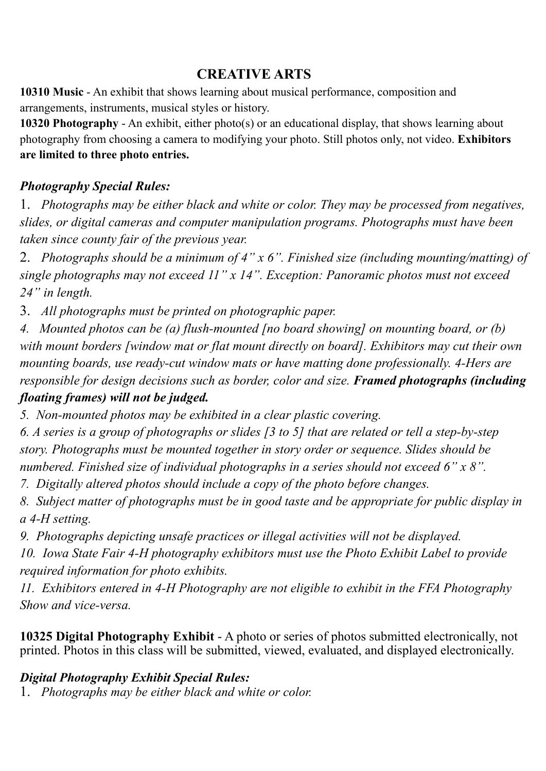### **CREATIVE ARTS**

**10310 Music** - An exhibit that shows learning about musical performance, composition and arrangements, instruments, musical styles or history.

**10320 Photography** - An exhibit, either photo(s) or an educational display, that shows learning about photography from choosing a camera to modifying your photo. Still photos only, not video. **Exhibitors are limited to three photo entries.** 

### *Photography Special Rules:*

1. *Photographs may be either black and white or color. They may be processed from negatives, slides, or digital cameras and computer manipulation programs. Photographs must have been taken since county fair of the previous year.*

2. *Photographs should be a minimum of 4" x 6". Finished size (including mounting/matting) of single photographs may not exceed 11" x 14". Exception: Panoramic photos must not exceed 24" in length.*

3. *All photographs must be printed on photographic paper.* 

*4. Mounted photos can be (a) flush-mounted [no board showing] on mounting board, or (b) with mount borders [window mat or flat mount directly on board]. Exhibitors may cut their own mounting boards, use ready-cut window mats or have matting done professionally. 4-Hers are responsible for design decisions such as border, color and size. Framed photographs (including floating frames) will not be judged.* 

*5. Non-mounted photos may be exhibited in a clear plastic covering.*

*6. A series is a group of photographs or slides [3 to 5] that are related or tell a step-by-step story. Photographs must be mounted together in story order or sequence. Slides should be numbered. Finished size of individual photographs in a series should not exceed 6" x 8".* 

*7. Digitally altered photos should include a copy of the photo before changes.*

*8. Subject matter of photographs must be in good taste and be appropriate for public display in a 4-H setting.*

*9. Photographs depicting unsafe practices or illegal activities will not be displayed.*

*10. Iowa State Fair 4-H photography exhibitors must use the Photo Exhibit Label to provide required information for photo exhibits.*

*11. Exhibitors entered in 4-H Photography are not eligible to exhibit in the FFA Photography Show and vice-versa.* 

**10325 Digital Photography Exhibit** - A photo or series of photos submitted electronically, not printed. Photos in this class will be submitted, viewed, evaluated, and displayed electronically.

### *Digital Photography Exhibit Special Rules:*

1. *Photographs may be either black and white or color.*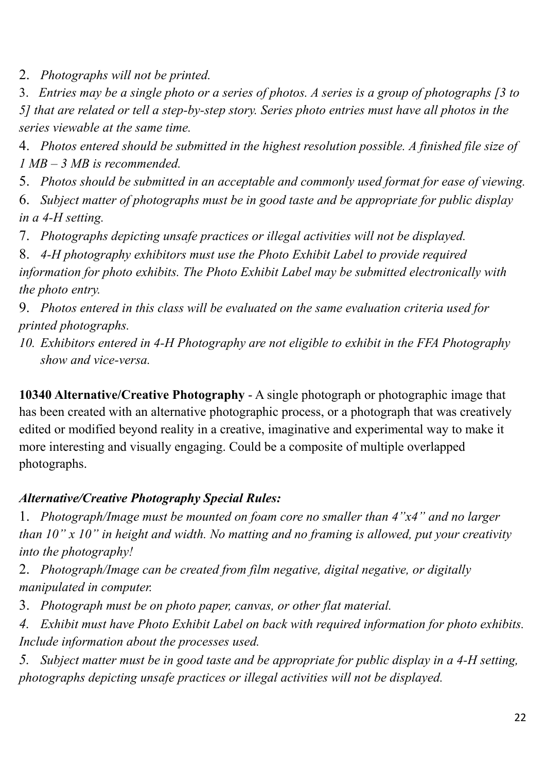2. *Photographs will not be printed.*

3. *Entries may be a single photo or a series of photos. A series is a group of photographs [3 to 5] that are related or tell a step-by-step story. Series photo entries must have all photos in the series viewable at the same time.* 

4. *Photos entered should be submitted in the highest resolution possible. A finished file size of 1 MB – 3 MB is recommended.*

5. *Photos should be submitted in an acceptable and commonly used format for ease of viewing.*

6. *Subject matter of photographs must be in good taste and be appropriate for public display in a 4-H setting.*

7. *Photographs depicting unsafe practices or illegal activities will not be displayed.*

8. *4-H photography exhibitors must use the Photo Exhibit Label to provide required information for photo exhibits. The Photo Exhibit Label may be submitted electronically with the photo entry.*

9. *Photos entered in this class will be evaluated on the same evaluation criteria used for printed photographs.*

*10. Exhibitors entered in 4-H Photography are not eligible to exhibit in the FFA Photography show and vice-versa.* 

**10340 Alternative/Creative Photography** - A single photograph or photographic image that has been created with an alternative photographic process, or a photograph that was creatively edited or modified beyond reality in a creative, imaginative and experimental way to make it more interesting and visually engaging. Could be a composite of multiple overlapped photographs.

### *Alternative/Creative Photography Special Rules:*

1. *Photograph/Image must be mounted on foam core no smaller than 4"x4" and no larger than 10" x 10" in height and width. No matting and no framing is allowed, put your creativity into the photography!*

2. *Photograph/Image can be created from film negative, digital negative, or digitally manipulated in computer.*

3. *Photograph must be on photo paper, canvas, or other flat material.*

*4. Exhibit must have Photo Exhibit Label on back with required information for photo exhibits. Include information about the processes used.* 

*5. Subject matter must be in good taste and be appropriate for public display in a 4-H setting, photographs depicting unsafe practices or illegal activities will not be displayed.*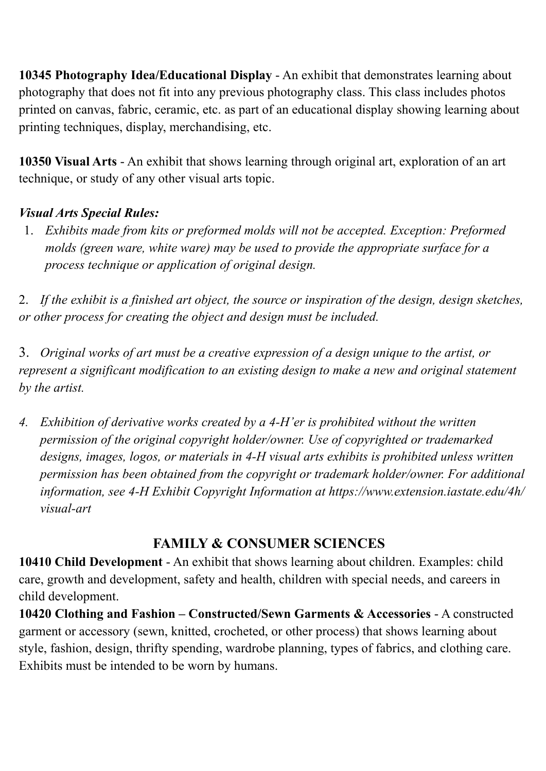**10345 Photography Idea/Educational Display** - An exhibit that demonstrates learning about photography that does not fit into any previous photography class. This class includes photos printed on canvas, fabric, ceramic, etc. as part of an educational display showing learning about printing techniques, display, merchandising, etc.

**10350 Visual Arts** - An exhibit that shows learning through original art, exploration of an art technique, or study of any other visual arts topic.

### *Visual Arts Special Rules:*

1. *Exhibits made from kits or preformed molds will not be accepted. Exception: Preformed molds (green ware, white ware) may be used to provide the appropriate surface for a process technique or application of original design.* 

2. *If the exhibit is a finished art object, the source or inspiration of the design, design sketches, or other process for creating the object and design must be included.* 

3. *Original works of art must be a creative expression of a design unique to the artist, or represent a significant modification to an existing design to make a new and original statement by the artist.* 

*4. Exhibition of derivative works created by a 4-H'er is prohibited without the written permission of the original copyright holder/owner. Use of copyrighted or trademarked designs, images, logos, or materials in 4-H visual arts exhibits is prohibited unless written permission has been obtained from the copyright or trademark holder/owner. For additional information, see 4-H Exhibit Copyright Information at https://www.extension.iastate.edu/4h/ visual-art* 

### **FAMILY & CONSUMER SCIENCES**

**10410 Child Development** - An exhibit that shows learning about children. Examples: child care, growth and development, safety and health, children with special needs, and careers in child development.

**10420 Clothing and Fashion – Constructed/Sewn Garments & Accessories** - A constructed garment or accessory (sewn, knitted, crocheted, or other process) that shows learning about style, fashion, design, thrifty spending, wardrobe planning, types of fabrics, and clothing care. Exhibits must be intended to be worn by humans.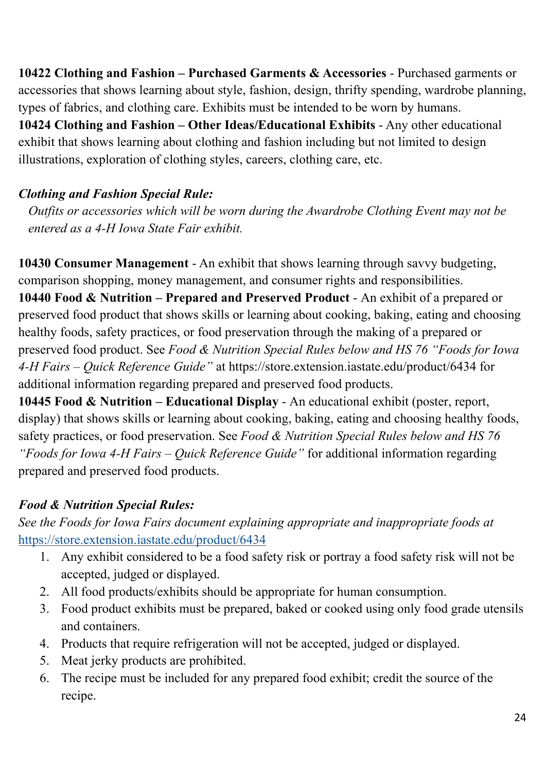**10422 Clothing and Fashion – Purchased Garments & Accessories** - Purchased garments or accessories that shows learning about style, fashion, design, thrifty spending, wardrobe planning, types of fabrics, and clothing care. Exhibits must be intended to be worn by humans. **10424 Clothing and Fashion – Other Ideas/Educational Exhibits** - Any other educational exhibit that shows learning about clothing and fashion including but not limited to design illustrations, exploration of clothing styles, careers, clothing care, etc.

### *Clothing and Fashion Special Rule:*

*Outfits or accessories which will be worn during the Awardrobe Clothing Event may not be entered as a 4-H Iowa State Fair exhibit.* 

**10430 Consumer Management** - An exhibit that shows learning through savvy budgeting, comparison shopping, money management, and consumer rights and responsibilities. **10440 Food & Nutrition – Prepared and Preserved Product** - An exhibit of a prepared or preserved food product that shows skills or learning about cooking, baking, eating and choosing healthy foods, safety practices, or food preservation through the making of a prepared or preserved food product. See *Food & Nutrition Special Rules below and HS 76 "Foods for Iowa 4-H Fairs – Quick Reference Guide"* at https://store.extension.iastate.edu/product/6434 for additional information regarding prepared and preserved food products.

**10445 Food & Nutrition – Educational Display** - An educational exhibit (poster, report, display) that shows skills or learning about cooking, baking, eating and choosing healthy foods, safety practices, or food preservation. See *Food & Nutrition Special Rules below and HS 76 "Foods for Iowa 4-H Fairs – Quick Reference Guide"* for additional information regarding prepared and preserved food products.

### *Food & Nutrition Special Rules:*

*See the Foods for Iowa Fairs document explaining appropriate and inappropriate foods at*  https://store.extension.iastate.edu/product/6434

- 1. Any exhibit considered to be a food safety risk or portray a food safety risk will not be accepted, judged or displayed.
- 2. All food products/exhibits should be appropriate for human consumption.
- 3. Food product exhibits must be prepared, baked or cooked using only food grade utensils and containers.
- 4. Products that require refrigeration will not be accepted, judged or displayed.
- 5. Meat jerky products are prohibited.
- 6. The recipe must be included for any prepared food exhibit; credit the source of the recipe.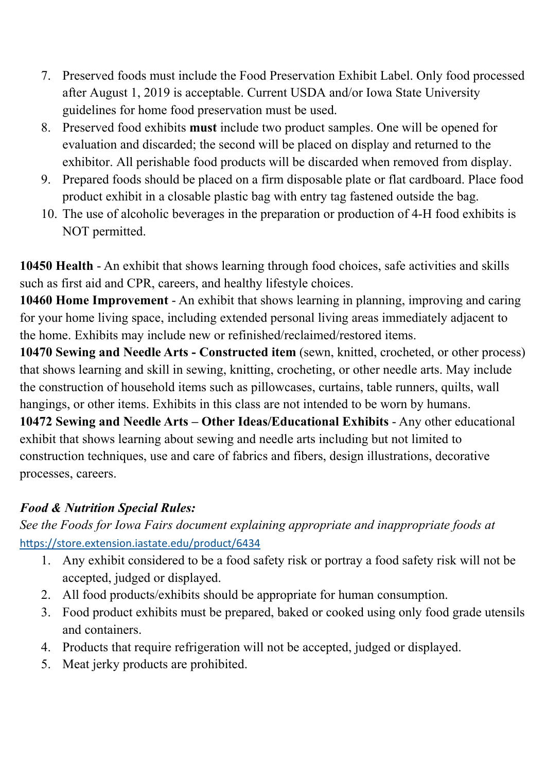- 7. Preserved foods must include the Food Preservation Exhibit Label. Only food processed after August 1, 2019 is acceptable. Current USDA and/or Iowa State University guidelines for home food preservation must be used.
- 8. Preserved food exhibits **must** include two product samples. One will be opened for evaluation and discarded; the second will be placed on display and returned to the exhibitor. All perishable food products will be discarded when removed from display.
- 9. Prepared foods should be placed on a firm disposable plate or flat cardboard. Place food product exhibit in a closable plastic bag with entry tag fastened outside the bag.
- 10. The use of alcoholic beverages in the preparation or production of 4-H food exhibits is NOT permitted.

**10450 Health** - An exhibit that shows learning through food choices, safe activities and skills such as first aid and CPR, careers, and healthy lifestyle choices.

**10460 Home Improvement** - An exhibit that shows learning in planning, improving and caring for your home living space, including extended personal living areas immediately adjacent to the home. Exhibits may include new or refinished/reclaimed/restored items.

**10470 Sewing and Needle Arts - Constructed item** (sewn, knitted, crocheted, or other process) that shows learning and skill in sewing, knitting, crocheting, or other needle arts. May include the construction of household items such as pillowcases, curtains, table runners, quilts, wall hangings, or other items. Exhibits in this class are not intended to be worn by humans.

**10472 Sewing and Needle Arts – Other Ideas/Educational Exhibits** - Any other educational exhibit that shows learning about sewing and needle arts including but not limited to construction techniques, use and care of fabrics and fibers, design illustrations, decorative processes, careers.

### *Food & Nutrition Special Rules:*

*See the Foods for Iowa Fairs document explaining appropriate and inappropriate foods at*  https://store.extension.iastate.edu/product/6434

- 1. Any exhibit considered to be a food safety risk or portray a food safety risk will not be accepted, judged or displayed.
- 2. All food products/exhibits should be appropriate for human consumption.
- 3. Food product exhibits must be prepared, baked or cooked using only food grade utensils and containers.
- 4. Products that require refrigeration will not be accepted, judged or displayed.
- 5. Meat jerky products are prohibited.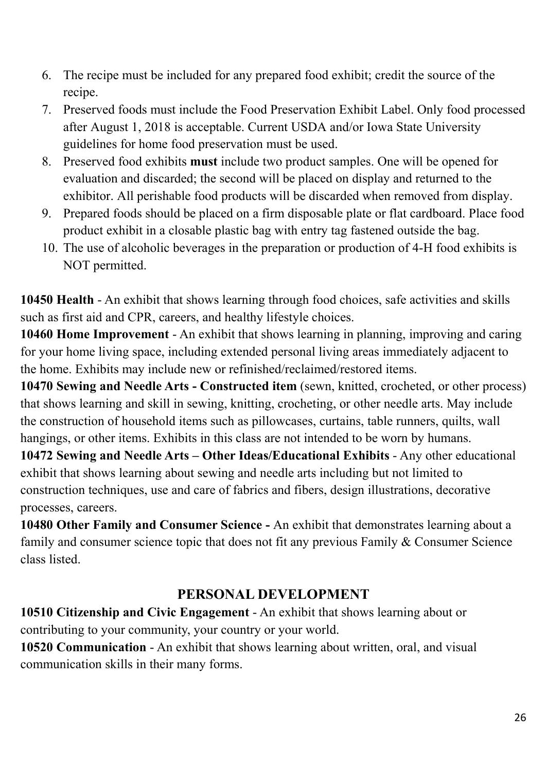- 6. The recipe must be included for any prepared food exhibit; credit the source of the recipe.
- 7. Preserved foods must include the Food Preservation Exhibit Label. Only food processed after August 1, 2018 is acceptable. Current USDA and/or Iowa State University guidelines for home food preservation must be used.
- 8. Preserved food exhibits **must** include two product samples. One will be opened for evaluation and discarded; the second will be placed on display and returned to the exhibitor. All perishable food products will be discarded when removed from display.
- 9. Prepared foods should be placed on a firm disposable plate or flat cardboard. Place food product exhibit in a closable plastic bag with entry tag fastened outside the bag.
- 10. The use of alcoholic beverages in the preparation or production of 4-H food exhibits is NOT permitted.

**10450 Health** - An exhibit that shows learning through food choices, safe activities and skills such as first aid and CPR, careers, and healthy lifestyle choices.

**10460 Home Improvement** - An exhibit that shows learning in planning, improving and caring for your home living space, including extended personal living areas immediately adjacent to the home. Exhibits may include new or refinished/reclaimed/restored items.

**10470 Sewing and Needle Arts - Constructed item** (sewn, knitted, crocheted, or other process) that shows learning and skill in sewing, knitting, crocheting, or other needle arts. May include the construction of household items such as pillowcases, curtains, table runners, quilts, wall hangings, or other items. Exhibits in this class are not intended to be worn by humans.

**10472 Sewing and Needle Arts – Other Ideas/Educational Exhibits** - Any other educational exhibit that shows learning about sewing and needle arts including but not limited to construction techniques, use and care of fabrics and fibers, design illustrations, decorative processes, careers.

**10480 Other Family and Consumer Science -** An exhibit that demonstrates learning about a family and consumer science topic that does not fit any previous Family & Consumer Science class listed.

### **PERSONAL DEVELOPMENT**

**10510 Citizenship and Civic Engagement** - An exhibit that shows learning about or contributing to your community, your country or your world.

**10520 Communication** - An exhibit that shows learning about written, oral, and visual communication skills in their many forms.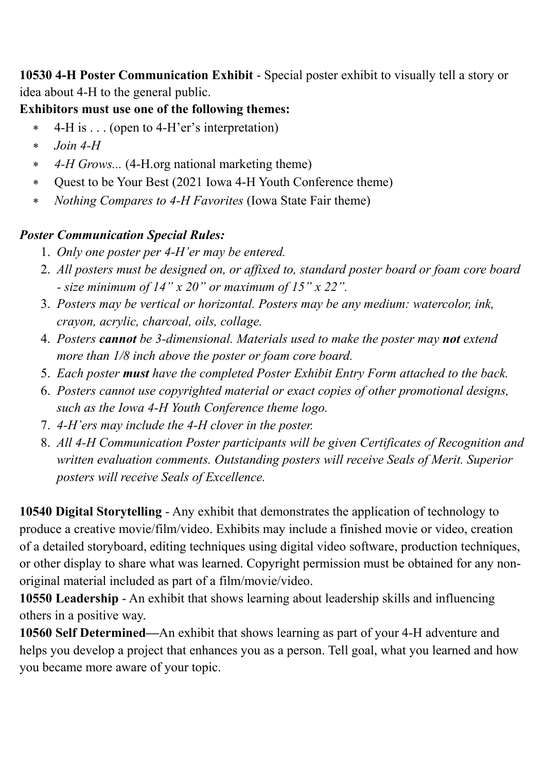**10530 4-H Poster Communication Exhibit** - Special poster exhibit to visually tell a story or idea about 4-H to the general public.

### **Exhibitors must use one of the following themes:**

- 4-H is . . . (open to 4-H'er's interpretation)
- *Join 4-H*
- *4-H Grows...* (4-H.org national marketing theme)
- Quest to be Your Best (2021 Iowa 4-H Youth Conference theme)
- *Nothing Compares to 4-H Favorites* (Iowa State Fair theme)

### *Poster Communication Special Rules:*

- 1. *Only one poster per 4-H'er may be entered.*
- 2. *All posters must be designed on, or affixed to, standard poster board or foam core board - size minimum of 14" x 20" or maximum of 15" x 22".*
- 3. *Posters may be vertical or horizontal. Posters may be any medium: watercolor, ink, crayon, acrylic, charcoal, oils, collage.*
- 4. *Posters cannot be 3-dimensional. Materials used to make the poster may not extend more than 1/8 inch above the poster or foam core board.*
- 5. *Each poster must have the completed Poster Exhibit Entry Form attached to the back.*
- 6. *Posters cannot use copyrighted material or exact copies of other promotional designs, such as the Iowa 4-H Youth Conference theme logo.*
- 7. *4-H'ers may include the 4-H clover in the poster.*
- 8. *All 4-H Communication Poster participants will be given Certificates of Recognition and written evaluation comments. Outstanding posters will receive Seals of Merit. Superior posters will receive Seals of Excellence.*

**10540 Digital Storytelling** - Any exhibit that demonstrates the application of technology to produce a creative movie/film/video. Exhibits may include a finished movie or video, creation of a detailed storyboard, editing techniques using digital video software, production techniques, or other display to share what was learned. Copyright permission must be obtained for any nonoriginal material included as part of a film/movie/video.

**10550 Leadership** - An exhibit that shows learning about leadership skills and influencing others in a positive way.

**10560 Self Determined—**An exhibit that shows learning as part of your 4-H adventure and helps you develop a project that enhances you as a person. Tell goal, what you learned and how you became more aware of your topic.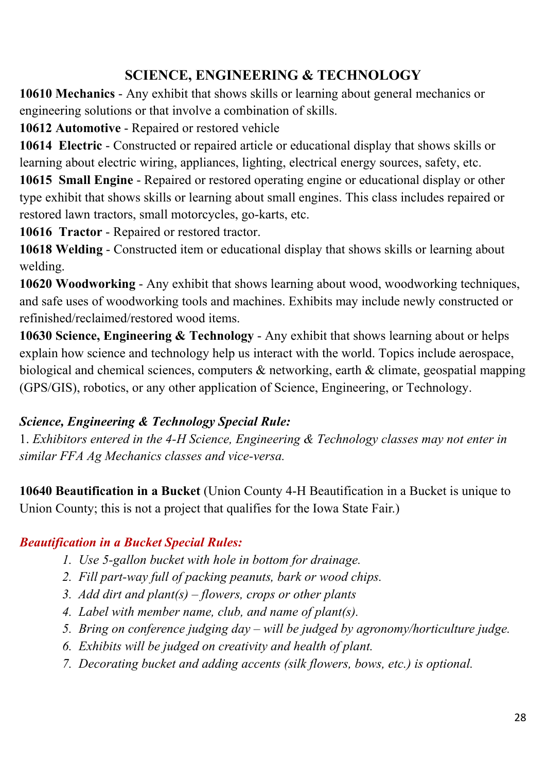### **SCIENCE, ENGINEERING & TECHNOLOGY**

**10610 Mechanics** - Any exhibit that shows skills or learning about general mechanics or engineering solutions or that involve a combination of skills.

**10612 Automotive** - Repaired or restored vehicle

**10614 Electric** - Constructed or repaired article or educational display that shows skills or learning about electric wiring, appliances, lighting, electrical energy sources, safety, etc.

**10615 Small Engine** - Repaired or restored operating engine or educational display or other type exhibit that shows skills or learning about small engines. This class includes repaired or restored lawn tractors, small motorcycles, go-karts, etc.

**10616 Tractor** - Repaired or restored tractor.

**10618 Welding** - Constructed item or educational display that shows skills or learning about welding.

**10620 Woodworking** - Any exhibit that shows learning about wood, woodworking techniques, and safe uses of woodworking tools and machines. Exhibits may include newly constructed or refinished/reclaimed/restored wood items.

**10630 Science, Engineering & Technology** - Any exhibit that shows learning about or helps explain how science and technology help us interact with the world. Topics include aerospace, biological and chemical sciences, computers  $\&$  networking, earth  $\&$  climate, geospatial mapping (GPS/GIS), robotics, or any other application of Science, Engineering, or Technology.

### *Science, Engineering & Technology Special Rule:*

1. *Exhibitors entered in the 4-H Science, Engineering & Technology classes may not enter in similar FFA Ag Mechanics classes and vice-versa.* 

**10640 Beautification in a Bucket** (Union County 4-H Beautification in a Bucket is unique to Union County; this is not a project that qualifies for the Iowa State Fair.)

### *Beautification in a Bucket Special Rules:*

- *1. Use 5-gallon bucket with hole in bottom for drainage.*
- *2. Fill part-way full of packing peanuts, bark or wood chips.*
- *3. Add dirt and plant(s) flowers, crops or other plants*
- *4. Label with member name, club, and name of plant(s).*
- *5. Bring on conference judging day will be judged by agronomy/horticulture judge.*
- *6. Exhibits will be judged on creativity and health of plant.*
- *7. Decorating bucket and adding accents (silk flowers, bows, etc.) is optional.*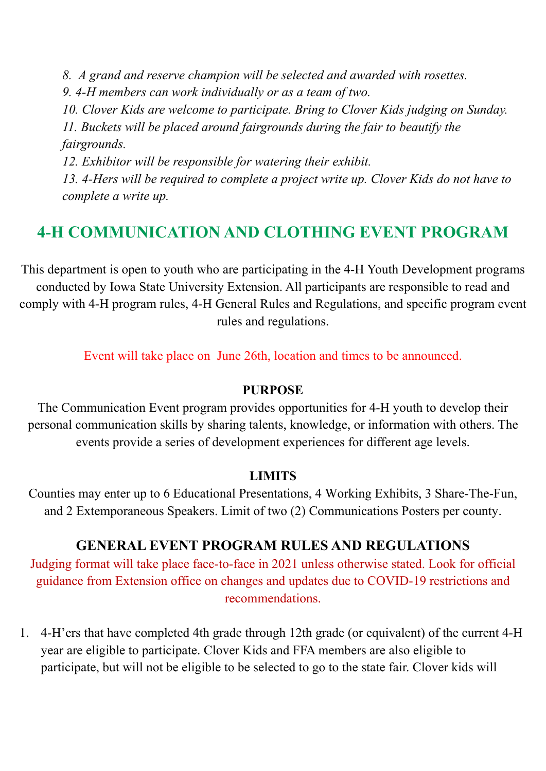*8. A grand and reserve champion will be selected and awarded with rosettes. 9. 4-H members can work individually or as a team of two. 10. Clover Kids are welcome to participate. Bring to Clover Kids judging on Sunday. 11. Buckets will be placed around fairgrounds during the fair to beautify the fairgrounds. 12. Exhibitor will be responsible for watering their exhibit.* 

*13. 4-Hers will be required to complete a project write up. Clover Kids do not have to complete a write up.* 

# **4-H COMMUNICATION AND CLOTHING EVENT PROGRAM**

This department is open to youth who are participating in the 4-H Youth Development programs conducted by Iowa State University Extension. All participants are responsible to read and comply with 4-H program rules, 4-H General Rules and Regulations, and specific program event rules and regulations.

Event will take place on June 26th, location and times to be announced.

#### **PURPOSE**

The Communication Event program provides opportunities for 4-H youth to develop their personal communication skills by sharing talents, knowledge, or information with others. The events provide a series of development experiences for different age levels.

#### **LIMITS**

Counties may enter up to 6 Educational Presentations, 4 Working Exhibits, 3 Share-The-Fun, and 2 Extemporaneous Speakers. Limit of two (2) Communications Posters per county.

#### **GENERAL EVENT PROGRAM RULES AND REGULATIONS**

Judging format will take place face-to-face in 2021 unless otherwise stated. Look for official guidance from Extension office on changes and updates due to COVID-19 restrictions and recommendations.

1. 4-H'ers that have completed 4th grade through 12th grade (or equivalent) of the current 4-H year are eligible to participate. Clover Kids and FFA members are also eligible to participate, but will not be eligible to be selected to go to the state fair. Clover kids will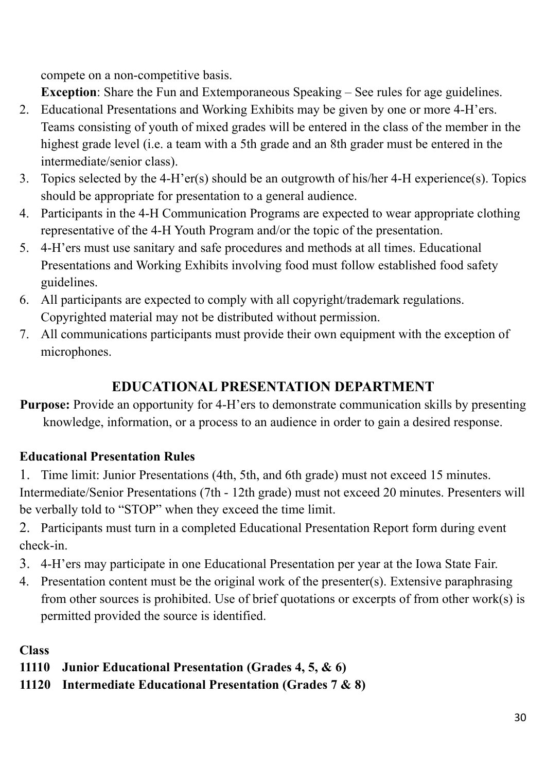compete on a non-competitive basis.

**Exception**: Share the Fun and Extemporaneous Speaking – See rules for age guidelines.

- 2. Educational Presentations and Working Exhibits may be given by one or more 4-H'ers. Teams consisting of youth of mixed grades will be entered in the class of the member in the highest grade level (i.e. a team with a 5th grade and an 8th grader must be entered in the intermediate/senior class).
- 3. Topics selected by the 4-H'er(s) should be an outgrowth of his/her 4-H experience(s). Topics should be appropriate for presentation to a general audience.
- 4. Participants in the 4-H Communication Programs are expected to wear appropriate clothing representative of the 4-H Youth Program and/or the topic of the presentation.
- 5. 4-H'ers must use sanitary and safe procedures and methods at all times. Educational Presentations and Working Exhibits involving food must follow established food safety guidelines.
- 6. All participants are expected to comply with all copyright/trademark regulations. Copyrighted material may not be distributed without permission.
- 7. All communications participants must provide their own equipment with the exception of microphones.

### **EDUCATIONAL PRESENTATION DEPARTMENT**

**Purpose:** Provide an opportunity for 4-H'ers to demonstrate communication skills by presenting knowledge, information, or a process to an audience in order to gain a desired response.

### **Educational Presentation Rules**

1. Time limit: Junior Presentations (4th, 5th, and 6th grade) must not exceed 15 minutes. Intermediate/Senior Presentations (7th - 12th grade) must not exceed 20 minutes. Presenters will be verbally told to "STOP" when they exceed the time limit.

2. Participants must turn in a completed Educational Presentation Report form during event check-in.

- 3. 4-H'ers may participate in one Educational Presentation per year at the Iowa State Fair.
- 4. Presentation content must be the original work of the presenter(s). Extensive paraphrasing from other sources is prohibited. Use of brief quotations or excerpts of from other work(s) is permitted provided the source is identified.

**Class** 

- **11110 Junior Educational Presentation (Grades 4, 5, & 6)**
- **11120 Intermediate Educational Presentation (Grades 7 & 8)**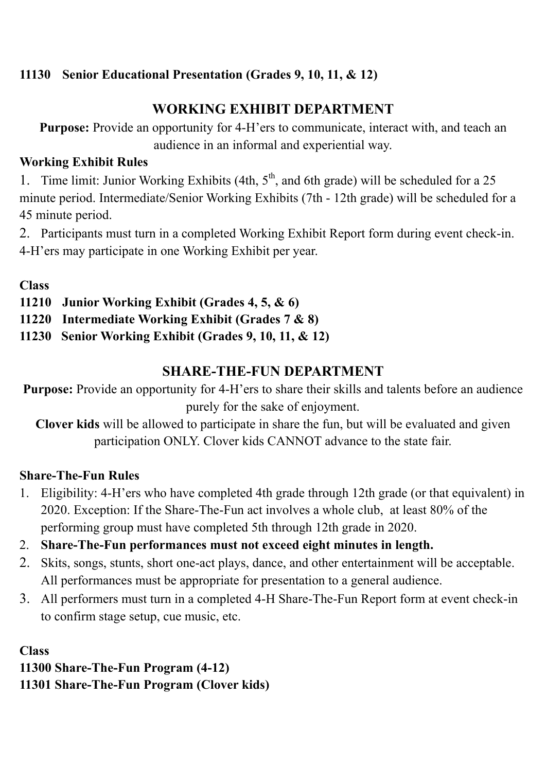### **11130 Senior Educational Presentation (Grades 9, 10, 11, & 12)**

### **WORKING EXHIBIT DEPARTMENT**

**Purpose:** Provide an opportunity for 4-H'ers to communicate, interact with, and teach an audience in an informal and experiential way.

### **Working Exhibit Rules**

1. Time limit: Junior Working Exhibits (4th,  $5<sup>th</sup>$ , and 6th grade) will be scheduled for a 25 minute period. Intermediate/Senior Working Exhibits (7th - 12th grade) will be scheduled for a 45 minute period.

2. Participants must turn in a completed Working Exhibit Report form during event check-in. 4-H'ers may participate in one Working Exhibit per year.

### **Class**

- **11210 Junior Working Exhibit (Grades 4, 5, & 6)**
- **11220 Intermediate Working Exhibit (Grades 7 & 8)**
- **11230 Senior Working Exhibit (Grades 9, 10, 11, & 12)**

### **SHARE-THE-FUN DEPARTMENT**

**Purpose:** Provide an opportunity for 4-H'ers to share their skills and talents before an audience purely for the sake of enjoyment.

**Clover kids** will be allowed to participate in share the fun, but will be evaluated and given participation ONLY. Clover kids CANNOT advance to the state fair.

#### **Share-The-Fun Rules**

- 1. Eligibility: 4-H'ers who have completed 4th grade through 12th grade (or that equivalent) in 2020. Exception: If the Share-The-Fun act involves a whole club, at least 80% of the performing group must have completed 5th through 12th grade in 2020.
- 2. **Share-The-Fun performances must not exceed eight minutes in length.**
- 2. Skits, songs, stunts, short one-act plays, dance, and other entertainment will be acceptable. All performances must be appropriate for presentation to a general audience.
- 3. All performers must turn in a completed 4-H Share-The-Fun Report form at event check-in to confirm stage setup, cue music, etc.

**Class 11300 Share-The-Fun Program (4-12) 11301 Share-The-Fun Program (Clover kids)**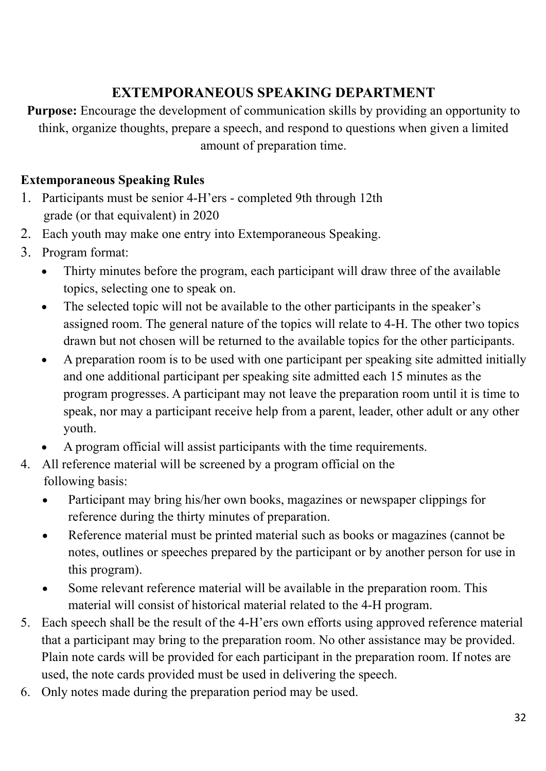# **EXTEMPORANEOUS SPEAKING DEPARTMENT**

**Purpose:** Encourage the development of communication skills by providing an opportunity to think, organize thoughts, prepare a speech, and respond to questions when given a limited amount of preparation time.

### **Extemporaneous Speaking Rules**

- 1. Participants must be senior 4-H'ers completed 9th through 12th grade (or that equivalent) in 2020
- 2. Each youth may make one entry into Extemporaneous Speaking.
- 3. Program format:
	- Thirty minutes before the program, each participant will draw three of the available topics, selecting one to speak on.
	- The selected topic will not be available to the other participants in the speaker's assigned room. The general nature of the topics will relate to 4-H. The other two topics drawn but not chosen will be returned to the available topics for the other participants.
	- A preparation room is to be used with one participant per speaking site admitted initially and one additional participant per speaking site admitted each 15 minutes as the program progresses. A participant may not leave the preparation room until it is time to speak, nor may a participant receive help from a parent, leader, other adult or any other youth.
	- A program official will assist participants with the time requirements.
- 4. All reference material will be screened by a program official on the following basis:
	- Participant may bring his/her own books, magazines or newspaper clippings for reference during the thirty minutes of preparation.
	- Reference material must be printed material such as books or magazines (cannot be notes, outlines or speeches prepared by the participant or by another person for use in this program).
	- Some relevant reference material will be available in the preparation room. This material will consist of historical material related to the 4-H program.
- 5. Each speech shall be the result of the 4-H'ers own efforts using approved reference material that a participant may bring to the preparation room. No other assistance may be provided. Plain note cards will be provided for each participant in the preparation room. If notes are used, the note cards provided must be used in delivering the speech.
- 6. Only notes made during the preparation period may be used.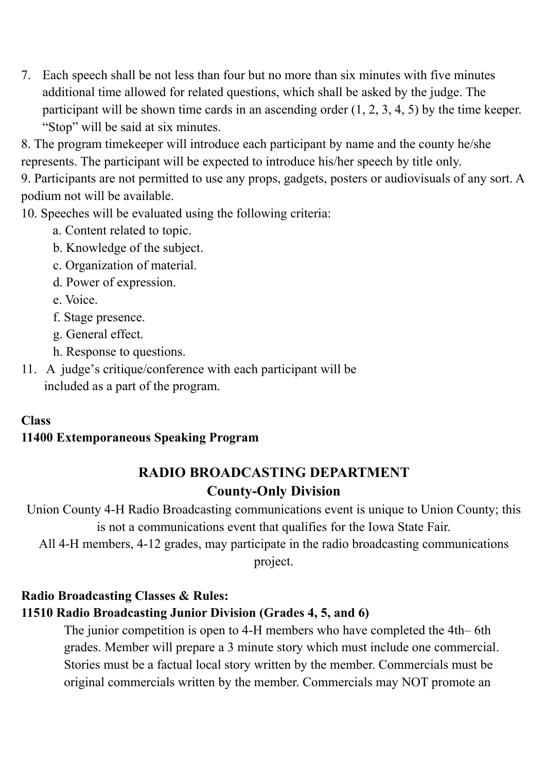7. Each speech shall be not less than four but no more than six minutes with five minutes additional time allowed for related questions, which shall be asked by the judge. The participant will be shown time cards in an ascending order  $(1, 2, 3, 4, 5)$  by the time keeper. "Stop" will be said at six minutes.

8. The program timekeeper will introduce each participant by name and the county he/she represents. The participant will be expected to introduce his/her speech by title only.

9. Participants are not permitted to use any props, gadgets, posters or audiovisuals of any sort. A podium not will be available.

10. Speeches will be evaluated using the following criteria:

- a. Content related to topic.
- b. Knowledge of the subject.
- c. Organization of material.
- d. Power of expression.
- e. Voice.
- f. Stage presence.
- g. General effect.
- h. Response to questions.
- 11. A judge's critique/conference with each participant will be included as a part of the program.

#### **Class**

#### **11400 Extemporaneous Speaking Program**

### **RADIO BROADCASTING DEPARTMENT County-Only Division**

Union County 4-H Radio Broadcasting communications event is unique to Union County; this is not a communications event that qualifies for the Iowa State Fair.

All 4-H members, 4-12 grades, may participate in the radio broadcasting communications project.

### **Radio Broadcasting Classes & Rules: 11510 Radio Broadcasting Junior Division (Grades 4, 5, and 6)**

The junior competition is open to 4-H members who have completed the 4th– 6th grades. Member will prepare a 3 minute story which must include one commercial. Stories must be a factual local story written by the member. Commercials must be original commercials written by the member. Commercials may NOT promote an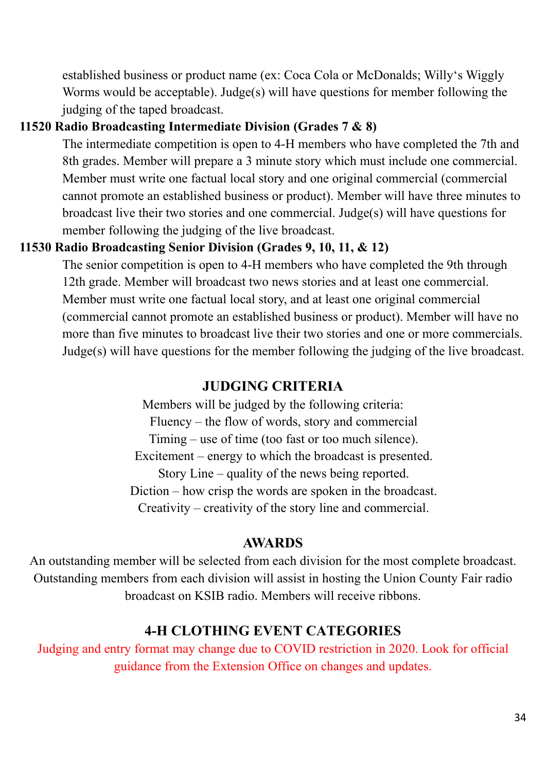established business or product name (ex: Coca Cola or McDonalds; Willy's Wiggly Worms would be acceptable). Judge(s) will have questions for member following the judging of the taped broadcast.

#### **11520 Radio Broadcasting Intermediate Division (Grades 7 & 8)**

The intermediate competition is open to 4-H members who have completed the 7th and 8th grades. Member will prepare a 3 minute story which must include one commercial. Member must write one factual local story and one original commercial (commercial cannot promote an established business or product). Member will have three minutes to broadcast live their two stories and one commercial. Judge(s) will have questions for member following the judging of the live broadcast.

#### **11530 Radio Broadcasting Senior Division (Grades 9, 10, 11, & 12)**

The senior competition is open to 4-H members who have completed the 9th through 12th grade. Member will broadcast two news stories and at least one commercial. Member must write one factual local story, and at least one original commercial (commercial cannot promote an established business or product). Member will have no more than five minutes to broadcast live their two stories and one or more commercials. Judge(s) will have questions for the member following the judging of the live broadcast.

### **JUDGING CRITERIA**

Members will be judged by the following criteria: Fluency – the flow of words, story and commercial Timing – use of time (too fast or too much silence). Excitement – energy to which the broadcast is presented. Story Line – quality of the news being reported. Diction – how crisp the words are spoken in the broadcast. Creativity – creativity of the story line and commercial.

#### **AWARDS**

An outstanding member will be selected from each division for the most complete broadcast. Outstanding members from each division will assist in hosting the Union County Fair radio broadcast on KSIB radio. Members will receive ribbons.

### **4-H CLOTHING EVENT CATEGORIES**

Judging and entry format may change due to COVID restriction in 2020. Look for official guidance from the Extension Office on changes and updates.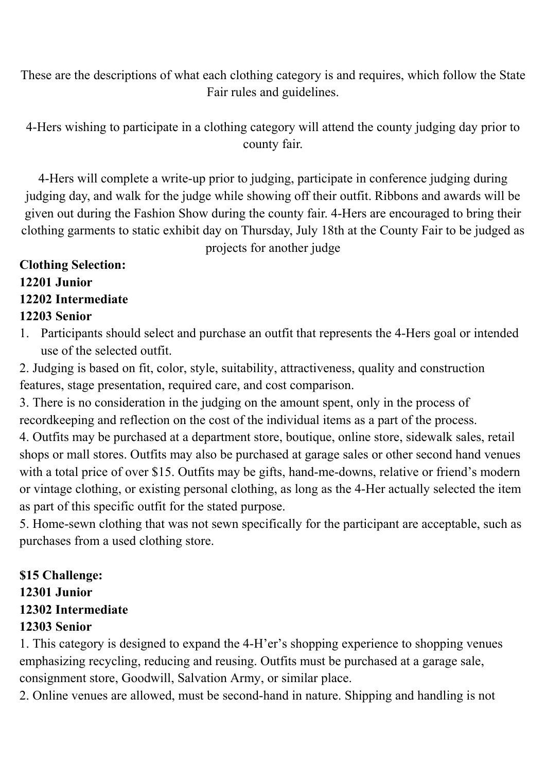These are the descriptions of what each clothing category is and requires, which follow the State Fair rules and guidelines.

4-Hers wishing to participate in a clothing category will attend the county judging day prior to county fair.

4-Hers will complete a write-up prior to judging, participate in conference judging during judging day, and walk for the judge while showing off their outfit. Ribbons and awards will be given out during the Fashion Show during the county fair. 4-Hers are encouraged to bring their clothing garments to static exhibit day on Thursday, July 18th at the County Fair to be judged as projects for another judge

#### **Clothing Selection: 12201 Junior 12202 Intermediate 12203 Senior**

1. Participants should select and purchase an outfit that represents the 4-Hers goal or intended use of the selected outfit.

2. Judging is based on fit, color, style, suitability, attractiveness, quality and construction features, stage presentation, required care, and cost comparison.

3. There is no consideration in the judging on the amount spent, only in the process of recordkeeping and reflection on the cost of the individual items as a part of the process.

4. Outfits may be purchased at a department store, boutique, online store, sidewalk sales, retail shops or mall stores. Outfits may also be purchased at garage sales or other second hand venues with a total price of over \$15. Outfits may be gifts, hand-me-downs, relative or friend's modern or vintage clothing, or existing personal clothing, as long as the 4-Her actually selected the item as part of this specific outfit for the stated purpose.

5. Home-sewn clothing that was not sewn specifically for the participant are acceptable, such as purchases from a used clothing store.

### **\$15 Challenge:**

#### **12301 Junior**

### **12302 Intermediate**

### **12303 Senior**

1. This category is designed to expand the 4-H'er's shopping experience to shopping venues emphasizing recycling, reducing and reusing. Outfits must be purchased at a garage sale, consignment store, Goodwill, Salvation Army, or similar place.

2. Online venues are allowed, must be second-hand in nature. Shipping and handling is not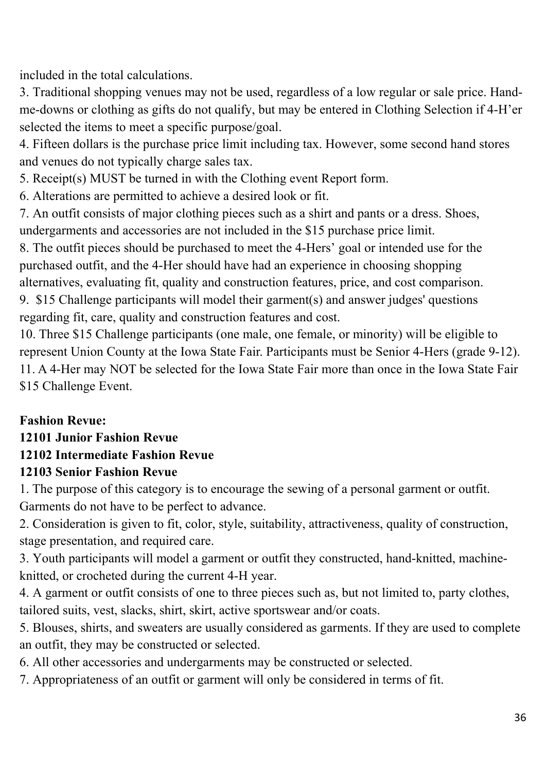included in the total calculations.

3. Traditional shopping venues may not be used, regardless of a low regular or sale price. Handme-downs or clothing as gifts do not qualify, but may be entered in Clothing Selection if 4-H'er selected the items to meet a specific purpose/goal.

4. Fifteen dollars is the purchase price limit including tax. However, some second hand stores and venues do not typically charge sales tax.

5. Receipt(s) MUST be turned in with the Clothing event Report form.

6. Alterations are permitted to achieve a desired look or fit.

7. An outfit consists of major clothing pieces such as a shirt and pants or a dress. Shoes, undergarments and accessories are not included in the \$15 purchase price limit.

8. The outfit pieces should be purchased to meet the 4-Hers' goal or intended use for the purchased outfit, and the 4-Her should have had an experience in choosing shopping alternatives, evaluating fit, quality and construction features, price, and cost comparison.

9. \$15 Challenge participants will model their garment(s) and answer judges' questions regarding fit, care, quality and construction features and cost.

10. Three \$15 Challenge participants (one male, one female, or minority) will be eligible to represent Union County at the Iowa State Fair. Participants must be Senior 4-Hers (grade 9-12). 11. A 4-Her may NOT be selected for the Iowa State Fair more than once in the Iowa State Fair \$15 Challenge Event.

### **Fashion Revue:**

### **12101 Junior Fashion Revue**

### **12102 Intermediate Fashion Revue**

### **12103 Senior Fashion Revue**

1. The purpose of this category is to encourage the sewing of a personal garment or outfit. Garments do not have to be perfect to advance.

2. Consideration is given to fit, color, style, suitability, attractiveness, quality of construction, stage presentation, and required care.

3. Youth participants will model a garment or outfit they constructed, hand-knitted, machineknitted, or crocheted during the current 4-H year.

4. A garment or outfit consists of one to three pieces such as, but not limited to, party clothes, tailored suits, vest, slacks, shirt, skirt, active sportswear and/or coats.

5. Blouses, shirts, and sweaters are usually considered as garments. If they are used to complete an outfit, they may be constructed or selected.

6. All other accessories and undergarments may be constructed or selected.

7. Appropriateness of an outfit or garment will only be considered in terms of fit.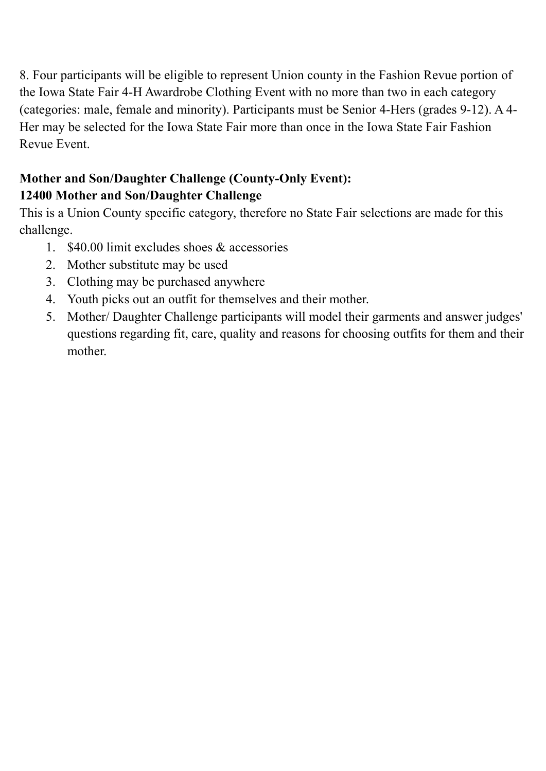8. Four participants will be eligible to represent Union county in the Fashion Revue portion of the Iowa State Fair 4-H Awardrobe Clothing Event with no more than two in each category (categories: male, female and minority). Participants must be Senior 4-Hers (grades 9-12). A 4- Her may be selected for the Iowa State Fair more than once in the Iowa State Fair Fashion Revue Event.

### **Mother and Son/Daughter Challenge (County-Only Event): 12400 Mother and Son/Daughter Challenge**

This is a Union County specific category, therefore no State Fair selections are made for this challenge.

- 1. \$40.00 limit excludes shoes & accessories
- 2. Mother substitute may be used
- 3. Clothing may be purchased anywhere
- 4. Youth picks out an outfit for themselves and their mother.
- 5. Mother/ Daughter Challenge participants will model their garments and answer judges' questions regarding fit, care, quality and reasons for choosing outfits for them and their mother.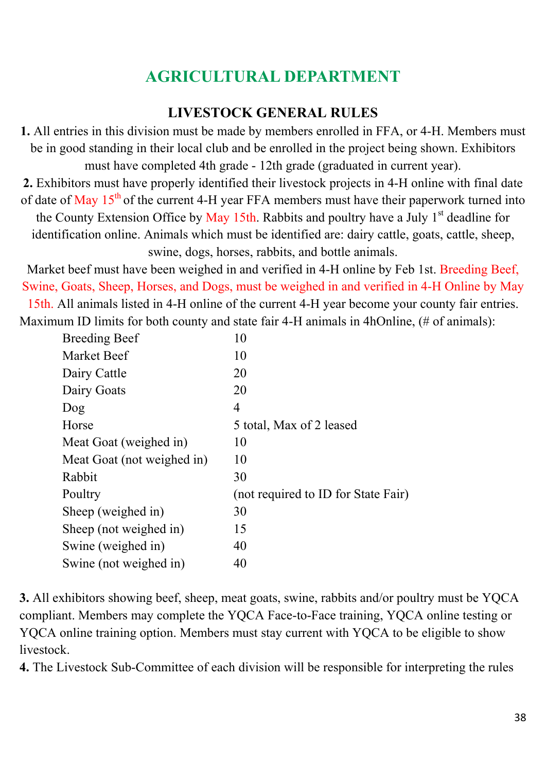# **AGRICULTURAL DEPARTMENT**

### **LIVESTOCK GENERAL RULES**

**1.** All entries in this division must be made by members enrolled in FFA, or 4-H. Members must be in good standing in their local club and be enrolled in the project being shown. Exhibitors must have completed 4th grade - 12th grade (graduated in current year).

**2.** Exhibitors must have properly identified their livestock projects in 4-H online with final date of date of May  $15<sup>th</sup>$  of the current 4-H year FFA members must have their paperwork turned into the County Extension Office by May 15th. Rabbits and poultry have a July  $1<sup>st</sup>$  deadline for identification online. Animals which must be identified are: dairy cattle, goats, cattle, sheep, swine, dogs, horses, rabbits, and bottle animals.

Market beef must have been weighed in and verified in 4-H online by Feb 1st. Breeding Beef, Swine, Goats, Sheep, Horses, and Dogs, must be weighed in and verified in 4-H Online by May 15th. All animals listed in 4-H online of the current 4-H year become your county fair entries. Maximum ID limits for both county and state fair 4-H animals in 4hOnline, (# of animals):

| <b>Breeding Beef</b>       | 10                                  |
|----------------------------|-------------------------------------|
| Market Beef                | 10                                  |
| Dairy Cattle               | 20                                  |
| Dairy Goats                | 20                                  |
| Dog                        | 4                                   |
| Horse                      | 5 total, Max of 2 leased            |
| Meat Goat (weighed in)     | 10                                  |
| Meat Goat (not weighed in) | 10                                  |
| Rabbit                     | 30                                  |
| Poultry                    | (not required to ID for State Fair) |
| Sheep (weighed in)         | 30                                  |
| Sheep (not weighed in)     | 15                                  |
| Swine (weighed in)         | 40                                  |
| Swine (not weighed in)     | 40                                  |
|                            |                                     |

**3.** All exhibitors showing beef, sheep, meat goats, swine, rabbits and/or poultry must be YQCA compliant. Members may complete the YQCA Face-to-Face training, YQCA online testing or YQCA online training option. Members must stay current with YQCA to be eligible to show livestock.

**4.** The Livestock Sub-Committee of each division will be responsible for interpreting the rules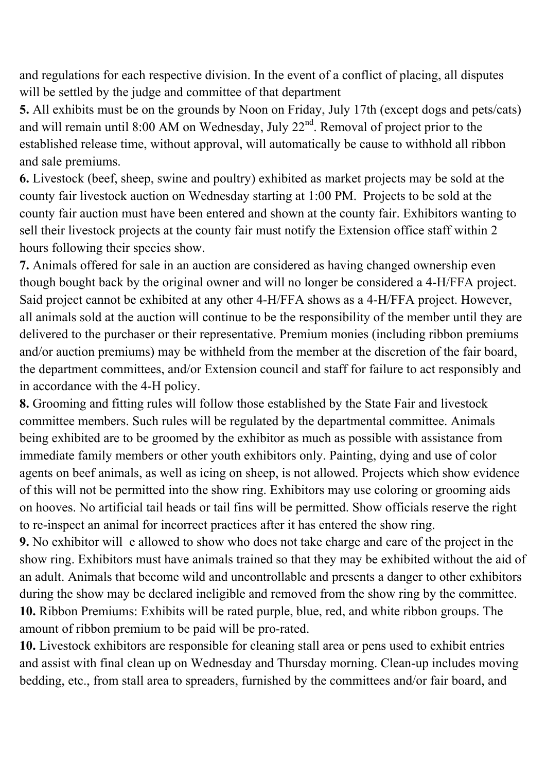and regulations for each respective division. In the event of a conflict of placing, all disputes will be settled by the judge and committee of that department

**5.** All exhibits must be on the grounds by Noon on Friday, July 17th (except dogs and pets/cats) and will remain until 8:00 AM on Wednesday, July  $22<sup>nd</sup>$ . Removal of project prior to the established release time, without approval, will automatically be cause to withhold all ribbon and sale premiums.

**6.** Livestock (beef, sheep, swine and poultry) exhibited as market projects may be sold at the county fair livestock auction on Wednesday starting at 1:00 PM. Projects to be sold at the county fair auction must have been entered and shown at the county fair. Exhibitors wanting to sell their livestock projects at the county fair must notify the Extension office staff within 2 hours following their species show.

**7.** Animals offered for sale in an auction are considered as having changed ownership even though bought back by the original owner and will no longer be considered a 4-H/FFA project. Said project cannot be exhibited at any other 4-H/FFA shows as a 4-H/FFA project. However, all animals sold at the auction will continue to be the responsibility of the member until they are delivered to the purchaser or their representative. Premium monies (including ribbon premiums and/or auction premiums) may be withheld from the member at the discretion of the fair board, the department committees, and/or Extension council and staff for failure to act responsibly and in accordance with the 4-H policy.

**8.** Grooming and fitting rules will follow those established by the State Fair and livestock committee members. Such rules will be regulated by the departmental committee. Animals being exhibited are to be groomed by the exhibitor as much as possible with assistance from immediate family members or other youth exhibitors only. Painting, dying and use of color agents on beef animals, as well as icing on sheep, is not allowed. Projects which show evidence of this will not be permitted into the show ring. Exhibitors may use coloring or grooming aids on hooves. No artificial tail heads or tail fins will be permitted. Show officials reserve the right to re-inspect an animal for incorrect practices after it has entered the show ring.

**9.** No exhibitor will e allowed to show who does not take charge and care of the project in the show ring. Exhibitors must have animals trained so that they may be exhibited without the aid of an adult. Animals that become wild and uncontrollable and presents a danger to other exhibitors during the show may be declared ineligible and removed from the show ring by the committee. **10.** Ribbon Premiums: Exhibits will be rated purple, blue, red, and white ribbon groups. The amount of ribbon premium to be paid will be pro-rated.

**10.** Livestock exhibitors are responsible for cleaning stall area or pens used to exhibit entries and assist with final clean up on Wednesday and Thursday morning. Clean-up includes moving bedding, etc., from stall area to spreaders, furnished by the committees and/or fair board, and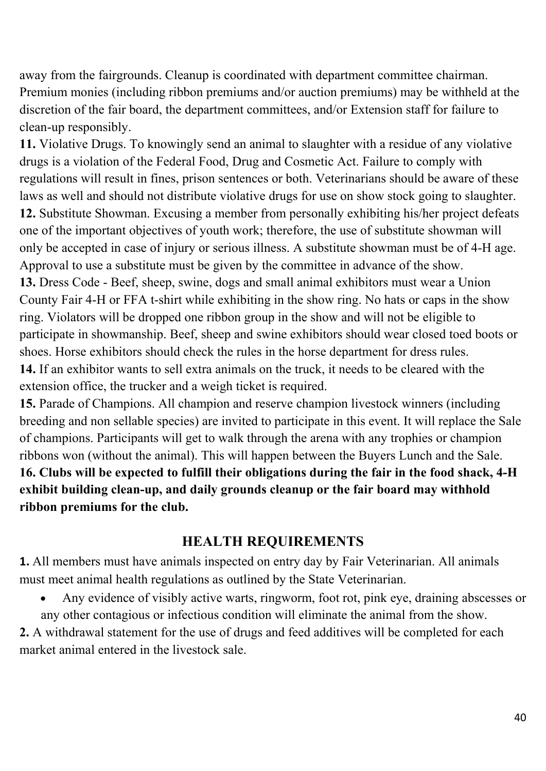away from the fairgrounds. Cleanup is coordinated with department committee chairman. Premium monies (including ribbon premiums and/or auction premiums) may be withheld at the discretion of the fair board, the department committees, and/or Extension staff for failure to clean-up responsibly.

**11.** Violative Drugs. To knowingly send an animal to slaughter with a residue of any violative drugs is a violation of the Federal Food, Drug and Cosmetic Act. Failure to comply with regulations will result in fines, prison sentences or both. Veterinarians should be aware of these laws as well and should not distribute violative drugs for use on show stock going to slaughter. **12.** Substitute Showman. Excusing a member from personally exhibiting his/her project defeats one of the important objectives of youth work; therefore, the use of substitute showman will only be accepted in case of injury or serious illness. A substitute showman must be of 4-H age. Approval to use a substitute must be given by the committee in advance of the show. **13.** Dress Code - Beef, sheep, swine, dogs and small animal exhibitors must wear a Union County Fair 4-H or FFA t-shirt while exhibiting in the show ring. No hats or caps in the show ring. Violators will be dropped one ribbon group in the show and will not be eligible to participate in showmanship. Beef, sheep and swine exhibitors should wear closed toed boots or shoes. Horse exhibitors should check the rules in the horse department for dress rules. **14.** If an exhibitor wants to sell extra animals on the truck, it needs to be cleared with the extension office, the trucker and a weigh ticket is required.

**15.** Parade of Champions. All champion and reserve champion livestock winners (including breeding and non sellable species) are invited to participate in this event. It will replace the Sale of champions. Participants will get to walk through the arena with any trophies or champion ribbons won (without the animal). This will happen between the Buyers Lunch and the Sale. **16. Clubs will be expected to fulfill their obligations during the fair in the food shack, 4-H exhibit building clean-up, and daily grounds cleanup or the fair board may withhold ribbon premiums for the club.** 

#### **HEALTH REQUIREMENTS**

**1.** All members must have animals inspected on entry day by Fair Veterinarian. All animals must meet animal health regulations as outlined by the State Veterinarian.

 Any evidence of visibly active warts, ringworm, foot rot, pink eye, draining abscesses or any other contagious or infectious condition will eliminate the animal from the show.

**2.** A withdrawal statement for the use of drugs and feed additives will be completed for each market animal entered in the livestock sale.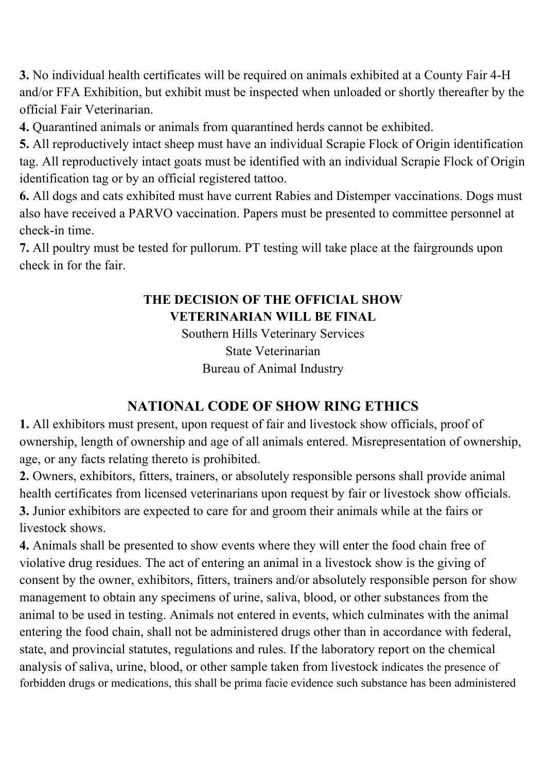**3.** No individual health certificates will be required on animals exhibited at a County Fair 4-H and/or FFA Exhibition, but exhibit must be inspected when unloaded or shortly thereafter by the official Fair Veterinarian.

**4.** Quarantined animals or animals from quarantined herds cannot be exhibited.

**5.** All reproductively intact sheep must have an individual Scrapie Flock of Origin identification tag. All reproductively intact goats must be identified with an individual Scrapie Flock of Origin identification tag or by an official registered tattoo.

**6.** All dogs and cats exhibited must have current Rabies and Distemper vaccinations. Dogs must also have received a PARVO vaccination. Papers must be presented to committee personnel at check-in time.

**7.** All poultry must be tested for pullorum. PT testing will take place at the fairgrounds upon check in for the fair.

### **THE DECISION OF THE OFFICIAL SHOW VETERINARIAN WILL BE FINAL**

Southern Hills Veterinary Services State Veterinarian Bureau of Animal Industry

### **NATIONAL CODE OF SHOW RING ETHICS**

**1.** All exhibitors must present, upon request of fair and livestock show officials, proof of ownership, length of ownership and age of all animals entered. Misrepresentation of ownership, age, or any facts relating thereto is prohibited.

**2.** Owners, exhibitors, fitters, trainers, or absolutely responsible persons shall provide animal health certificates from licensed veterinarians upon request by fair or livestock show officials. **3.** Junior exhibitors are expected to care for and groom their animals while at the fairs or livestock shows.

**4.** Animals shall be presented to show events where they will enter the food chain free of violative drug residues. The act of entering an animal in a livestock show is the giving of consent by the owner, exhibitors, fitters, trainers and/or absolutely responsible person for show management to obtain any specimens of urine, saliva, blood, or other substances from the animal to be used in testing. Animals not entered in events, which culminates with the animal entering the food chain, shall not be administered drugs other than in accordance with federal, state, and provincial statutes, regulations and rules. If the laboratory report on the chemical analysis of saliva, urine, blood, or other sample taken from livestock indicates the presence of forbidden drugs or medications, this shall be prima facie evidence such substance has been administered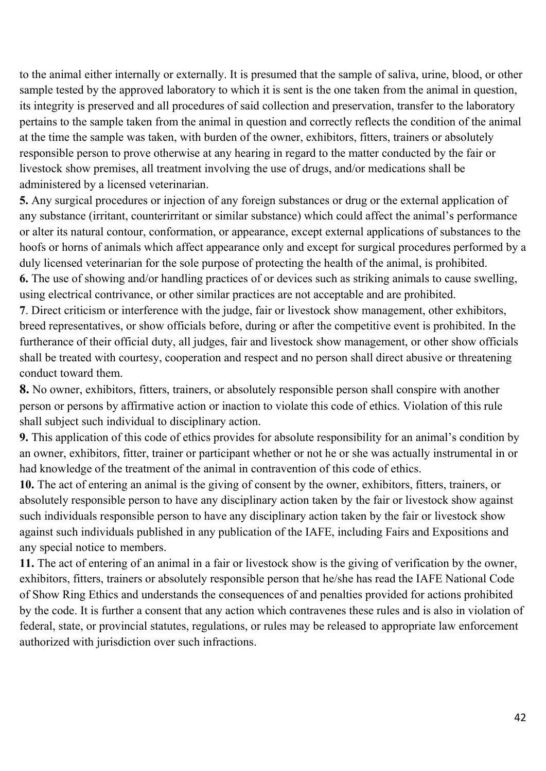to the animal either internally or externally. It is presumed that the sample of saliva, urine, blood, or other sample tested by the approved laboratory to which it is sent is the one taken from the animal in question, its integrity is preserved and all procedures of said collection and preservation, transfer to the laboratory pertains to the sample taken from the animal in question and correctly reflects the condition of the animal at the time the sample was taken, with burden of the owner, exhibitors, fitters, trainers or absolutely responsible person to prove otherwise at any hearing in regard to the matter conducted by the fair or livestock show premises, all treatment involving the use of drugs, and/or medications shall be administered by a licensed veterinarian.

**5.** Any surgical procedures or injection of any foreign substances or drug or the external application of any substance (irritant, counterirritant or similar substance) which could affect the animal's performance or alter its natural contour, conformation, or appearance, except external applications of substances to the hoofs or horns of animals which affect appearance only and except for surgical procedures performed by a duly licensed veterinarian for the sole purpose of protecting the health of the animal, is prohibited. **6.** The use of showing and/or handling practices of or devices such as striking animals to cause swelling, using electrical contrivance, or other similar practices are not acceptable and are prohibited.

**7**. Direct criticism or interference with the judge, fair or livestock show management, other exhibitors, breed representatives, or show officials before, during or after the competitive event is prohibited. In the furtherance of their official duty, all judges, fair and livestock show management, or other show officials shall be treated with courtesy, cooperation and respect and no person shall direct abusive or threatening conduct toward them.

**8.** No owner, exhibitors, fitters, trainers, or absolutely responsible person shall conspire with another person or persons by affirmative action or inaction to violate this code of ethics. Violation of this rule shall subject such individual to disciplinary action.

**9.** This application of this code of ethics provides for absolute responsibility for an animal's condition by an owner, exhibitors, fitter, trainer or participant whether or not he or she was actually instrumental in or had knowledge of the treatment of the animal in contravention of this code of ethics.

**10.** The act of entering an animal is the giving of consent by the owner, exhibitors, fitters, trainers, or absolutely responsible person to have any disciplinary action taken by the fair or livestock show against such individuals responsible person to have any disciplinary action taken by the fair or livestock show against such individuals published in any publication of the IAFE, including Fairs and Expositions and any special notice to members.

**11.** The act of entering of an animal in a fair or livestock show is the giving of verification by the owner, exhibitors, fitters, trainers or absolutely responsible person that he/she has read the IAFE National Code of Show Ring Ethics and understands the consequences of and penalties provided for actions prohibited by the code. It is further a consent that any action which contravenes these rules and is also in violation of federal, state, or provincial statutes, regulations, or rules may be released to appropriate law enforcement authorized with jurisdiction over such infractions.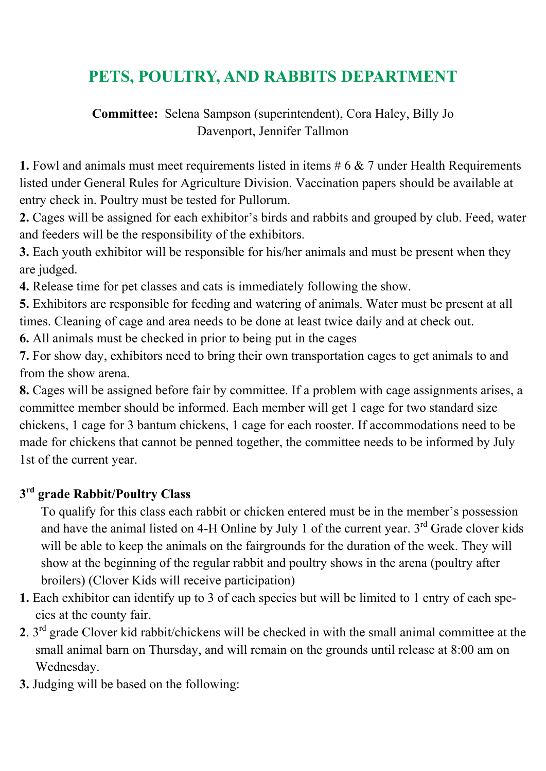# **PETS, POULTRY, AND RABBITS DEPARTMENT**

**Committee:** Selena Sampson (superintendent), Cora Haley, Billy Jo Davenport, Jennifer Tallmon

**1.** Fowl and animals must meet requirements listed in items # 6 & 7 under Health Requirements listed under General Rules for Agriculture Division. Vaccination papers should be available at entry check in. Poultry must be tested for Pullorum.

**2.** Cages will be assigned for each exhibitor's birds and rabbits and grouped by club. Feed, water and feeders will be the responsibility of the exhibitors.

**3.** Each youth exhibitor will be responsible for his/her animals and must be present when they are judged.

**4.** Release time for pet classes and cats is immediately following the show.

**5.** Exhibitors are responsible for feeding and watering of animals. Water must be present at all times. Cleaning of cage and area needs to be done at least twice daily and at check out.

**6.** All animals must be checked in prior to being put in the cages

**7.** For show day, exhibitors need to bring their own transportation cages to get animals to and from the show arena.

**8.** Cages will be assigned before fair by committee. If a problem with cage assignments arises, a committee member should be informed. Each member will get 1 cage for two standard size chickens, 1 cage for 3 bantum chickens, 1 cage for each rooster. If accommodations need to be made for chickens that cannot be penned together, the committee needs to be informed by July 1st of the current year.

### **3rd grade Rabbit/Poultry Class**

To qualify for this class each rabbit or chicken entered must be in the member's possession and have the animal listed on 4-H Online by July 1 of the current year.  $3<sup>rd</sup>$  Grade clover kids will be able to keep the animals on the fairgrounds for the duration of the week. They will show at the beginning of the regular rabbit and poultry shows in the arena (poultry after broilers) (Clover Kids will receive participation)

- **1.** Each exhibitor can identify up to 3 of each species but will be limited to 1 entry of each species at the county fair.
- **2**. 3rd grade Clover kid rabbit/chickens will be checked in with the small animal committee at the small animal barn on Thursday, and will remain on the grounds until release at 8:00 am on Wednesday.
- **3.** Judging will be based on the following: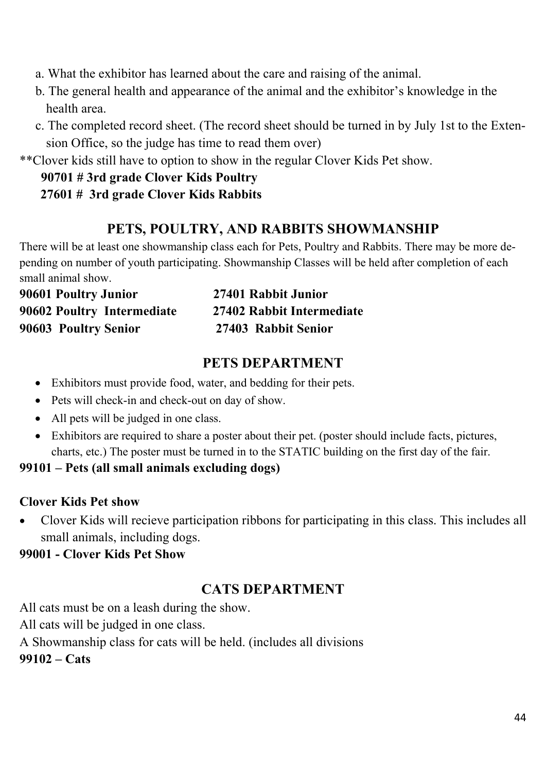a. What the exhibitor has learned about the care and raising of the animal.

- b. The general health and appearance of the animal and the exhibitor's knowledge in the health area.
- c. The completed record sheet. (The record sheet should be turned in by July 1st to the Extension Office, so the judge has time to read them over)

\*\*Clover kids still have to option to show in the regular Clover Kids Pet show.

#### **90701 # 3rd grade Clover Kids Poultry 27601 # 3rd grade Clover Kids Rabbits**

### **PETS, POULTRY, AND RABBITS SHOWMANSHIP**

There will be at least one showmanship class each for Pets, Poultry and Rabbits. There may be more depending on number of youth participating. Showmanship Classes will be held after completion of each small animal show.

| 90601 Poultry Junior       | 27401 Rabbit Junior       |
|----------------------------|---------------------------|
| 90602 Poultry Intermediate | 27402 Rabbit Intermediate |
| 90603 Poultry Senior       | 27403 Rabbit Senior       |

### **PETS DEPARTMENT**

- Exhibitors must provide food, water, and bedding for their pets.
- Pets will check-in and check-out on day of show.
- All pets will be judged in one class.
- Exhibitors are required to share a poster about their pet. (poster should include facts, pictures, charts, etc.) The poster must be turned in to the STATIC building on the first day of the fair.

**99101 – Pets (all small animals excluding dogs)** 

#### **Clover Kids Pet show**

 Clover Kids will recieve participation ribbons for participating in this class. This includes all small animals, including dogs.

#### **99001 - Clover Kids Pet Show**

### **CATS DEPARTMENT**

All cats must be on a leash during the show.

All cats will be judged in one class.

A Showmanship class for cats will be held. (includes all divisions

**99102 – Cats**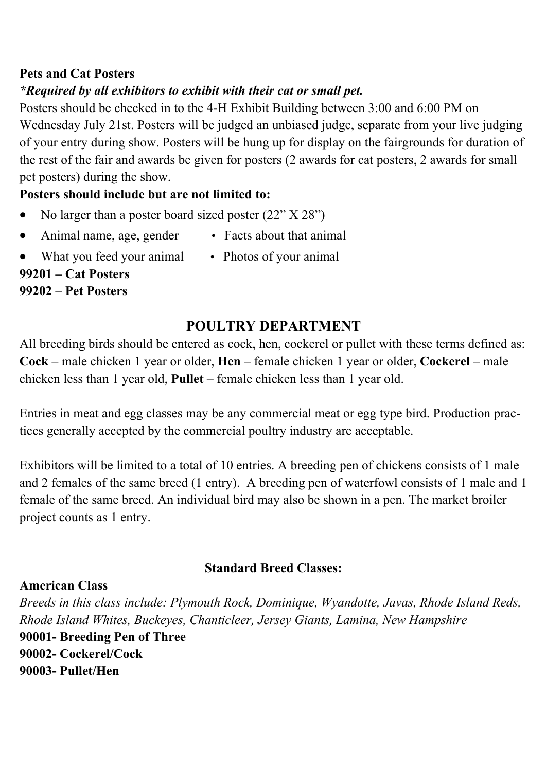#### **Pets and Cat Posters**

#### *\*Required by all exhibitors to exhibit with their cat or small pet.*

Posters should be checked in to the 4-H Exhibit Building between 3:00 and 6:00 PM on Wednesday July 21st. Posters will be judged an unbiased judge, separate from your live judging of your entry during show. Posters will be hung up for display on the fairgrounds for duration of the rest of the fair and awards be given for posters (2 awards for cat posters, 2 awards for small pet posters) during the show.

#### **Posters should include but are not limited to:**

- No larger than a poster board sized poster (22" X 28")
- Animal name, age, gender Facts about that animal
- What you feed your animal Photos of your animal **99201 – Cat Posters** 
	-

#### **99202 – Pet Posters**

### **POULTRY DEPARTMENT**

All breeding birds should be entered as cock, hen, cockerel or pullet with these terms defined as: **Cock** – male chicken 1 year or older, **Hen** – female chicken 1 year or older, **Cockerel** – male chicken less than 1 year old, **Pullet** – female chicken less than 1 year old.

Entries in meat and egg classes may be any commercial meat or egg type bird. Production practices generally accepted by the commercial poultry industry are acceptable.

Exhibitors will be limited to a total of 10 entries. A breeding pen of chickens consists of 1 male and 2 females of the same breed (1 entry). A breeding pen of waterfowl consists of 1 male and 1 female of the same breed. An individual bird may also be shown in a pen. The market broiler project counts as 1 entry.

#### **Standard Breed Classes:**

#### **American Class**

*Breeds in this class include: Plymouth Rock, Dominique, Wyandotte, Javas, Rhode Island Reds, Rhode Island Whites, Buckeyes, Chanticleer, Jersey Giants, Lamina, New Hampshire*  **90001- Breeding Pen of Three 90002- Cockerel/Cock 90003- Pullet/Hen**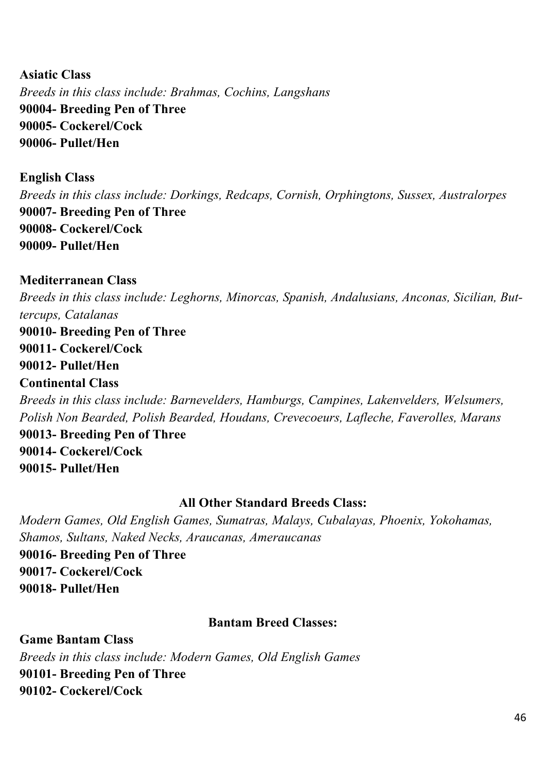**Asiatic Class**  *Breeds in this class include: Brahmas, Cochins, Langshans*  **90004- Breeding Pen of Three 90005- Cockerel/Cock 90006- Pullet/Hen** 

**English Class** 

*Breeds in this class include: Dorkings, Redcaps, Cornish, Orphingtons, Sussex, Australorpes*  **90007- Breeding Pen of Three 90008- Cockerel/Cock 90009- Pullet/Hen** 

**Mediterranean Class** 

*Breeds in this class include: Leghorns, Minorcas, Spanish, Andalusians, Anconas, Sicilian, Buttercups, Catalanas*  **90010- Breeding Pen of Three 90011- Cockerel/Cock 90012- Pullet/Hen Continental Class**  *Breeds in this class include: Barnevelders, Hamburgs, Campines, Lakenvelders, Welsumers, Polish Non Bearded, Polish Bearded, Houdans, Crevecoeurs, Lafleche, Faverolles, Marans*  **90013- Breeding Pen of Three 90014- Cockerel/Cock 90015- Pullet/Hen** 

#### **All Other Standard Breeds Class:**

*Modern Games, Old English Games, Sumatras, Malays, Cubalayas, Phoenix, Yokohamas, Shamos, Sultans, Naked Necks, Araucanas, Ameraucanas* 

**90016- Breeding Pen of Three 90017- Cockerel/Cock 90018- Pullet/Hen** 

#### **Bantam Breed Classes:**

**Game Bantam Class**  *Breeds in this class include: Modern Games, Old English Games*  **90101- Breeding Pen of Three 90102- Cockerel/Cock**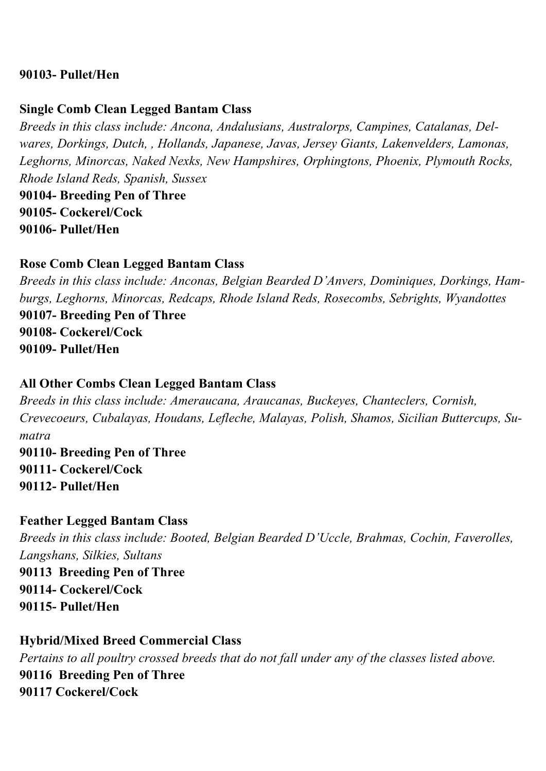#### **90103- Pullet/Hen**

#### **Single Comb Clean Legged Bantam Class**

*Breeds in this class include: Ancona, Andalusians, Australorps, Campines, Catalanas, Delwares, Dorkings, Dutch, , Hollands, Japanese, Javas, Jersey Giants, Lakenvelders, Lamonas, Leghorns, Minorcas, Naked Nexks, New Hampshires, Orphingtons, Phoenix, Plymouth Rocks, Rhode Island Reds, Spanish, Sussex*  **90104- Breeding Pen of Three 90105- Cockerel/Cock 90106- Pullet/Hen** 

#### **Rose Comb Clean Legged Bantam Class**

*Breeds in this class include: Anconas, Belgian Bearded D'Anvers, Dominiques, Dorkings, Hamburgs, Leghorns, Minorcas, Redcaps, Rhode Island Reds, Rosecombs, Sebrights, Wyandottes*  **90107- Breeding Pen of Three 90108- Cockerel/Cock 90109- Pullet/Hen** 

#### **All Other Combs Clean Legged Bantam Class**

*Breeds in this class include: Ameraucana, Araucanas, Buckeyes, Chanteclers, Cornish, Crevecoeurs, Cubalayas, Houdans, Lefleche, Malayas, Polish, Shamos, Sicilian Buttercups, Sumatra*  **90110- Breeding Pen of Three 90111- Cockerel/Cock 90112- Pullet/Hen** 

**Feather Legged Bantam Class**  *Breeds in this class include: Booted, Belgian Bearded D'Uccle, Brahmas, Cochin, Faverolles, Langshans, Silkies, Sultans* 

**90113 Breeding Pen of Three 90114- Cockerel/Cock 90115- Pullet/Hen** 

**Hybrid/Mixed Breed Commercial Class**  *Pertains to all poultry crossed breeds that do not fall under any of the classes listed above.*  **90116 Breeding Pen of Three 90117 Cockerel/Cock**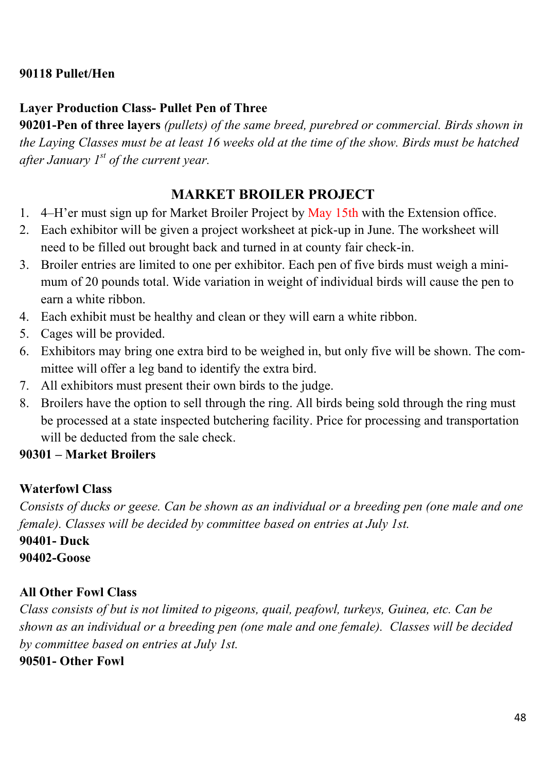#### **90118 Pullet/Hen**

#### **Layer Production Class- Pullet Pen of Three**

**90201-Pen of three layers** *(pullets) of the same breed, purebred or commercial. Birds shown in the Laying Classes must be at least 16 weeks old at the time of the show. Birds must be hatched after January 1st of the current year.*

#### **MARKET BROILER PROJECT**

- 1. 4–H'er must sign up for Market Broiler Project by May 15th with the Extension office.
- 2. Each exhibitor will be given a project worksheet at pick-up in June. The worksheet will need to be filled out brought back and turned in at county fair check-in.
- 3. Broiler entries are limited to one per exhibitor. Each pen of five birds must weigh a minimum of 20 pounds total. Wide variation in weight of individual birds will cause the pen to earn a white ribbon.
- 4. Each exhibit must be healthy and clean or they will earn a white ribbon.
- 5. Cages will be provided.
- 6. Exhibitors may bring one extra bird to be weighed in, but only five will be shown. The committee will offer a leg band to identify the extra bird.
- 7. All exhibitors must present their own birds to the judge.
- 8. Broilers have the option to sell through the ring. All birds being sold through the ring must be processed at a state inspected butchering facility. Price for processing and transportation will be deducted from the sale check.

#### **90301 – Market Broilers**

#### **Waterfowl Class**

*Consists of ducks or geese. Can be shown as an individual or a breeding pen (one male and one female). Classes will be decided by committee based on entries at July 1st.* 

**90401- Duck 90402-Goose** 

#### **All Other Fowl Class**

*Class consists of but is not limited to pigeons, quail, peafowl, turkeys, Guinea, etc. Can be shown as an individual or a breeding pen (one male and one female). Classes will be decided by committee based on entries at July 1st.* 

**90501- Other Fowl**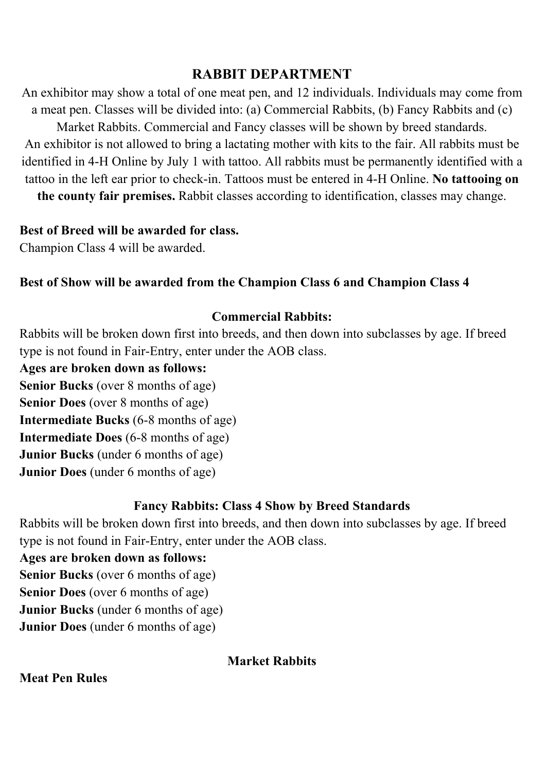#### **RABBIT DEPARTMENT**

An exhibitor may show a total of one meat pen, and 12 individuals. Individuals may come from a meat pen. Classes will be divided into: (a) Commercial Rabbits, (b) Fancy Rabbits and (c) Market Rabbits. Commercial and Fancy classes will be shown by breed standards. An exhibitor is not allowed to bring a lactating mother with kits to the fair. All rabbits must be identified in 4-H Online by July 1 with tattoo. All rabbits must be permanently identified with a tattoo in the left ear prior to check-in. Tattoos must be entered in 4-H Online. **No tattooing on** 

**the county fair premises.** Rabbit classes according to identification, classes may change.

#### **Best of Breed will be awarded for class.**

Champion Class 4 will be awarded.

#### **Best of Show will be awarded from the Champion Class 6 and Champion Class 4**

#### **Commercial Rabbits:**

Rabbits will be broken down first into breeds, and then down into subclasses by age. If breed type is not found in Fair-Entry, enter under the AOB class.

**Ages are broken down as follows:** 

**Senior Bucks** (over 8 months of age)

**Senior Does** (over 8 months of age)

**Intermediate Bucks** (6-8 months of age)

**Intermediate Does** (6-8 months of age)

**Junior Bucks** (under 6 months of age)

**Junior Does** (under 6 months of age)

#### **Fancy Rabbits: Class 4 Show by Breed Standards**

Rabbits will be broken down first into breeds, and then down into subclasses by age. If breed type is not found in Fair-Entry, enter under the AOB class.

**Ages are broken down as follows:** 

**Senior Bucks** (over 6 months of age)

**Senior Does** (over 6 months of age)

**Junior Bucks** (under 6 months of age)

**Junior Does** (under 6 months of age)

#### **Market Rabbits**

**Meat Pen Rules**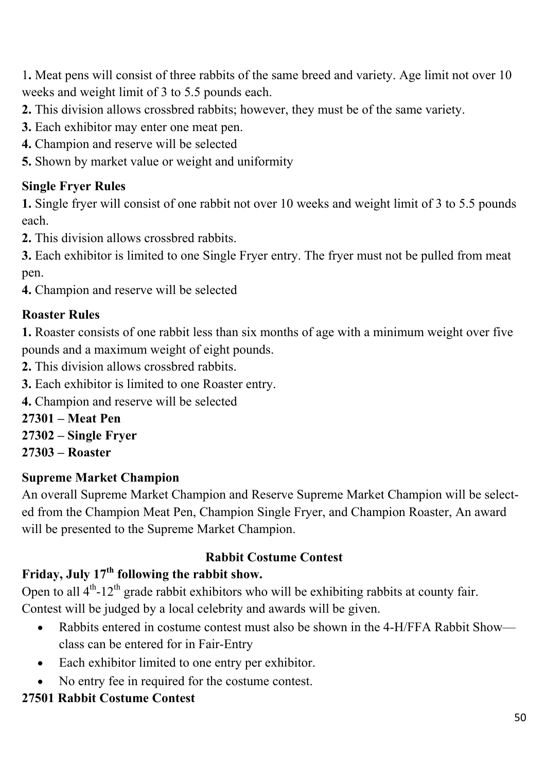1**.** Meat pens will consist of three rabbits of the same breed and variety. Age limit not over 10 weeks and weight limit of 3 to 5.5 pounds each.

- **2.** This division allows crossbred rabbits; however, they must be of the same variety.
- **3.** Each exhibitor may enter one meat pen.
- **4.** Champion and reserve will be selected
- **5.** Shown by market value or weight and uniformity

### **Single Fryer Rules**

**1.** Single fryer will consist of one rabbit not over 10 weeks and weight limit of 3 to 5.5 pounds each.

**2.** This division allows crossbred rabbits.

**3.** Each exhibitor is limited to one Single Fryer entry. The fryer must not be pulled from meat pen.

**4.** Champion and reserve will be selected

### **Roaster Rules**

**1.** Roaster consists of one rabbit less than six months of age with a minimum weight over five pounds and a maximum weight of eight pounds.

- **2.** This division allows crossbred rabbits.
- **3.** Each exhibitor is limited to one Roaster entry.
- **4.** Champion and reserve will be selected
- **27301 Meat Pen**
- **27302 Single Fryer**
- **27303 Roaster**

#### **Supreme Market Champion**

An overall Supreme Market Champion and Reserve Supreme Market Champion will be selected from the Champion Meat Pen, Champion Single Fryer, and Champion Roaster, An award will be presented to the Supreme Market Champion.

#### **Rabbit Costume Contest**

### **Friday, July 17th following the rabbit show.**

Open to all  $4<sup>th</sup>$ -12<sup>th</sup> grade rabbit exhibitors who will be exhibiting rabbits at county fair. Contest will be judged by a local celebrity and awards will be given.

- Rabbits entered in costume contest must also be shown in the 4-H/FFA Rabbit Show class can be entered for in Fair-Entry
- Each exhibitor limited to one entry per exhibitor.
- No entry fee in required for the costume contest.

# **27501 Rabbit Costume Contest**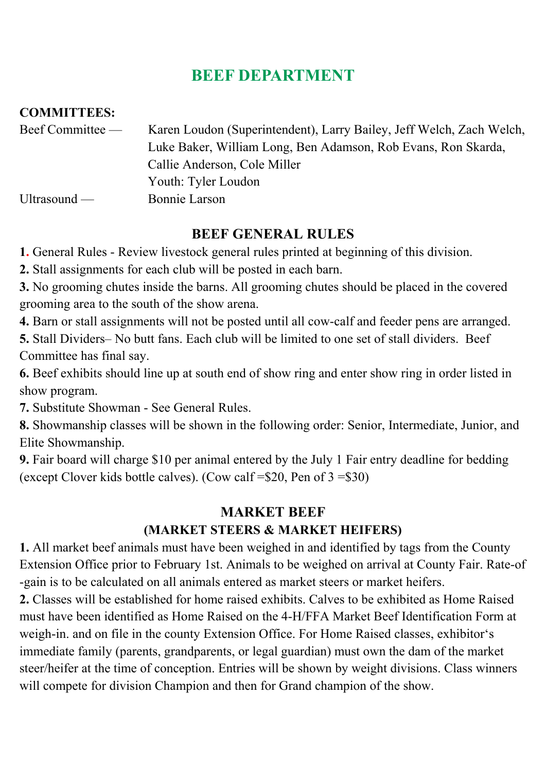# **BEEF DEPARTMENT**

#### **COMMITTEES:**

| Beef Committee — | Karen Loudon (Superintendent), Larry Bailey, Jeff Welch, Zach Welch, |
|------------------|----------------------------------------------------------------------|
|                  | Luke Baker, William Long, Ben Adamson, Rob Evans, Ron Skarda,        |
|                  | Callie Anderson, Cole Miller                                         |
|                  | Youth: Tyler Loudon                                                  |
| Ultrasound $-$   | Bonnie Larson                                                        |

### **BEEF GENERAL RULES**

**1.** General Rules - Review livestock general rules printed at beginning of this division.

**2.** Stall assignments for each club will be posted in each barn.

**3.** No grooming chutes inside the barns. All grooming chutes should be placed in the covered grooming area to the south of the show arena.

**4.** Barn or stall assignments will not be posted until all cow-calf and feeder pens are arranged.

**5.** Stall Dividers– No butt fans. Each club will be limited to one set of stall dividers. Beef Committee has final say.

**6.** Beef exhibits should line up at south end of show ring and enter show ring in order listed in show program.

**7.** Substitute Showman - See General Rules.

**8.** Showmanship classes will be shown in the following order: Senior, Intermediate, Junior, and Elite Showmanship.

**9.** Fair board will charge \$10 per animal entered by the July 1 Fair entry deadline for bedding (except Clover kids bottle calves). (Cow calf =\$20, Pen of 3 =\$30)

### **MARKET BEEF (MARKET STEERS & MARKET HEIFERS)**

**1.** All market beef animals must have been weighed in and identified by tags from the County Extension Office prior to February 1st. Animals to be weighed on arrival at County Fair. Rate-of -gain is to be calculated on all animals entered as market steers or market heifers.

**2.** Classes will be established for home raised exhibits. Calves to be exhibited as Home Raised must have been identified as Home Raised on the 4-H/FFA Market Beef Identification Form at weigh-in. and on file in the county Extension Office. For Home Raised classes, exhibitor's immediate family (parents, grandparents, or legal guardian) must own the dam of the market steer/heifer at the time of conception. Entries will be shown by weight divisions. Class winners will compete for division Champion and then for Grand champion of the show.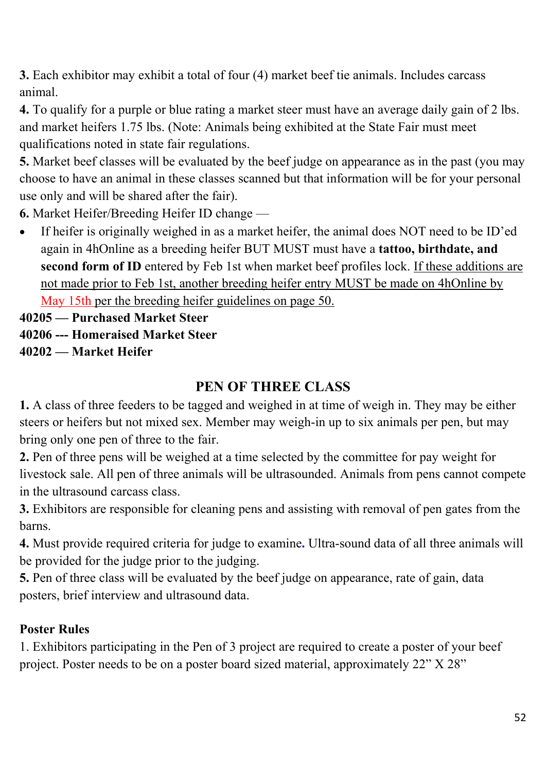**3.** Each exhibitor may exhibit a total of four (4) market beef tie animals. Includes carcass animal.

**4.** To qualify for a purple or blue rating a market steer must have an average daily gain of 2 lbs. and market heifers 1.75 lbs. (Note: Animals being exhibited at the State Fair must meet qualifications noted in state fair regulations.

**5.** Market beef classes will be evaluated by the beef judge on appearance as in the past (you may choose to have an animal in these classes scanned but that information will be for your personal use only and will be shared after the fair).

**6.** Market Heifer/Breeding Heifer ID change —

 If heifer is originally weighed in as a market heifer, the animal does NOT need to be ID'ed again in 4hOnline as a breeding heifer BUT MUST must have a **tattoo, birthdate, and second form of ID** entered by Feb 1st when market beef profiles lock. If these additions are not made prior to Feb 1st, another breeding heifer entry MUST be made on 4hOnline by

May 15th per the breeding heifer guidelines on page 50.

**40205 — Purchased Market Steer** 

**40206 --- Homeraised Market Steer** 

**40202 — Market Heifer** 

### **PEN OF THREE CLASS**

**1.** A class of three feeders to be tagged and weighed in at time of weigh in. They may be either steers or heifers but not mixed sex. Member may weigh-in up to six animals per pen, but may bring only one pen of three to the fair.

**2.** Pen of three pens will be weighed at a time selected by the committee for pay weight for livestock sale. All pen of three animals will be ultrasounded. Animals from pens cannot compete in the ultrasound carcass class.

**3.** Exhibitors are responsible for cleaning pens and assisting with removal of pen gates from the barns.

**4.** Must provide required criteria for judge to examine**.** Ultra-sound data of all three animals will be provided for the judge prior to the judging.

**5.** Pen of three class will be evaluated by the beef judge on appearance, rate of gain, data posters, brief interview and ultrasound data.

### **Poster Rules**

1. Exhibitors participating in the Pen of 3 project are required to create a poster of your beef project. Poster needs to be on a poster board sized material, approximately 22" X 28"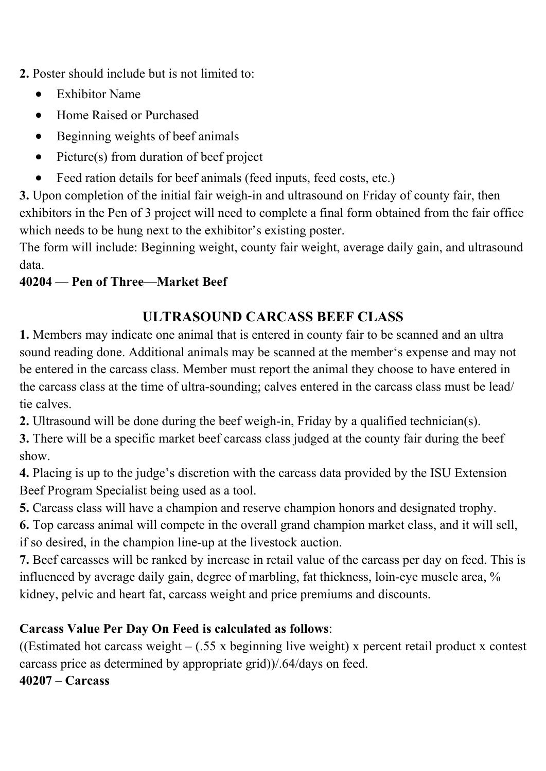**2.** Poster should include but is not limited to:

- Exhibitor Name
- Home Raised or Purchased
- Beginning weights of beef animals
- Picture(s) from duration of beef project
- Feed ration details for beef animals (feed inputs, feed costs, etc.)

**3.** Upon completion of the initial fair weigh-in and ultrasound on Friday of county fair, then exhibitors in the Pen of 3 project will need to complete a final form obtained from the fair office which needs to be hung next to the exhibitor's existing poster.

The form will include: Beginning weight, county fair weight, average daily gain, and ultrasound data.

### **40204 — Pen of Three—Market Beef**

# **ULTRASOUND CARCASS BEEF CLASS**

**1.** Members may indicate one animal that is entered in county fair to be scanned and an ultra sound reading done. Additional animals may be scanned at the member's expense and may not be entered in the carcass class. Member must report the animal they choose to have entered in the carcass class at the time of ultra-sounding; calves entered in the carcass class must be lead/ tie calves.

**2.** Ultrasound will be done during the beef weigh-in, Friday by a qualified technician(s).

**3.** There will be a specific market beef carcass class judged at the county fair during the beef show.

**4.** Placing is up to the judge's discretion with the carcass data provided by the ISU Extension Beef Program Specialist being used as a tool.

**5.** Carcass class will have a champion and reserve champion honors and designated trophy.

**6.** Top carcass animal will compete in the overall grand champion market class, and it will sell, if so desired, in the champion line-up at the livestock auction.

**7.** Beef carcasses will be ranked by increase in retail value of the carcass per day on feed. This is influenced by average daily gain, degree of marbling, fat thickness, loin-eye muscle area, % kidney, pelvic and heart fat, carcass weight and price premiums and discounts.

### **Carcass Value Per Day On Feed is calculated as follows**:

((Estimated hot carcass weight  $-$  (.55 x beginning live weight) x percent retail product x contest carcass price as determined by appropriate grid))/.64/days on feed.

**40207 – Carcass**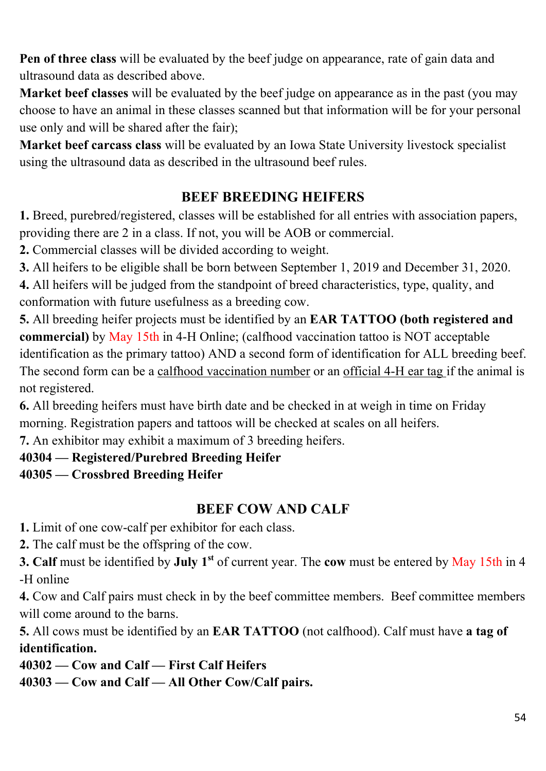**Pen of three class** will be evaluated by the beef judge on appearance, rate of gain data and ultrasound data as described above.

**Market beef classes** will be evaluated by the beef judge on appearance as in the past (you may choose to have an animal in these classes scanned but that information will be for your personal use only and will be shared after the fair);

**Market beef carcass class** will be evaluated by an Iowa State University livestock specialist using the ultrasound data as described in the ultrasound beef rules.

## **BEEF BREEDING HEIFERS**

**1.** Breed, purebred/registered, classes will be established for all entries with association papers, providing there are 2 in a class. If not, you will be AOB or commercial.

**2.** Commercial classes will be divided according to weight.

**3.** All heifers to be eligible shall be born between September 1, 2019 and December 31, 2020.

**4.** All heifers will be judged from the standpoint of breed characteristics, type, quality, and conformation with future usefulness as a breeding cow.

**5.** All breeding heifer projects must be identified by an **EAR TATTOO (both registered and commercial)** by May 15th in 4-H Online; (calfhood vaccination tattoo is NOT acceptable identification as the primary tattoo) AND a second form of identification for ALL breeding beef. The second form can be a calfhood vaccination number or an official 4-H ear tag if the animal is not registered.

**6.** All breeding heifers must have birth date and be checked in at weigh in time on Friday morning. Registration papers and tattoos will be checked at scales on all heifers.

**7.** An exhibitor may exhibit a maximum of 3 breeding heifers.

#### **40304 — Registered/Purebred Breeding Heifer**

### **40305 — Crossbred Breeding Heifer**

### **BEEF COW AND CALF**

**1.** Limit of one cow-calf per exhibitor for each class.

**2.** The calf must be the offspring of the cow.

**3. Calf** must be identified by **July 1st** of current year. The **cow** must be entered by May 15th in 4 -H online

**4.** Cow and Calf pairs must check in by the beef committee members. Beef committee members will come around to the barns.

**5.** All cows must be identified by an **EAR TATTOO** (not calfhood). Calf must have **a tag of identification.**

**40302 — Cow and Calf — First Calf Heifers 40303 — Cow and Calf — All Other Cow/Calf pairs.**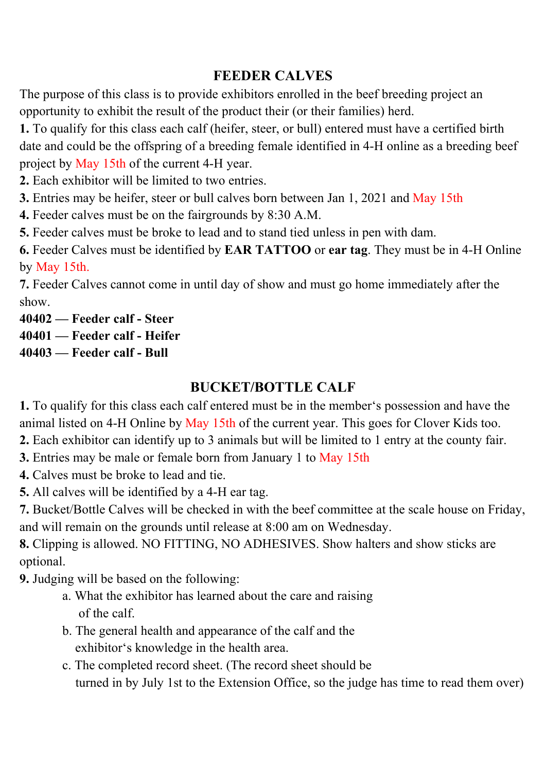### **FEEDER CALVES**

The purpose of this class is to provide exhibitors enrolled in the beef breeding project an opportunity to exhibit the result of the product their (or their families) herd.

**1.** To qualify for this class each calf (heifer, steer, or bull) entered must have a certified birth date and could be the offspring of a breeding female identified in 4-H online as a breeding beef project by May 15th of the current 4-H year.

**2.** Each exhibitor will be limited to two entries.

**3.** Entries may be heifer, steer or bull calves born between Jan 1, 2021 and May 15th

**4.** Feeder calves must be on the fairgrounds by 8:30 A.M.

**5.** Feeder calves must be broke to lead and to stand tied unless in pen with dam.

**6.** Feeder Calves must be identified by **EAR TATTOO** or **ear tag**. They must be in 4-H Online by May 15th.

**7.** Feeder Calves cannot come in until day of show and must go home immediately after the show.

#### **40402 — Feeder calf - Steer**

**40401 — Feeder calf - Heifer** 

**40403 — Feeder calf - Bull** 

#### **BUCKET/BOTTLE CALF**

**1.** To qualify for this class each calf entered must be in the member's possession and have the animal listed on 4-H Online by May 15th of the current year. This goes for Clover Kids too.

**2.** Each exhibitor can identify up to 3 animals but will be limited to 1 entry at the county fair.

**3.** Entries may be male or female born from January 1 to May 15th

**4.** Calves must be broke to lead and tie.

**5.** All calves will be identified by a 4-H ear tag.

**7.** Bucket/Bottle Calves will be checked in with the beef committee at the scale house on Friday, and will remain on the grounds until release at 8:00 am on Wednesday.

**8.** Clipping is allowed. NO FITTING, NO ADHESIVES. Show halters and show sticks are optional.

**9.** Judging will be based on the following:

- a. What the exhibitor has learned about the care and raising of the calf.
- b. The general health and appearance of the calf and the exhibitor's knowledge in the health area.
- c. The completed record sheet. (The record sheet should be turned in by July 1st to the Extension Office, so the judge has time to read them over)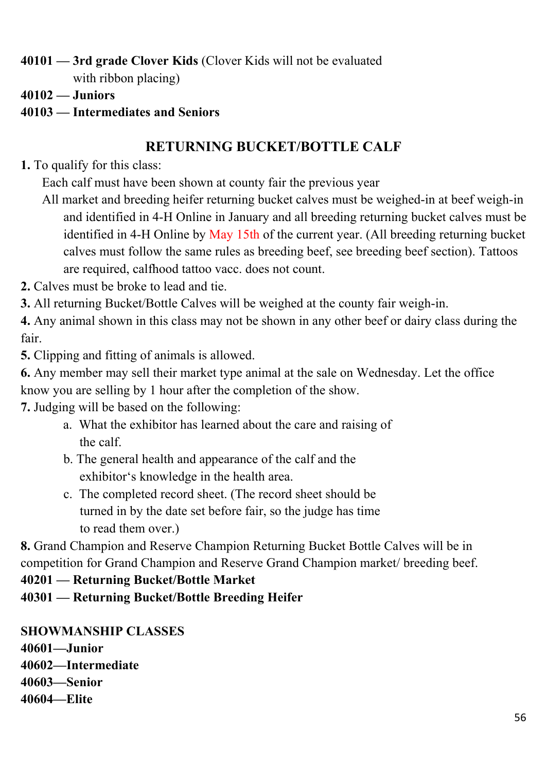**40101 — 3rd grade Clover Kids** (Clover Kids will not be evaluated

with ribbon placing)

**40102 — Juniors** 

### **40103 — Intermediates and Seniors**

# **RETURNING BUCKET/BOTTLE CALF**

- **1.** To qualify for this class:
	- Each calf must have been shown at county fair the previous year
	- All market and breeding heifer returning bucket calves must be weighed-in at beef weigh-in and identified in 4-H Online in January and all breeding returning bucket calves must be identified in 4-H Online by May 15th of the current year. (All breeding returning bucket calves must follow the same rules as breeding beef, see breeding beef section). Tattoos are required, calfhood tattoo vacc. does not count.
- **2.** Calves must be broke to lead and tie.
- **3.** All returning Bucket/Bottle Calves will be weighed at the county fair weigh-in.
- **4.** Any animal shown in this class may not be shown in any other beef or dairy class during the fair.
- **5.** Clipping and fitting of animals is allowed.
- **6.** Any member may sell their market type animal at the sale on Wednesday. Let the office know you are selling by 1 hour after the completion of the show.
- **7.** Judging will be based on the following:
	- a. What the exhibitor has learned about the care and raising of the calf.
	- b. The general health and appearance of the calf and the exhibitor's knowledge in the health area.
	- c. The completed record sheet. (The record sheet should be turned in by the date set before fair, so the judge has time to read them over.)

**8.** Grand Champion and Reserve Champion Returning Bucket Bottle Calves will be in competition for Grand Champion and Reserve Grand Champion market/ breeding beef.

### **40201 — Returning Bucket/Bottle Market**

**40301 — Returning Bucket/Bottle Breeding Heifer** 

#### **SHOWMANSHIP CLASSES 40601—Junior**

**40602—Intermediate** 

- **40603—Senior**
- **40604—Elite**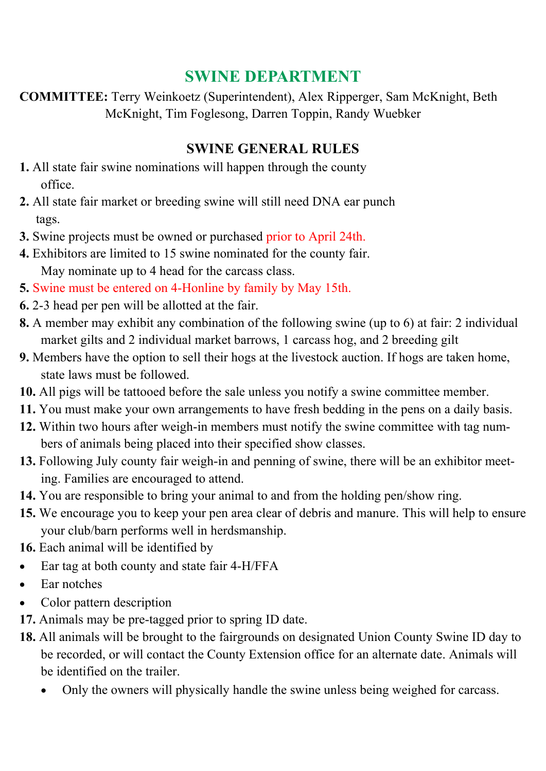# **SWINE DEPARTMENT**

**COMMITTEE:** Terry Weinkoetz (Superintendent), Alex Ripperger, Sam McKnight, Beth McKnight, Tim Foglesong, Darren Toppin, Randy Wuebker

### **SWINE GENERAL RULES**

- **1.** All state fair swine nominations will happen through the county office.
- **2.** All state fair market or breeding swine will still need DNA ear punch tags.
- **3.** Swine projects must be owned or purchased prior to April 24th.
- **4.** Exhibitors are limited to 15 swine nominated for the county fair. May nominate up to 4 head for the carcass class.
- **5.** Swine must be entered on 4-Honline by family by May 15th.
- **6.** 2-3 head per pen will be allotted at the fair.
- **8.** A member may exhibit any combination of the following swine (up to 6) at fair: 2 individual market gilts and 2 individual market barrows, 1 carcass hog, and 2 breeding gilt
- **9.** Members have the option to sell their hogs at the livestock auction. If hogs are taken home, state laws must be followed.
- **10.** All pigs will be tattooed before the sale unless you notify a swine committee member.
- **11.** You must make your own arrangements to have fresh bedding in the pens on a daily basis.
- **12.** Within two hours after weigh-in members must notify the swine committee with tag numbers of animals being placed into their specified show classes.
- **13.** Following July county fair weigh-in and penning of swine, there will be an exhibitor meeting. Families are encouraged to attend.
- **14.** You are responsible to bring your animal to and from the holding pen/show ring.
- **15.** We encourage you to keep your pen area clear of debris and manure. This will help to ensure your club/barn performs well in herdsmanship.
- **16.** Each animal will be identified by
- Ear tag at both county and state fair 4-H/FFA
- Ear notches
- Color pattern description
- **17.** Animals may be pre-tagged prior to spring ID date.
- **18.** All animals will be brought to the fairgrounds on designated Union County Swine ID day to be recorded, or will contact the County Extension office for an alternate date. Animals will be identified on the trailer.
	- Only the owners will physically handle the swine unless being weighed for carcass.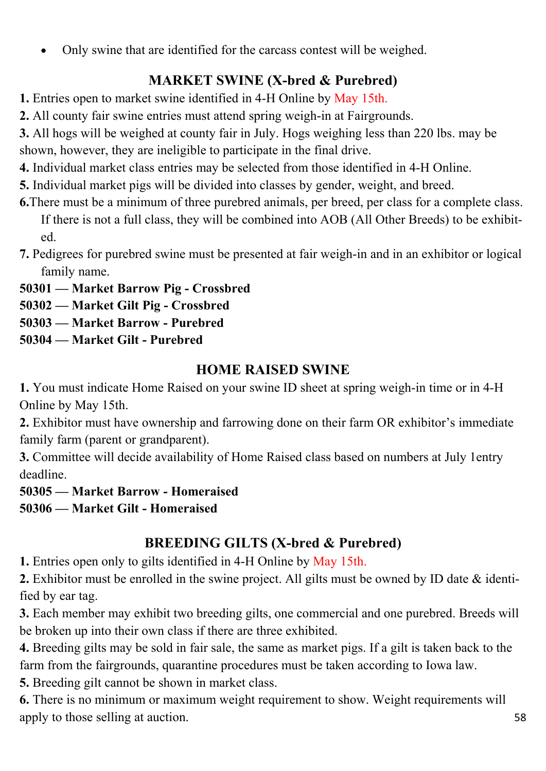Only swine that are identified for the carcass contest will be weighed.

### **MARKET SWINE (X-bred & Purebred)**

**1.** Entries open to market swine identified in 4-H Online by May 15th.

**2.** All county fair swine entries must attend spring weigh-in at Fairgrounds.

**3.** All hogs will be weighed at county fair in July. Hogs weighing less than 220 lbs. may be shown, however, they are ineligible to participate in the final drive.

**4.** Individual market class entries may be selected from those identified in 4-H Online.

**5.** Individual market pigs will be divided into classes by gender, weight, and breed.

**6.**There must be a minimum of three purebred animals, per breed, per class for a complete class. If there is not a full class, they will be combined into AOB (All Other Breeds) to be exhibited.

**7.** Pedigrees for purebred swine must be presented at fair weigh-in and in an exhibitor or logical family name.

**50301 — Market Barrow Pig - Crossbred**

**50302 — Market Gilt Pig - Crossbred** 

**50303 — Market Barrow - Purebred** 

**50304 — Market Gilt - Purebred** 

### **HOME RAISED SWINE**

**1.** You must indicate Home Raised on your swine ID sheet at spring weigh-in time or in 4-H Online by May 15th.

**2.** Exhibitor must have ownership and farrowing done on their farm OR exhibitor's immediate family farm (parent or grandparent).

**3.** Committee will decide availability of Home Raised class based on numbers at July 1entry deadline.

**50305 — Market Barrow - Homeraised 50306 — Market Gilt - Homeraised** 

### **BREEDING GILTS (X-bred & Purebred)**

**1.** Entries open only to gilts identified in 4-H Online by May 15th.

**2.** Exhibitor must be enrolled in the swine project. All gilts must be owned by ID date & identified by ear tag.

**3.** Each member may exhibit two breeding gilts, one commercial and one purebred. Breeds will be broken up into their own class if there are three exhibited.

**4.** Breeding gilts may be sold in fair sale, the same as market pigs. If a gilt is taken back to the farm from the fairgrounds, quarantine procedures must be taken according to Iowa law.

**5.** Breeding gilt cannot be shown in market class.

**6.** There is no minimum or maximum weight requirement to show. Weight requirements will apply to those selling at auction.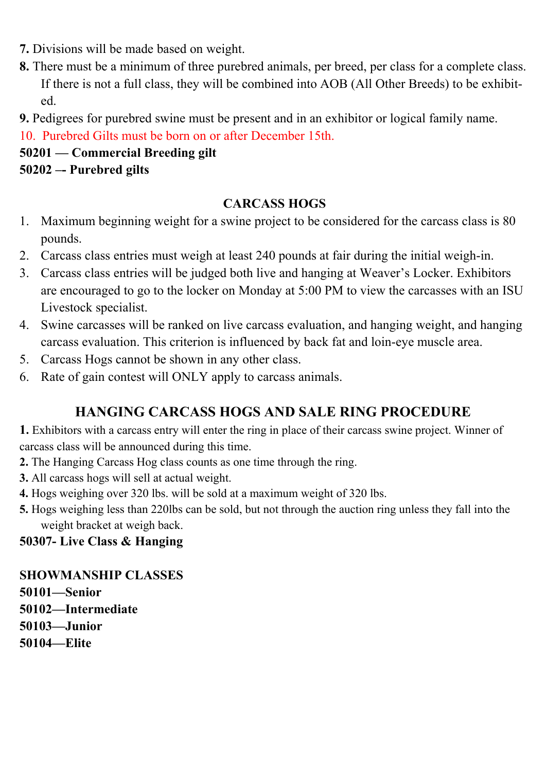- **7.** Divisions will be made based on weight.
- **8.** There must be a minimum of three purebred animals, per breed, per class for a complete class. If there is not a full class, they will be combined into AOB (All Other Breeds) to be exhibited.
- **9.** Pedigrees for purebred swine must be present and in an exhibitor or logical family name.

10. Purebred Gilts must be born on or after December 15th.

# **50201 — Commercial Breeding gilt**

# **50202 –- Purebred gilts**

#### **CARCASS HOGS**

- 1. Maximum beginning weight for a swine project to be considered for the carcass class is 80 pounds.
- 2. Carcass class entries must weigh at least 240 pounds at fair during the initial weigh-in.
- 3. Carcass class entries will be judged both live and hanging at Weaver's Locker. Exhibitors are encouraged to go to the locker on Monday at 5:00 PM to view the carcasses with an ISU Livestock specialist.
- 4. Swine carcasses will be ranked on live carcass evaluation, and hanging weight, and hanging carcass evaluation. This criterion is influenced by back fat and loin-eye muscle area.
- 5. Carcass Hogs cannot be shown in any other class.
- 6. Rate of gain contest will ONLY apply to carcass animals.

### **HANGING CARCASS HOGS AND SALE RING PROCEDURE**

**1.** Exhibitors with a carcass entry will enter the ring in place of their carcass swine project. Winner of carcass class will be announced during this time.

- **2.** The Hanging Carcass Hog class counts as one time through the ring.
- **3.** All carcass hogs will sell at actual weight.
- **4.** Hogs weighing over 320 lbs. will be sold at a maximum weight of 320 lbs.
- **5.** Hogs weighing less than 220lbs can be sold, but not through the auction ring unless they fall into the weight bracket at weigh back.

#### **50307- Live Class & Hanging**

#### **SHOWMANSHIP CLASSES**

- **50101—Senior**
- **50102—Intermediate**
- **50103—Junior**
- **50104—Elite**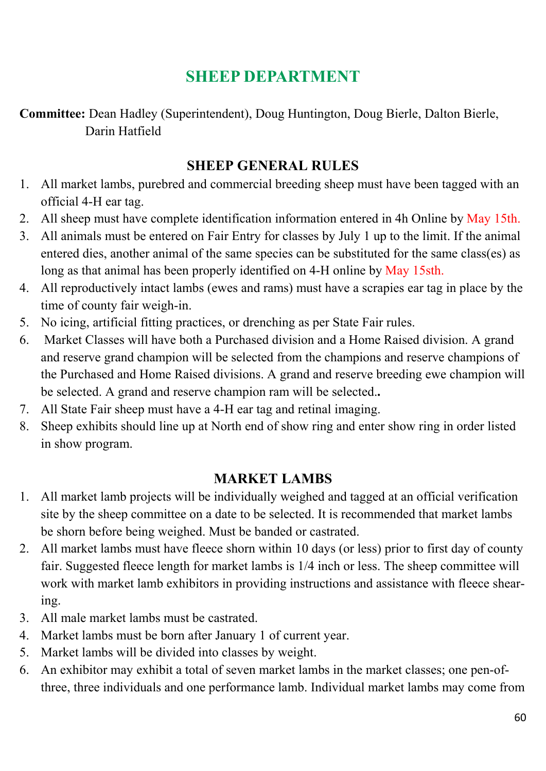# **SHEEP DEPARTMENT**

**Committee:** Dean Hadley (Superintendent), Doug Huntington, Doug Bierle, Dalton Bierle, Darin Hatfield

#### **SHEEP GENERAL RULES**

- 1. All market lambs, purebred and commercial breeding sheep must have been tagged with an official 4-H ear tag.
- 2. All sheep must have complete identification information entered in 4h Online by May 15th.
- 3. All animals must be entered on Fair Entry for classes by July 1 up to the limit. If the animal entered dies, another animal of the same species can be substituted for the same class(es) as long as that animal has been properly identified on 4-H online by May 15sth.
- 4. All reproductively intact lambs (ewes and rams) must have a scrapies ear tag in place by the time of county fair weigh-in.
- 5. No icing, artificial fitting practices, or drenching as per State Fair rules.
- 6. Market Classes will have both a Purchased division and a Home Raised division. A grand and reserve grand champion will be selected from the champions and reserve champions of the Purchased and Home Raised divisions. A grand and reserve breeding ewe champion will be selected. A grand and reserve champion ram will be selected.**.**
- 7. All State Fair sheep must have a 4-H ear tag and retinal imaging.
- 8. Sheep exhibits should line up at North end of show ring and enter show ring in order listed in show program.

#### **MARKET LAMBS**

- 1. All market lamb projects will be individually weighed and tagged at an official verification site by the sheep committee on a date to be selected. It is recommended that market lambs be shorn before being weighed. Must be banded or castrated.
- 2. All market lambs must have fleece shorn within 10 days (or less) prior to first day of county fair. Suggested fleece length for market lambs is 1/4 inch or less. The sheep committee will work with market lamb exhibitors in providing instructions and assistance with fleece shearing.
- 3. All male market lambs must be castrated.
- 4. Market lambs must be born after January 1 of current year.
- 5. Market lambs will be divided into classes by weight.
- 6. An exhibitor may exhibit a total of seven market lambs in the market classes; one pen-ofthree, three individuals and one performance lamb. Individual market lambs may come from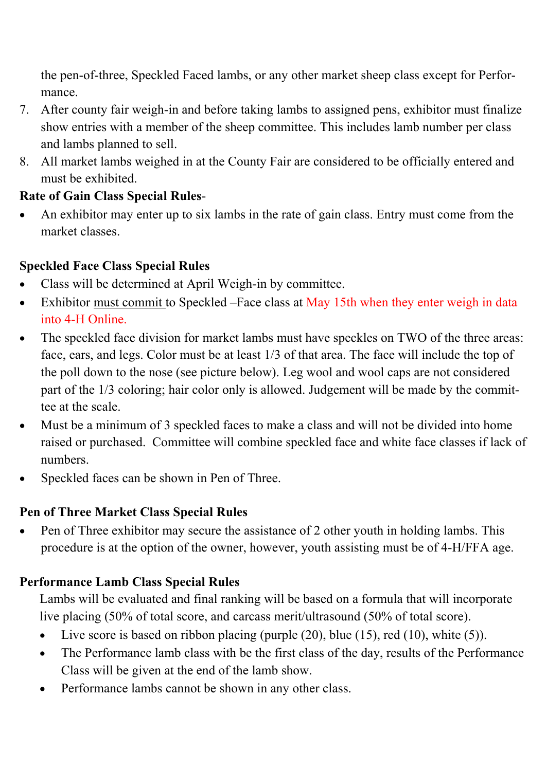the pen-of-three, Speckled Faced lambs, or any other market sheep class except for Performance.

- 7. After county fair weigh-in and before taking lambs to assigned pens, exhibitor must finalize show entries with a member of the sheep committee. This includes lamb number per class and lambs planned to sell.
- 8. All market lambs weighed in at the County Fair are considered to be officially entered and must be exhibited.

### **Rate of Gain Class Special Rules**-

 An exhibitor may enter up to six lambs in the rate of gain class. Entry must come from the market classes.

### **Speckled Face Class Special Rules**

- Class will be determined at April Weigh-in by committee.
- Exhibitor must commit to Speckled –Face class at May 15th when they enter weigh in data into 4-H Online.
- The speckled face division for market lambs must have speckles on TWO of the three areas: face, ears, and legs. Color must be at least 1/3 of that area. The face will include the top of the poll down to the nose (see picture below). Leg wool and wool caps are not considered part of the 1/3 coloring; hair color only is allowed. Judgement will be made by the committee at the scale.
- Must be a minimum of 3 speckled faces to make a class and will not be divided into home raised or purchased. Committee will combine speckled face and white face classes if lack of numbers.
- Speckled faces can be shown in Pen of Three.

#### **Pen of Three Market Class Special Rules**

 Pen of Three exhibitor may secure the assistance of 2 other youth in holding lambs. This procedure is at the option of the owner, however, youth assisting must be of 4-H/FFA age.

### **Performance Lamb Class Special Rules**

Lambs will be evaluated and final ranking will be based on a formula that will incorporate live placing (50% of total score, and carcass merit/ultrasound (50% of total score).

- Live score is based on ribbon placing (purple  $(20)$ , blue  $(15)$ , red  $(10)$ , white  $(5)$ ).
- The Performance lamb class with be the first class of the day, results of the Performance Class will be given at the end of the lamb show.
- Performance lambs cannot be shown in any other class.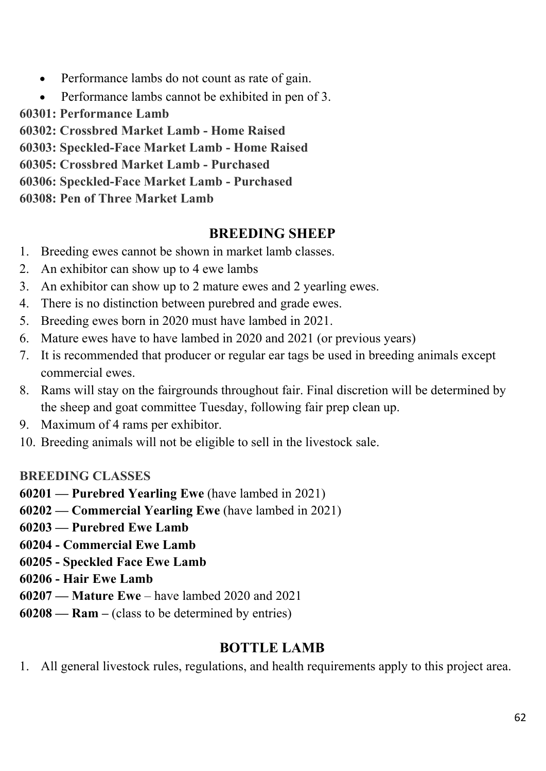- Performance lambs do not count as rate of gain.
- Performance lambs cannot be exhibited in pen of 3.
- **60301: Performance Lamb**

**60302: Crossbred Market Lamb - Home Raised** 

**60303: Speckled-Face Market Lamb - Home Raised** 

**60305: Crossbred Market Lamb - Purchased** 

**60306: Speckled-Face Market Lamb - Purchased** 

**60308: Pen of Three Market Lamb** 

### **BREEDING SHEEP**

- 1. Breeding ewes cannot be shown in market lamb classes.
- 2. An exhibitor can show up to 4 ewe lambs
- 3. An exhibitor can show up to 2 mature ewes and 2 yearling ewes.
- 4. There is no distinction between purebred and grade ewes.
- 5. Breeding ewes born in 2020 must have lambed in 2021.
- 6. Mature ewes have to have lambed in 2020 and 2021 (or previous years)
- 7. It is recommended that producer or regular ear tags be used in breeding animals except commercial ewes.
- 8. Rams will stay on the fairgrounds throughout fair. Final discretion will be determined by the sheep and goat committee Tuesday, following fair prep clean up.
- 9. Maximum of 4 rams per exhibitor.
- 10. Breeding animals will not be eligible to sell in the livestock sale.

### **BREEDING CLASSES**

**60201 — Purebred Yearling Ewe** (have lambed in 2021)

**60202 — Commercial Yearling Ewe** (have lambed in 2021)

- **60203 Purebred Ewe Lamb**
- **60204 Commercial Ewe Lamb**
- **60205 Speckled Face Ewe Lamb**
- **60206 Hair Ewe Lamb**
- **60207 Mature Ewe**  have lambed 2020 and 2021
- **60208 Ram –** (class to be determined by entries)

### **BOTTLE LAMB**

1. All general livestock rules, regulations, and health requirements apply to this project area.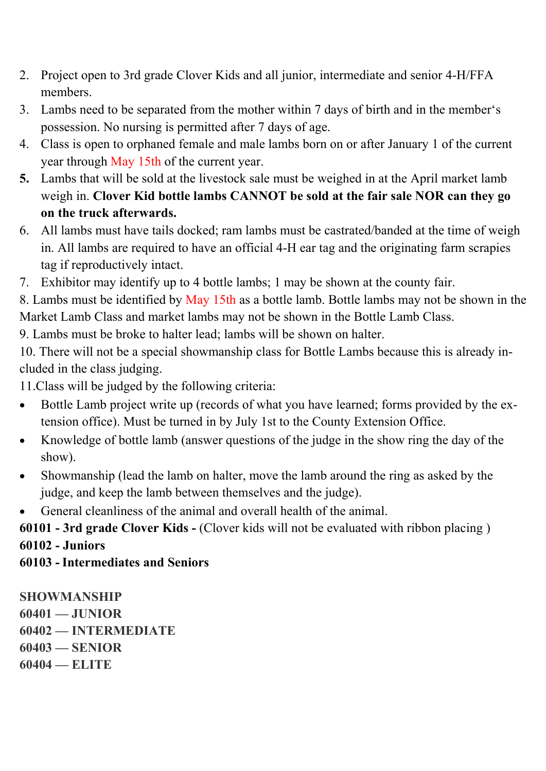- 2. Project open to 3rd grade Clover Kids and all junior, intermediate and senior 4-H/FFA members.
- 3. Lambs need to be separated from the mother within 7 days of birth and in the member's possession. No nursing is permitted after 7 days of age.
- 4. Class is open to orphaned female and male lambs born on or after January 1 of the current year through May 15th of the current year.
- **5.** Lambs that will be sold at the livestock sale must be weighed in at the April market lamb weigh in. **Clover Kid bottle lambs CANNOT be sold at the fair sale NOR can they go on the truck afterwards.**
- 6. All lambs must have tails docked; ram lambs must be castrated/banded at the time of weigh in. All lambs are required to have an official 4-H ear tag and the originating farm scrapies tag if reproductively intact.
- 7. Exhibitor may identify up to 4 bottle lambs; 1 may be shown at the county fair.

8. Lambs must be identified by May 15th as a bottle lamb. Bottle lambs may not be shown in the Market Lamb Class and market lambs may not be shown in the Bottle Lamb Class.

9. Lambs must be broke to halter lead; lambs will be shown on halter.

10. There will not be a special showmanship class for Bottle Lambs because this is already included in the class judging.

11.Class will be judged by the following criteria:

- Bottle Lamb project write up (records of what you have learned; forms provided by the extension office). Must be turned in by July 1st to the County Extension Office.
- Knowledge of bottle lamb (answer questions of the judge in the show ring the day of the show).
- Showmanship (lead the lamb on halter, move the lamb around the ring as asked by the judge, and keep the lamb between themselves and the judge).
- General cleanliness of the animal and overall health of the animal.

**60101 - 3rd grade Clover Kids -** (Clover kids will not be evaluated with ribbon placing ) **60102 - Juniors** 

**60103 - Intermediates and Seniors** 

**SHOWMANSHIP 60401 — JUNIOR 60402 — INTERMEDIATE 60403 — SENIOR 60404 — ELITE**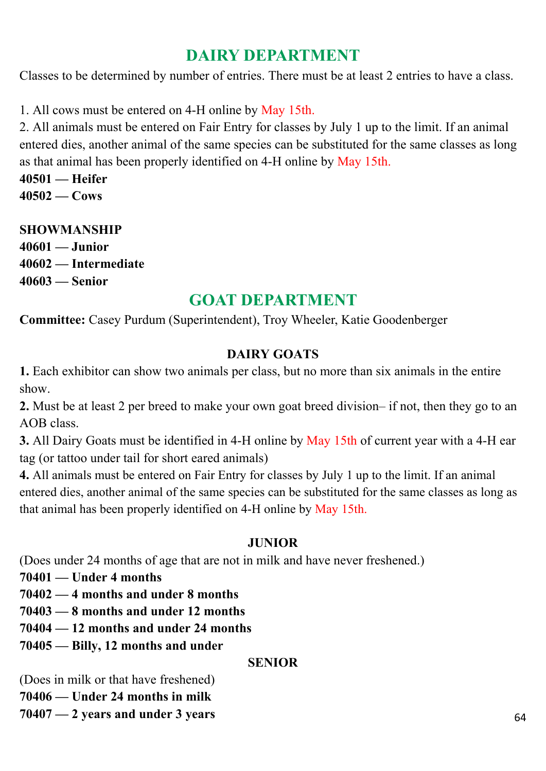# **DAIRY DEPARTMENT**

Classes to be determined by number of entries. There must be at least 2 entries to have a class.

1. All cows must be entered on 4-H online by May 15th.

2. All animals must be entered on Fair Entry for classes by July 1 up to the limit. If an animal entered dies, another animal of the same species can be substituted for the same classes as long as that animal has been properly identified on 4-H online by May 15th.

**40501 — Heifer 40502 — Cows** 

**SHOWMANSHIP 40601 — Junior 40602 — Intermediate 40603 — Senior** 

### **GOAT DEPARTMENT**

**Committee:** Casey Purdum (Superintendent), Troy Wheeler, Katie Goodenberger

#### **DAIRY GOATS**

**1.** Each exhibitor can show two animals per class, but no more than six animals in the entire show.

**2.** Must be at least 2 per breed to make your own goat breed division– if not, then they go to an AOB class.

**3.** All Dairy Goats must be identified in 4-H online by May 15th of current year with a 4-H ear tag (or tattoo under tail for short eared animals)

**4.** All animals must be entered on Fair Entry for classes by July 1 up to the limit. If an animal entered dies, another animal of the same species can be substituted for the same classes as long as that animal has been properly identified on 4-H online by May 15th.

#### **JUNIOR**

(Does under 24 months of age that are not in milk and have never freshened.)

**70401 — Under 4 months** 

**70402 — 4 months and under 8 months** 

**70403 — 8 months and under 12 months** 

**70404 — 12 months and under 24 months** 

**70405 — Billy, 12 months and under** 

#### **SENIOR**

(Does in milk or that have freshened)

**70406 — Under 24 months in milk** 

**70407 — 2 years and under 3 years**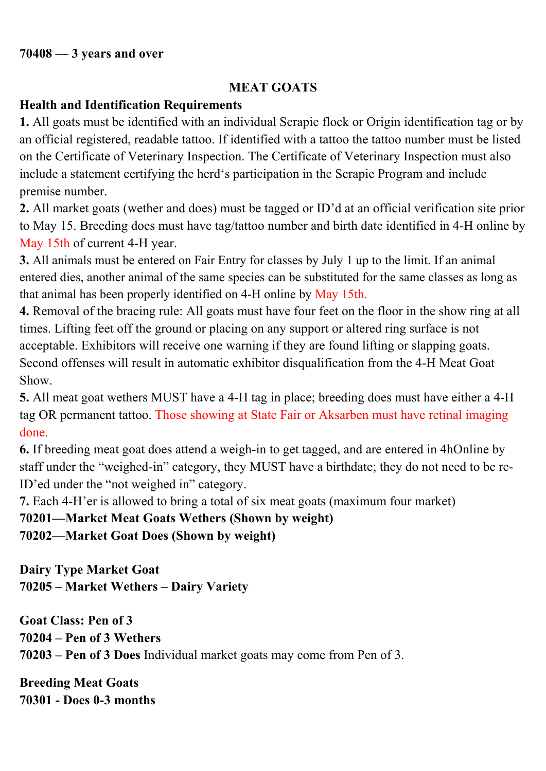#### **MEAT GOATS**

### **Health and Identification Requirements**

**1.** All goats must be identified with an individual Scrapie flock or Origin identification tag or by an official registered, readable tattoo. If identified with a tattoo the tattoo number must be listed on the Certificate of Veterinary Inspection. The Certificate of Veterinary Inspection must also include a statement certifying the herd's participation in the Scrapie Program and include premise number.

**2.** All market goats (wether and does) must be tagged or ID'd at an official verification site prior to May 15. Breeding does must have tag/tattoo number and birth date identified in 4-H online by May 15th of current 4-H year.

**3.** All animals must be entered on Fair Entry for classes by July 1 up to the limit. If an animal entered dies, another animal of the same species can be substituted for the same classes as long as that animal has been properly identified on 4-H online by May 15th.

**4.** Removal of the bracing rule: All goats must have four feet on the floor in the show ring at all times. Lifting feet off the ground or placing on any support or altered ring surface is not acceptable. Exhibitors will receive one warning if they are found lifting or slapping goats. Second offenses will result in automatic exhibitor disqualification from the 4-H Meat Goat Show.

**5.** All meat goat wethers MUST have a 4-H tag in place; breeding does must have either a 4-H tag OR permanent tattoo. Those showing at State Fair or Aksarben must have retinal imaging done.

**6.** If breeding meat goat does attend a weigh-in to get tagged, and are entered in 4hOnline by staff under the "weighed-in" category, they MUST have a birthdate; they do not need to be re-ID'ed under the "not weighed in" category.

**7.** Each 4-H'er is allowed to bring a total of six meat goats (maximum four market)

**70201—Market Meat Goats Wethers (Shown by weight)** 

**70202—Market Goat Does (Shown by weight)** 

**Dairy Type Market Goat 70205 – Market Wethers – Dairy Variety** 

**Goat Class: Pen of 3 70204 – Pen of 3 Wethers 70203 – Pen of 3 Does** Individual market goats may come from Pen of 3.

**Breeding Meat Goats 70301 - Does 0-3 months**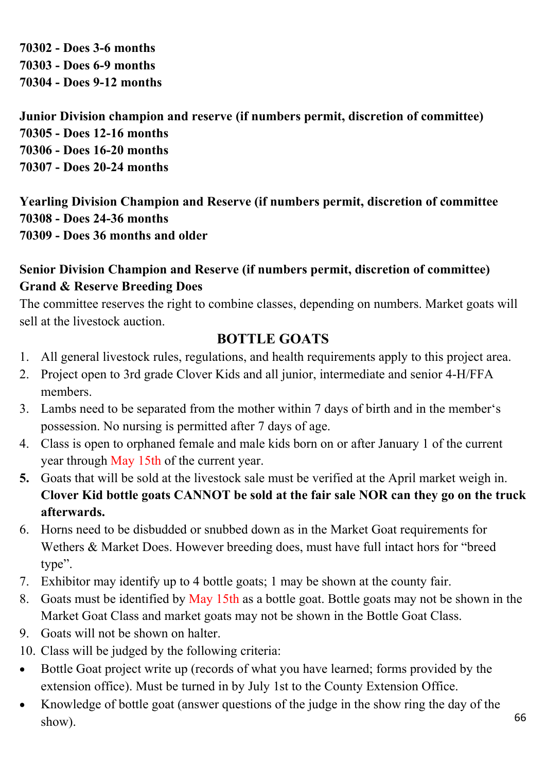**70302 - Does 3-6 months 70303 - Does 6-9 months 70304 - Does 9-12 months** 

**Junior Division champion and reserve (if numbers permit, discretion of committee) 70305 - Does 12-16 months 70306 - Does 16-20 months 70307 - Does 20-24 months** 

**Yearling Division Champion and Reserve (if numbers permit, discretion of committee 70308 - Does 24-36 months 70309 - Does 36 months and older** 

#### **Senior Division Champion and Reserve (if numbers permit, discretion of committee) Grand & Reserve Breeding Does**

The committee reserves the right to combine classes, depending on numbers. Market goats will sell at the livestock auction.

### **BOTTLE GOATS**

- 1. All general livestock rules, regulations, and health requirements apply to this project area.
- 2. Project open to 3rd grade Clover Kids and all junior, intermediate and senior 4-H/FFA members.
- 3. Lambs need to be separated from the mother within 7 days of birth and in the member's possession. No nursing is permitted after 7 days of age.
- 4. Class is open to orphaned female and male kids born on or after January 1 of the current year through May 15th of the current year.
- **5.** Goats that will be sold at the livestock sale must be verified at the April market weigh in. **Clover Kid bottle goats CANNOT be sold at the fair sale NOR can they go on the truck afterwards.**
- 6. Horns need to be disbudded or snubbed down as in the Market Goat requirements for Wethers & Market Does. However breeding does, must have full intact hors for "breed type".
- 7. Exhibitor may identify up to 4 bottle goats; 1 may be shown at the county fair.
- 8. Goats must be identified by May 15th as a bottle goat. Bottle goats may not be shown in the Market Goat Class and market goats may not be shown in the Bottle Goat Class.
- 9. Goats will not be shown on halter.
- 10. Class will be judged by the following criteria:
- Bottle Goat project write up (records of what you have learned; forms provided by the extension office). Must be turned in by July 1st to the County Extension Office.
- Knowledge of bottle goat (answer questions of the judge in the show ring the day of the show).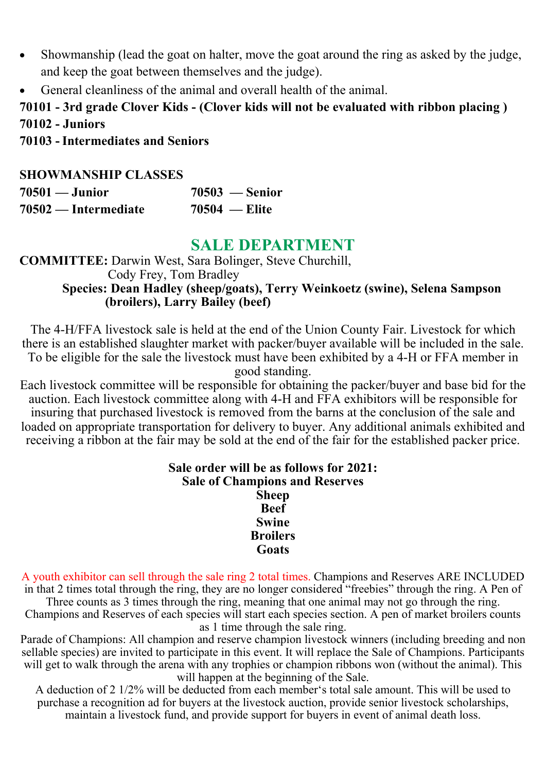- Showmanship (lead the goat on halter, move the goat around the ring as asked by the judge, and keep the goat between themselves and the judge).
- General cleanliness of the animal and overall health of the animal.

### **70101 - 3rd grade Clover Kids - (Clover kids will not be evaluated with ribbon placing ) 70102 - Juniors**

#### **70103 - Intermediates and Seniors**

#### **SHOWMANSHIP CLASSES**

| $70501 -$ Junior     | $70503$ — Senior |
|----------------------|------------------|
| 70502 — Intermediate | $70504$ — Elite  |

## **SALE DEPARTMENT**

#### **COMMITTEE:** Darwin West, Sara Bolinger, Steve Churchill, Cody Frey, Tom Bradley **Species: Dean Hadley (sheep/goats), Terry Weinkoetz (swine), Selena Sampson (broilers), Larry Bailey (beef)**

The 4-H/FFA livestock sale is held at the end of the Union County Fair. Livestock for which there is an established slaughter market with packer/buyer available will be included in the sale. To be eligible for the sale the livestock must have been exhibited by a 4-H or FFA member in good standing.

Each livestock committee will be responsible for obtaining the packer/buyer and base bid for the auction. Each livestock committee along with 4-H and FFA exhibitors will be responsible for insuring that purchased livestock is removed from the barns at the conclusion of the sale and loaded on appropriate transportation for delivery to buyer. Any additional animals exhibited and receiving a ribbon at the fair may be sold at the end of the fair for the established packer price.

#### **Sale order will be as follows for 2021: Sale of Champions and Reserves Sheep Beef Swine Broilers Goats**

A youth exhibitor can sell through the sale ring 2 total times. Champions and Reserves ARE INCLUDED in that 2 times total through the ring, they are no longer considered "freebies" through the ring. A Pen of

Three counts as 3 times through the ring, meaning that one animal may not go through the ring. Champions and Reserves of each species will start each species section. A pen of market broilers counts as 1 time through the sale ring.

Parade of Champions: All champion and reserve champion livestock winners (including breeding and non sellable species) are invited to participate in this event. It will replace the Sale of Champions. Participants will get to walk through the arena with any trophies or champion ribbons won (without the animal). This will happen at the beginning of the Sale.

A deduction of 2 1/2% will be deducted from each member's total sale amount. This will be used to purchase a recognition ad for buyers at the livestock auction, provide senior livestock scholarships, maintain a livestock fund, and provide support for buyers in event of animal death loss.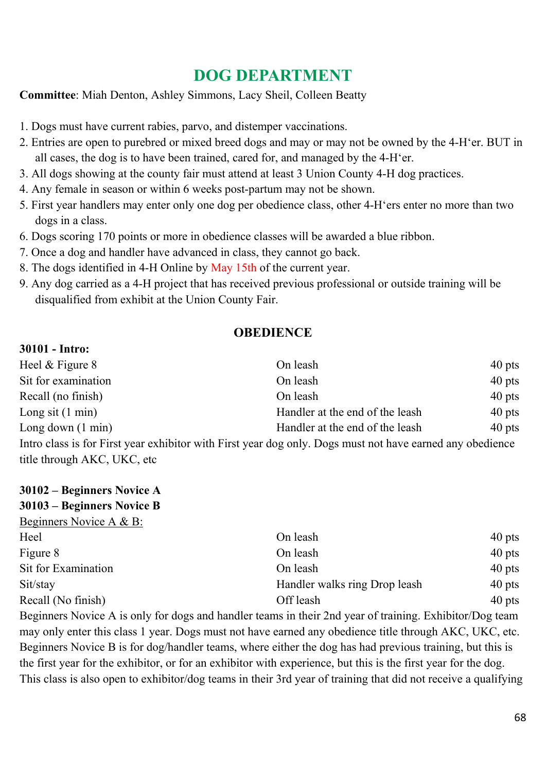# **DOG DEPARTMENT**

**Committee**: Miah Denton, Ashley Simmons, Lacy Sheil, Colleen Beatty

- 1. Dogs must have current rabies, parvo, and distemper vaccinations.
- 2. Entries are open to purebred or mixed breed dogs and may or may not be owned by the 4-H'er. BUT in all cases, the dog is to have been trained, cared for, and managed by the 4-H'er.
- 3. All dogs showing at the county fair must attend at least 3 Union County 4-H dog practices.
- 4. Any female in season or within 6 weeks post-partum may not be shown.
- 5. First year handlers may enter only one dog per obedience class, other 4-H'ers enter no more than two dogs in a class.
- 6. Dogs scoring 170 points or more in obedience classes will be awarded a blue ribbon.
- 7. Once a dog and handler have advanced in class, they cannot go back.
- 8. The dogs identified in 4-H Online by May 15th of the current year.
- 9. Any dog carried as a 4-H project that has received previous professional or outside training will be disqualified from exhibit at the Union County Fair.

#### **OBEDIENCE**

#### **30101 - Intro:**

| Heel $&$ Figure $&$                                                                                       | On leash                        | $40$ pts |  |
|-----------------------------------------------------------------------------------------------------------|---------------------------------|----------|--|
| Sit for examination                                                                                       | On leash                        | $40$ pts |  |
| Recall (no finish)                                                                                        | On leash                        | $40$ pts |  |
| Long sit $(1 \text{ min})$                                                                                | Handler at the end of the leash | $40$ pts |  |
| Long down $(1 \text{ min})$                                                                               | Handler at the end of the leash | $40$ pts |  |
| Intro class is for First year exhibitor with First year dog only. Dogs must not have earned any obedience |                                 |          |  |
| title through AKC, UKC, etc                                                                               |                                 |          |  |

| 30102 – Beginners Novice A |                               |          |
|----------------------------|-------------------------------|----------|
| 30103 – Beginners Novice B |                               |          |
| Beginners Novice A & B:    |                               |          |
| Heel                       | On leash                      | $40$ pts |
| Figure 8                   | On leash                      | $40$ pts |
| Sit for Examination        | On leash                      | $40$ pts |
| Sit/stay                   | Handler walks ring Drop leash | $40$ pts |

Beginners Novice A is only for dogs and handler teams in their 2nd year of training. Exhibitor/Dog team may only enter this class 1 year. Dogs must not have earned any obedience title through AKC, UKC, etc. Beginners Novice B is for dog/handler teams, where either the dog has had previous training, but this is the first year for the exhibitor, or for an exhibitor with experience, but this is the first year for the dog. This class is also open to exhibitor/dog teams in their 3rd year of training that did not receive a qualifying

Recall (No finish) and Contract Contract Contract Contract Contract Contract Contract Contract Contract Contract Contract Contract Contract Contract Contract Contract Contract Contract Contract Contract Contract Contract C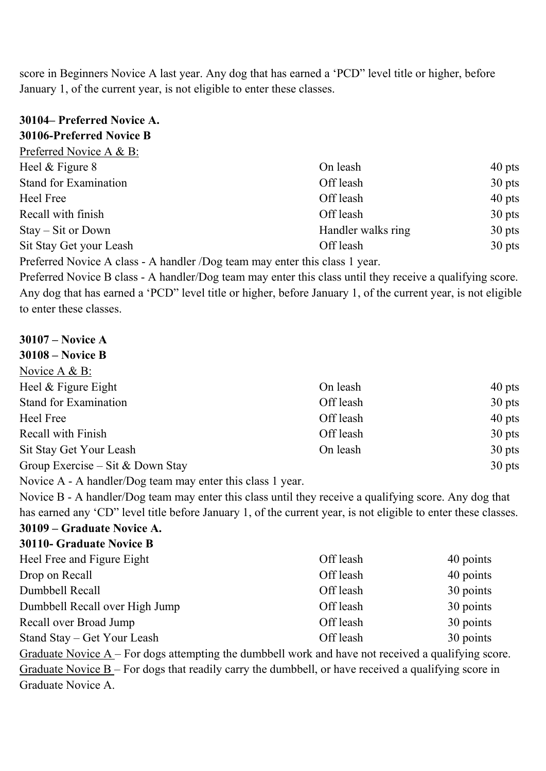score in Beginners Novice A last year. Any dog that has earned a 'PCD" level title or higher, before January 1, of the current year, is not eligible to enter these classes.

| 30104– Preferred Novice A.                                                  |                    |          |
|-----------------------------------------------------------------------------|--------------------|----------|
| 30106-Preferred Novice B                                                    |                    |          |
| Preferred Novice A & B:                                                     |                    |          |
| Heel $&$ Figure $&$                                                         | On leash           | $40$ pts |
| Stand for Examination                                                       | Off leash          | $30$ pts |
| Heel Free                                                                   | Off leash          | $40$ pts |
| Recall with finish                                                          | Off leash          | $30$ pts |
| $Stay - Sit$ or Down                                                        | Handler walks ring | $30$ pts |
| Sit Stay Get your Leash                                                     | Off leash          | $30$ pts |
| Preferred Novice A class - A handler /Dog team may enter this class 1 year. |                    |          |

Preferred Novice B class - A handler/Dog team may enter this class until they receive a qualifying score. Any dog that has earned a 'PCD" level title or higher, before January 1, of the current year, is not eligible to enter these classes.

| $30107 - Novice A$               |           |          |
|----------------------------------|-----------|----------|
| <b>30108 - Novice B</b>          |           |          |
| Novice A & B:                    |           |          |
| Heel & Figure Eight              | On leash  | $40$ pts |
| Stand for Examination            | Off leash | $30$ pts |
| Heel Free                        | Off leash | $40$ pts |
| Recall with Finish               | Off leash | $30$ pts |
| Sit Stay Get Your Leash          | On leash  | $30$ pts |
| Group Exercise – Sit & Down Stay |           | $30$ pts |
|                                  |           |          |

Novice A - A handler/Dog team may enter this class 1 year.

Novice B - A handler/Dog team may enter this class until they receive a qualifying score. Any dog that has earned any 'CD" level title before January 1, of the current year, is not eligible to enter these classes. **30109 – Graduate Novice A.** 

# **30110- Graduate Novice B**

| Off leash | 40 points |
|-----------|-----------|
| Off leash | 40 points |
| Off leash | 30 points |
| Off leash | 30 points |
| Off leash | 30 points |
| Off leash | 30 points |
|           |           |

Graduate Novice  $A$  – For dogs attempting the dumbbell work and have not received a qualifying score. Graduate Novice  $B$  – For dogs that readily carry the dumbbell, or have received a qualifying score in Graduate Novice A.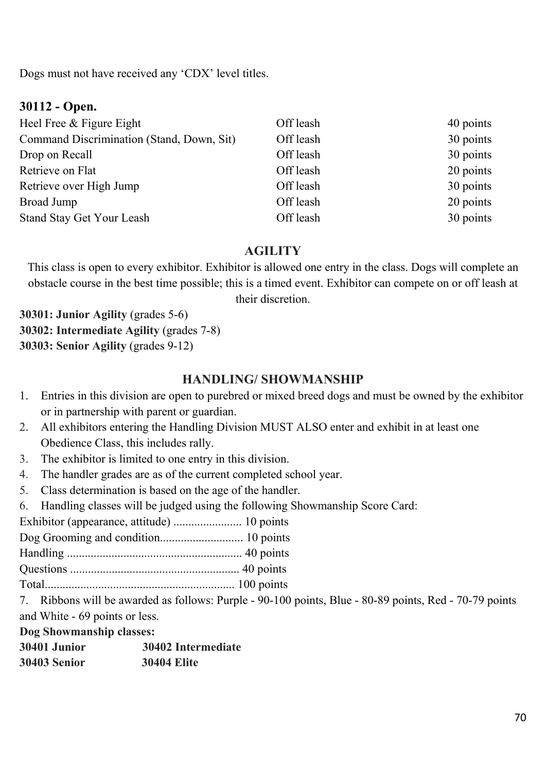Dogs must not have received any 'CDX' level titles.

#### **30112 - Open.**

| Heel Free & Figure Eight                  | Off leash | 40 points |
|-------------------------------------------|-----------|-----------|
| Command Discrimination (Stand, Down, Sit) | Off leash | 30 points |
| Drop on Recall                            | Off leash | 30 points |
| Retrieve on Flat                          | Off leash | 20 points |
| Retrieve over High Jump                   | Off leash | 30 points |
| Broad Jump                                | Off leash | 20 points |
| Stand Stay Get Your Leash                 | Off leash | 30 points |

#### **AGILITY**

This class is open to every exhibitor. Exhibitor is allowed one entry in the class. Dogs will complete an obstacle course in the best time possible; this is a timed event. Exhibitor can compete on or off leash at their discretion.

**30301: Junior Agility** (grades 5-6) **30302: Intermediate Agility** (grades 7-8) **30303: Senior Agility** (grades 9-12)

#### **HANDLING/ SHOWMANSHIP**

- 1. Entries in this division are open to purebred or mixed breed dogs and must be owned by the exhibitor or in partnership with parent or guardian.
- 2. All exhibitors entering the Handling Division MUST ALSO enter and exhibit in at least one Obedience Class, this includes rally.
- 3. The exhibitor is limited to one entry in this division.
- 4. The handler grades are as of the current completed school year.
- 5. Class determination is based on the age of the handler.
- 6. Handling classes will be judged using the following Showmanship Score Card:

Exhibitor (appearance, attitude) ....................... 10 points

Dog Grooming and condition............................ 10 points

Handling ........................................................... 40 points

Questions ......................................................... 40 points

Total................................................................ 100 points

7. Ribbons will be awarded as follows: Purple - 90-100 points, Blue - 80-89 points, Red - 70-79 points and White - 69 points or less.

**Dog Showmanship classes:** 

| 30401 .Junior | 30402 Intermediate |
|---------------|--------------------|
| 30403 Senior  | <b>30404 Elite</b> |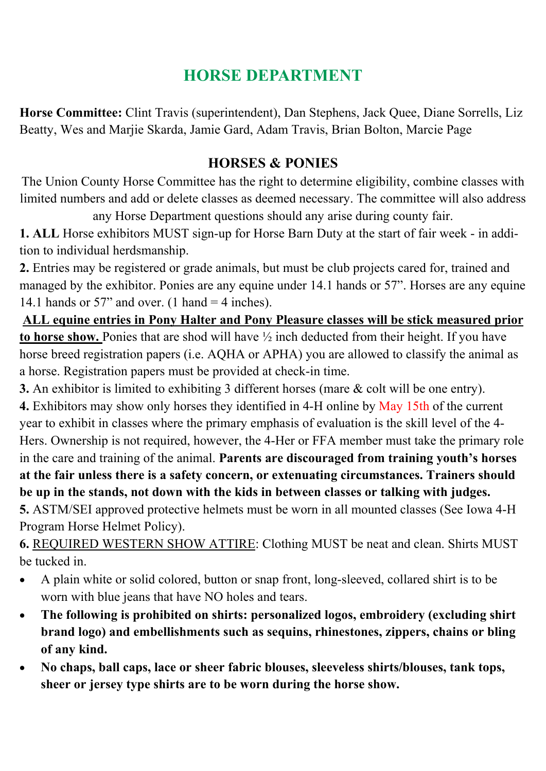# **HORSE DEPARTMENT**

**Horse Committee:** Clint Travis (superintendent), Dan Stephens, Jack Quee, Diane Sorrells, Liz Beatty, Wes and Marjie Skarda, Jamie Gard, Adam Travis, Brian Bolton, Marcie Page

### **HORSES & PONIES**

The Union County Horse Committee has the right to determine eligibility, combine classes with limited numbers and add or delete classes as deemed necessary. The committee will also address

any Horse Department questions should any arise during county fair.

**1. ALL** Horse exhibitors MUST sign-up for Horse Barn Duty at the start of fair week - in addition to individual herdsmanship.

**2.** Entries may be registered or grade animals, but must be club projects cared for, trained and managed by the exhibitor. Ponies are any equine under 14.1 hands or 57". Horses are any equine 14.1 hands or 57" and over. (1 hand  $=$  4 inches).

**ALL equine entries in Pony Halter and Pony Pleasure classes will be stick measured prior to horse show.** Ponies that are shod will have ½ inch deducted from their height. If you have horse breed registration papers (i.e. AQHA or APHA) you are allowed to classify the animal as a horse. Registration papers must be provided at check-in time.

**3.** An exhibitor is limited to exhibiting 3 different horses (mare & colt will be one entry).

**4.** Exhibitors may show only horses they identified in 4-H online by May 15th of the current year to exhibit in classes where the primary emphasis of evaluation is the skill level of the 4- Hers. Ownership is not required, however, the 4-Her or FFA member must take the primary role in the care and training of the animal. **Parents are discouraged from training youth's horses at the fair unless there is a safety concern, or extenuating circumstances. Trainers should be up in the stands, not down with the kids in between classes or talking with judges.** 

**5.** ASTM/SEI approved protective helmets must be worn in all mounted classes (See Iowa 4-H Program Horse Helmet Policy).

**6.** REQUIRED WESTERN SHOW ATTIRE: Clothing MUST be neat and clean. Shirts MUST be tucked in.

- A plain white or solid colored, button or snap front, long-sleeved, collared shirt is to be worn with blue jeans that have NO holes and tears.
- **The following is prohibited on shirts: personalized logos, embroidery (excluding shirt brand logo) and embellishments such as sequins, rhinestones, zippers, chains or bling of any kind.**
- **No chaps, ball caps, lace or sheer fabric blouses, sleeveless shirts/blouses, tank tops, sheer or jersey type shirts are to be worn during the horse show.**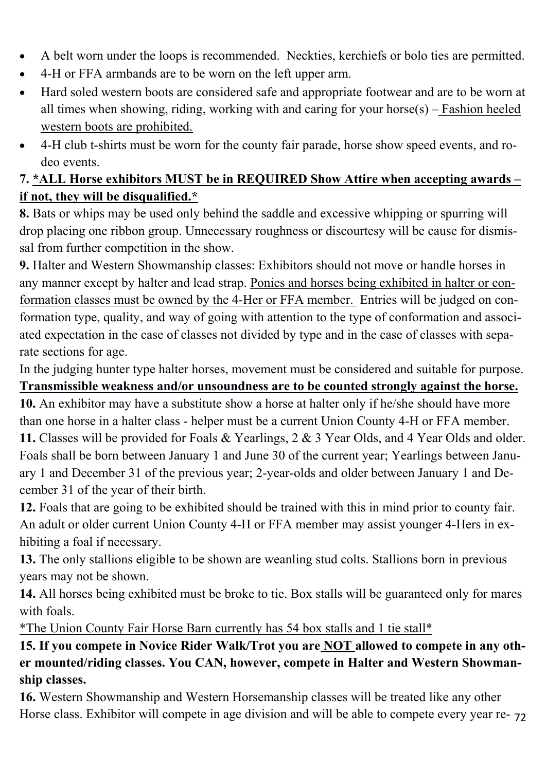- A belt worn under the loops is recommended. Neckties, kerchiefs or bolo ties are permitted.
- 4-H or FFA armbands are to be worn on the left upper arm.
- Hard soled western boots are considered safe and appropriate footwear and are to be worn at all times when showing, riding, working with and caring for your horse $(s)$  – Fashion heeled western boots are prohibited.
- 4-H club t-shirts must be worn for the county fair parade, horse show speed events, and rodeo events.

### **7. \*ALL Horse exhibitors MUST be in REQUIRED Show Attire when accepting awards – if not, they will be disqualified.\***

**8.** Bats or whips may be used only behind the saddle and excessive whipping or spurring will drop placing one ribbon group. Unnecessary roughness or discourtesy will be cause for dismissal from further competition in the show.

**9.** Halter and Western Showmanship classes: Exhibitors should not move or handle horses in any manner except by halter and lead strap. Ponies and horses being exhibited in halter or conformation classes must be owned by the 4-Her or FFA member. Entries will be judged on conformation type, quality, and way of going with attention to the type of conformation and associated expectation in the case of classes not divided by type and in the case of classes with separate sections for age.

In the judging hunter type halter horses, movement must be considered and suitable for purpose. **Transmissible weakness and/or unsoundness are to be counted strongly against the horse.**

**10.** An exhibitor may have a substitute show a horse at halter only if he/she should have more than one horse in a halter class - helper must be a current Union County 4-H or FFA member. **11.** Classes will be provided for Foals & Yearlings, 2 & 3 Year Olds, and 4 Year Olds and older. Foals shall be born between January 1 and June 30 of the current year; Yearlings between January 1 and December 31 of the previous year; 2-year-olds and older between January 1 and December 31 of the year of their birth.

**12.** Foals that are going to be exhibited should be trained with this in mind prior to county fair. An adult or older current Union County 4-H or FFA member may assist younger 4-Hers in exhibiting a foal if necessary.

**13.** The only stallions eligible to be shown are weanling stud colts. Stallions born in previous years may not be shown.

**14.** All horses being exhibited must be broke to tie. Box stalls will be guaranteed only for mares with foals.

\*The Union County Fair Horse Barn currently has 54 box stalls and 1 tie stall\*

**15. If you compete in Novice Rider Walk/Trot you are NOT allowed to compete in any other mounted/riding classes. You CAN, however, compete in Halter and Western Showmanship classes.** 

Horse class. Exhibitor will compete in age division and will be able to compete every year re- 72 **16.** Western Showmanship and Western Horsemanship classes will be treated like any other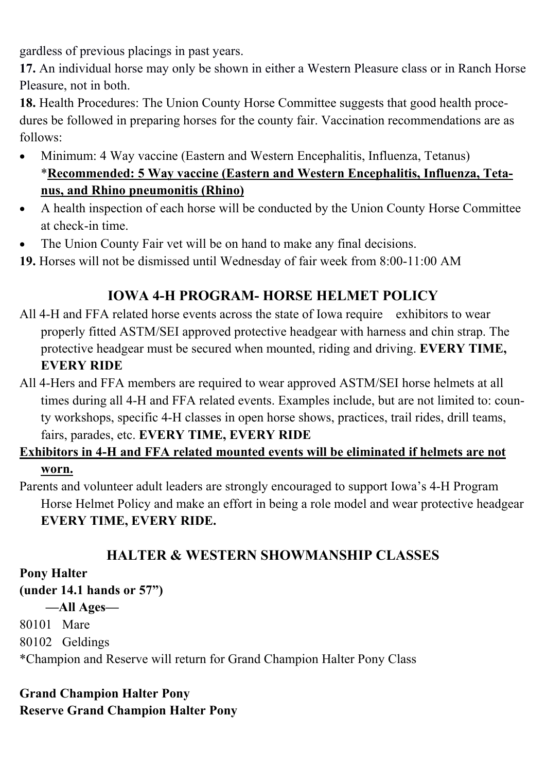gardless of previous placings in past years.

**17.** An individual horse may only be shown in either a Western Pleasure class or in Ranch Horse Pleasure, not in both.

**18.** Health Procedures: The Union County Horse Committee suggests that good health procedures be followed in preparing horses for the county fair. Vaccination recommendations are as follows:

- Minimum: 4 Way vaccine (Eastern and Western Encephalitis, Influenza, Tetanus) \***Recommended: 5 Way vaccine (Eastern and Western Encephalitis, Influenza, Tetanus, and Rhino pneumonitis (Rhino)**
- A health inspection of each horse will be conducted by the Union County Horse Committee at check-in time.
- The Union County Fair vet will be on hand to make any final decisions.

**19.** Horses will not be dismissed until Wednesday of fair week from 8:00-11:00 AM

## **IOWA 4-H PROGRAM- HORSE HELMET POLICY**

- All 4-H and FFA related horse events across the state of Iowa require exhibitors to wear properly fitted ASTM/SEI approved protective headgear with harness and chin strap. The protective headgear must be secured when mounted, riding and driving. **EVERY TIME, EVERY RIDE**
- All 4-Hers and FFA members are required to wear approved ASTM/SEI horse helmets at all times during all 4-H and FFA related events. Examples include, but are not limited to: county workshops, specific 4-H classes in open horse shows, practices, trail rides, drill teams, fairs, parades, etc. **EVERY TIME, EVERY RIDE**

## **Exhibitors in 4-H and FFA related mounted events will be eliminated if helmets are not**

#### **worn.**

Parents and volunteer adult leaders are strongly encouraged to support Iowa's 4-H Program Horse Helmet Policy and make an effort in being a role model and wear protective headgear **EVERY TIME, EVERY RIDE.** 

### **HALTER & WESTERN SHOWMANSHIP CLASSES**

#### **Pony Halter**

**(under 14.1 hands or 57")** 

 **—All Ages—** 

80101 Mare

80102 Geldings

\*Champion and Reserve will return for Grand Champion Halter Pony Class

#### **Grand Champion Halter Pony Reserve Grand Champion Halter Pony**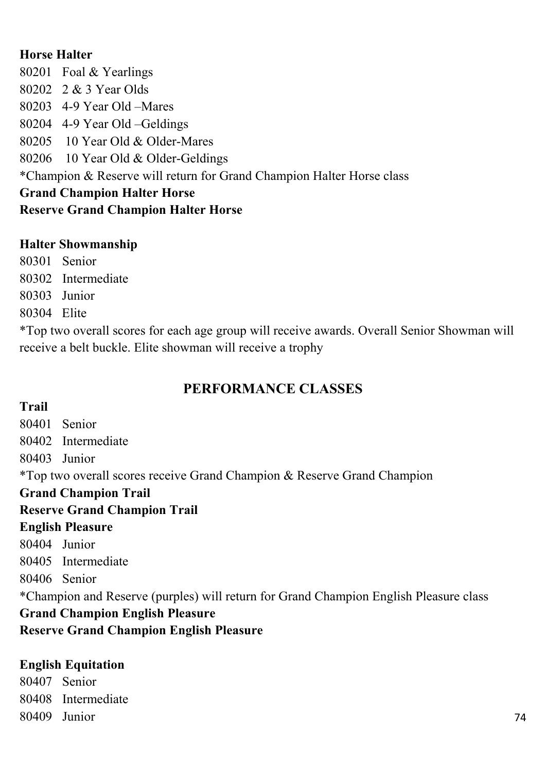#### **Horse Halter**

80201 Foal & Yearlings 80202 2 & 3 Year Olds 80203 4-9 Year Old –Mares 80204 4-9 Year Old –Geldings 80205 10 Year Old & Older-Mares 80206 10 Year Old & Older-Geldings \*Champion & Reserve will return for Grand Champion Halter Horse class **Grand Champion Halter Horse Reserve Grand Champion Halter Horse** 

#### **Halter Showmanship**

80301 Senior 80302 Intermediate 80303 Junior 80304 Elite

\*Top two overall scores for each age group will receive awards. Overall Senior Showman will receive a belt buckle. Elite showman will receive a trophy

## **PERFORMANCE CLASSES**

#### **Trail**

80401 Senior 80402 Intermediate 80403 Junior \*Top two overall scores receive Grand Champion & Reserve Grand Champion **Grand Champion Trail Reserve Grand Champion Trail English Pleasure**  80404 Junior 80405 Intermediate 80406 Senior \*Champion and Reserve (purples) will return for Grand Champion English Pleasure class **Grand Champion English Pleasure Reserve Grand Champion English Pleasure** 

#### **English Equitation**

80407 Senior 80408 Intermediate 80409 Junior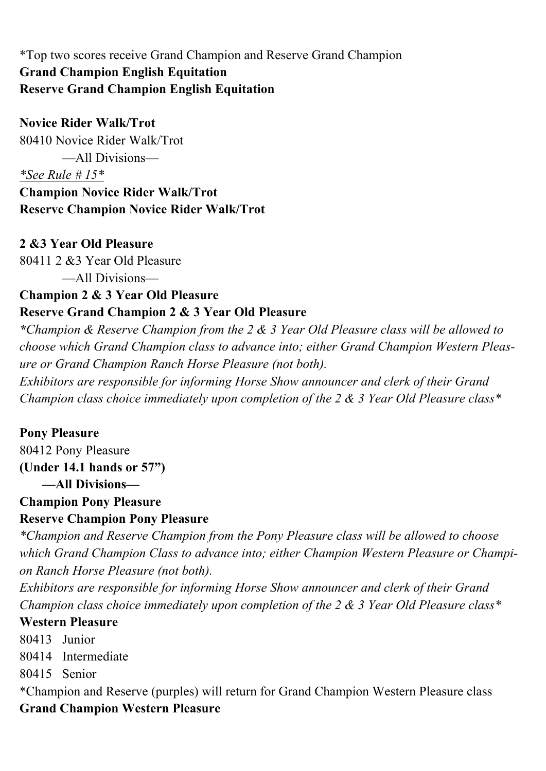#### \*Top two scores receive Grand Champion and Reserve Grand Champion **Grand Champion English Equitation Reserve Grand Champion English Equitation**

**Novice Rider Walk/Trot**  80410 Novice Rider Walk/Trot —All Divisions— *\*See Rule # 15\**  **Champion Novice Rider Walk/Trot** 

**Reserve Champion Novice Rider Walk/Trot** 

#### **2 &3 Year Old Pleasure**

80411 2 &3 Year Old Pleasure

—All Divisions—

#### **Champion 2 & 3 Year Old Pleasure Reserve Grand Champion 2 & 3 Year Old Pleasure**

*\*Champion & Reserve Champion from the 2 & 3 Year Old Pleasure class will be allowed to choose which Grand Champion class to advance into; either Grand Champion Western Pleasure or Grand Champion Ranch Horse Pleasure (not both).* 

*Exhibitors are responsible for informing Horse Show announcer and clerk of their Grand Champion class choice immediately upon completion of the 2 & 3 Year Old Pleasure class\** 

#### **Pony Pleasure**

80412 Pony Pleasure **(Under 14.1 hands or 57") —All Divisions—** 

#### **Champion Pony Pleasure Reserve Champion Pony Pleasure**

*\*Champion and Reserve Champion from the Pony Pleasure class will be allowed to choose which Grand Champion Class to advance into; either Champion Western Pleasure or Champion Ranch Horse Pleasure (not both).* 

*Exhibitors are responsible for informing Horse Show announcer and clerk of their Grand Champion class choice immediately upon completion of the 2 & 3 Year Old Pleasure class\** 

#### **Western Pleasure**

80413 Junior

80414 Intermediate

80415 Senior

\*Champion and Reserve (purples) will return for Grand Champion Western Pleasure class **Grand Champion Western Pleasure**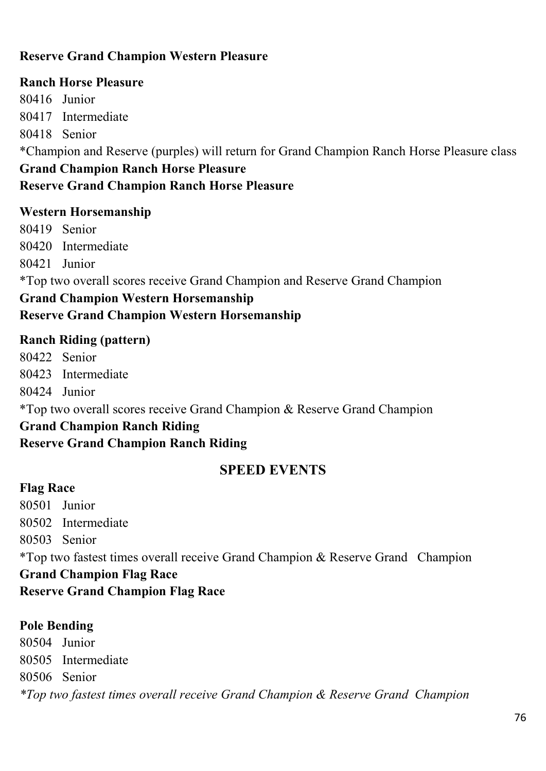#### **Reserve Grand Champion Western Pleasure**

#### **Ranch Horse Pleasure**

80416 Junior 80417 Intermediate 80418 Senior \*Champion and Reserve (purples) will return for Grand Champion Ranch Horse Pleasure class **Grand Champion Ranch Horse Pleasure Reserve Grand Champion Ranch Horse Pleasure** 

#### **Western Horsemanship**

80419 Senior 80420 Intermediate 80421 Junior \*Top two overall scores receive Grand Champion and Reserve Grand Champion

#### **Grand Champion Western Horsemanship Reserve Grand Champion Western Horsemanship**

#### **Ranch Riding (pattern)**

80422 Senior 80423 Intermediate 80424 Junior \*Top two overall scores receive Grand Champion & Reserve Grand Champion **Grand Champion Ranch Riding Reserve Grand Champion Ranch Riding** 

#### **SPEED EVENTS**

#### **Flag Race**

80501 Junior 80502 Intermediate 80503 Senior \*Top two fastest times overall receive Grand Champion & Reserve Grand Champion **Grand Champion Flag Race Reserve Grand Champion Flag Race** 

#### **Pole Bending**

80504 Junior 80505 Intermediate 80506 Senior *\*Top two fastest times overall receive Grand Champion & Reserve Grand Champion*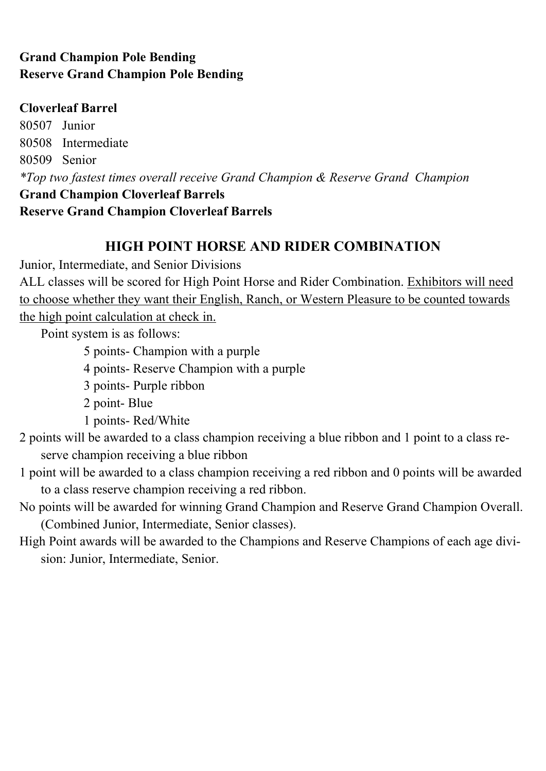#### **Grand Champion Pole Bending Reserve Grand Champion Pole Bending**

#### **Cloverleaf Barrel**

80507 Junior 80508 Intermediate 80509 Senior *\*Top two fastest times overall receive Grand Champion & Reserve Grand Champion*  **Grand Champion Cloverleaf Barrels Reserve Grand Champion Cloverleaf Barrels** 

#### **HIGH POINT HORSE AND RIDER COMBINATION**

Junior, Intermediate, and Senior Divisions

ALL classes will be scored for High Point Horse and Rider Combination. Exhibitors will need to choose whether they want their English, Ranch, or Western Pleasure to be counted towards the high point calculation at check in.

Point system is as follows:

5 points- Champion with a purple

4 points- Reserve Champion with a purple

3 points- Purple ribbon

2 point- Blue

1 points- Red/White

2 points will be awarded to a class champion receiving a blue ribbon and 1 point to a class reserve champion receiving a blue ribbon

1 point will be awarded to a class champion receiving a red ribbon and 0 points will be awarded to a class reserve champion receiving a red ribbon.

No points will be awarded for winning Grand Champion and Reserve Grand Champion Overall. (Combined Junior, Intermediate, Senior classes).

High Point awards will be awarded to the Champions and Reserve Champions of each age division: Junior, Intermediate, Senior.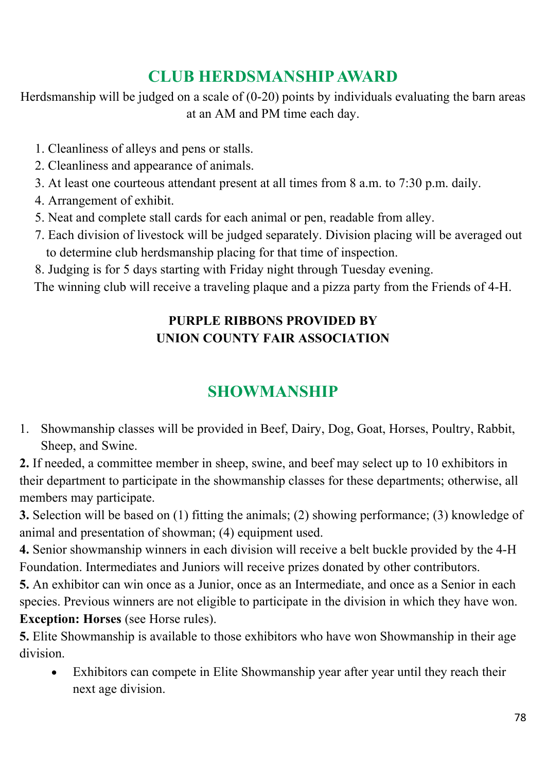## **CLUB HERDSMANSHIP AWARD**

Herdsmanship will be judged on a scale of (0-20) points by individuals evaluating the barn areas at an AM and PM time each day.

- 1. Cleanliness of alleys and pens or stalls.
- 2. Cleanliness and appearance of animals.
- 3. At least one courteous attendant present at all times from 8 a.m. to 7:30 p.m. daily.
- 4. Arrangement of exhibit.
- 5. Neat and complete stall cards for each animal or pen, readable from alley.
- 7. Each division of livestock will be judged separately. Division placing will be averaged out to determine club herdsmanship placing for that time of inspection.
- 8. Judging is for 5 days starting with Friday night through Tuesday evening.

The winning club will receive a traveling plaque and a pizza party from the Friends of 4-H.

## **PURPLE RIBBONS PROVIDED BY UNION COUNTY FAIR ASSOCIATION**

## **SHOWMANSHIP**

1. Showmanship classes will be provided in Beef, Dairy, Dog, Goat, Horses, Poultry, Rabbit, Sheep, and Swine.

**2.** If needed, a committee member in sheep, swine, and beef may select up to 10 exhibitors in their department to participate in the showmanship classes for these departments; otherwise, all members may participate.

**3.** Selection will be based on (1) fitting the animals; (2) showing performance; (3) knowledge of animal and presentation of showman; (4) equipment used.

**4.** Senior showmanship winners in each division will receive a belt buckle provided by the 4-H Foundation. Intermediates and Juniors will receive prizes donated by other contributors.

**5.** An exhibitor can win once as a Junior, once as an Intermediate, and once as a Senior in each species. Previous winners are not eligible to participate in the division in which they have won. **Exception: Horses** (see Horse rules).

**5.** Elite Showmanship is available to those exhibitors who have won Showmanship in their age division.

 Exhibitors can compete in Elite Showmanship year after year until they reach their next age division.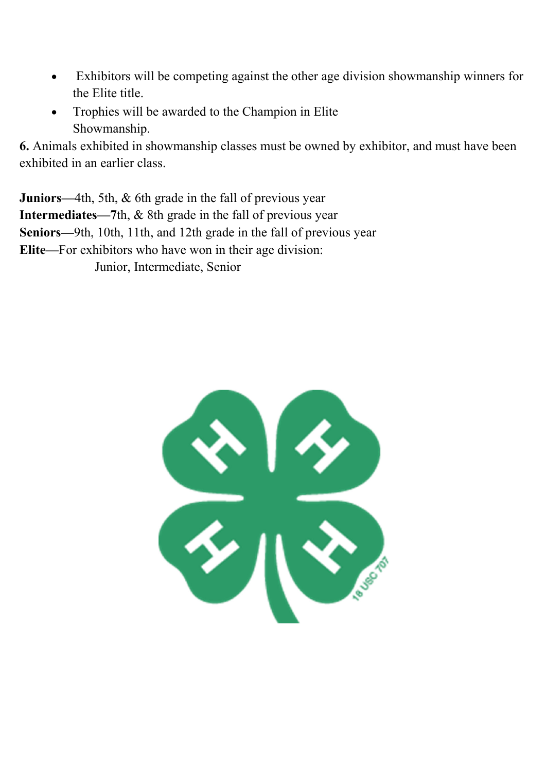- Exhibitors will be competing against the other age division showmanship winners for the Elite title.
- Trophies will be awarded to the Champion in Elite Showmanship.

**6.** Animals exhibited in showmanship classes must be owned by exhibitor, and must have been exhibited in an earlier class.

**Juniors—**4th, 5th, & 6th grade in the fall of previous year **Intermediates—7**th, & 8th grade in the fall of previous year **Seniors—**9th, 10th, 11th, and 12th grade in the fall of previous year **Elite—**For exhibitors who have won in their age division: Junior, Intermediate, Senior